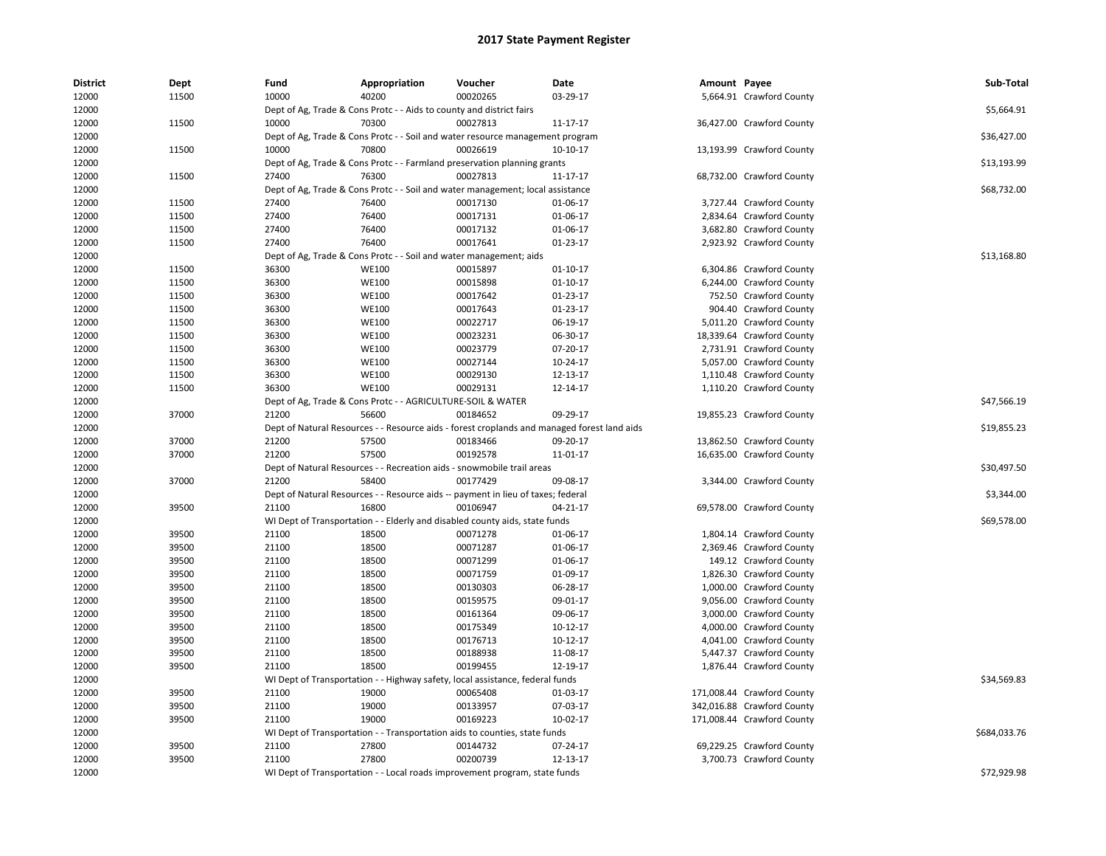| <b>District</b> | Dept  | Fund                                                        | Appropriation                                                        | Voucher                                                                          | Date                                                                                        | Amount Payee |                            | Sub-Total    |
|-----------------|-------|-------------------------------------------------------------|----------------------------------------------------------------------|----------------------------------------------------------------------------------|---------------------------------------------------------------------------------------------|--------------|----------------------------|--------------|
| 12000           | 11500 | 10000                                                       | 40200                                                                | 00020265                                                                         | 03-29-17                                                                                    |              | 5,664.91 Crawford County   |              |
| 12000           |       |                                                             | Dept of Ag, Trade & Cons Protc - - Aids to county and district fairs |                                                                                  |                                                                                             |              |                            | \$5,664.91   |
| 12000           | 11500 | 10000                                                       | 70300                                                                | 00027813                                                                         | 11-17-17                                                                                    |              | 36,427.00 Crawford County  |              |
| 12000           |       |                                                             |                                                                      | Dept of Ag, Trade & Cons Protc - - Soil and water resource management program    |                                                                                             |              |                            | \$36,427.00  |
| 12000           | 11500 | 10000                                                       | 70800                                                                | 00026619                                                                         | 10-10-17                                                                                    |              | 13,193.99 Crawford County  |              |
| 12000           |       |                                                             |                                                                      | Dept of Ag, Trade & Cons Protc - - Farmland preservation planning grants         |                                                                                             |              |                            | \$13,193.99  |
| 12000           | 11500 | 27400                                                       | 76300                                                                | 00027813                                                                         | 11-17-17                                                                                    |              | 68,732.00 Crawford County  |              |
| 12000           |       |                                                             |                                                                      | Dept of Ag, Trade & Cons Protc - - Soil and water management; local assistance   |                                                                                             |              |                            | \$68,732.00  |
| 12000           | 11500 | 27400                                                       | 76400                                                                | 00017130                                                                         | 01-06-17                                                                                    |              | 3,727.44 Crawford County   |              |
| 12000           | 11500 | 27400                                                       | 76400                                                                | 00017131                                                                         | 01-06-17                                                                                    |              | 2,834.64 Crawford County   |              |
| 12000           | 11500 | 27400                                                       | 76400                                                                | 00017132                                                                         | 01-06-17                                                                                    |              | 3,682.80 Crawford County   |              |
| 12000           | 11500 | 27400                                                       | 76400                                                                | 00017641                                                                         | 01-23-17                                                                                    |              | 2,923.92 Crawford County   |              |
| 12000           |       |                                                             | Dept of Ag, Trade & Cons Protc - - Soil and water management; aids   |                                                                                  |                                                                                             |              |                            | \$13,168.80  |
| 12000           | 11500 | 36300                                                       | <b>WE100</b>                                                         | 00015897                                                                         | $01 - 10 - 17$                                                                              |              | 6,304.86 Crawford County   |              |
| 12000           | 11500 | 36300                                                       | <b>WE100</b>                                                         | 00015898                                                                         | $01-10-17$                                                                                  |              | 6,244.00 Crawford County   |              |
| 12000           | 11500 | 36300                                                       | <b>WE100</b>                                                         | 00017642                                                                         | 01-23-17                                                                                    |              | 752.50 Crawford County     |              |
| 12000           | 11500 | 36300                                                       | <b>WE100</b>                                                         | 00017643                                                                         | $01-23-17$                                                                                  |              | 904.40 Crawford County     |              |
| 12000           | 11500 | 36300                                                       | <b>WE100</b>                                                         | 00022717                                                                         | 06-19-17                                                                                    |              | 5,011.20 Crawford County   |              |
| 12000           | 11500 | 36300                                                       | <b>WE100</b>                                                         | 00023231                                                                         | 06-30-17                                                                                    |              | 18,339.64 Crawford County  |              |
| 12000           | 11500 | 36300                                                       | <b>WE100</b>                                                         | 00023779                                                                         | 07-20-17                                                                                    |              | 2,731.91 Crawford County   |              |
| 12000           | 11500 | 36300                                                       | <b>WE100</b>                                                         | 00027144                                                                         | 10-24-17                                                                                    |              | 5,057.00 Crawford County   |              |
| 12000           | 11500 | 36300                                                       | <b>WE100</b>                                                         | 00029130                                                                         | 12-13-17                                                                                    |              | 1,110.48 Crawford County   |              |
| 12000           | 11500 | 36300                                                       | <b>WE100</b>                                                         | 00029131                                                                         | 12-14-17                                                                                    |              | 1,110.20 Crawford County   |              |
| 12000           |       | Dept of Ag, Trade & Cons Protc - - AGRICULTURE-SOIL & WATER | \$47,566.19                                                          |                                                                                  |                                                                                             |              |                            |              |
| 12000           | 37000 | 21200                                                       |                                                                      |                                                                                  |                                                                                             |              |                            |              |
| 12000           |       |                                                             |                                                                      |                                                                                  | Dept of Natural Resources - - Resource aids - forest croplands and managed forest land aids |              |                            | \$19,855.23  |
| 12000           | 37000 | 21200                                                       | 57500                                                                | 00183466                                                                         | 09-20-17                                                                                    |              | 13,862.50 Crawford County  |              |
| 12000           | 37000 | 21200                                                       | 57500                                                                | 00192578                                                                         | 11-01-17                                                                                    |              | 16,635.00 Crawford County  |              |
| 12000           |       |                                                             |                                                                      | Dept of Natural Resources - - Recreation aids - snowmobile trail areas           |                                                                                             |              |                            | \$30,497.50  |
| 12000           | 37000 | 21200                                                       | 58400                                                                | 00177429                                                                         | 09-08-17                                                                                    |              | 3,344.00 Crawford County   |              |
| 12000           |       |                                                             |                                                                      | Dept of Natural Resources - - Resource aids -- payment in lieu of taxes; federal |                                                                                             |              |                            | \$3,344.00   |
| 12000           | 39500 | 21100                                                       | 16800                                                                | 00106947                                                                         | 04-21-17                                                                                    |              | 69,578.00 Crawford County  |              |
| 12000           |       |                                                             |                                                                      | WI Dept of Transportation - - Elderly and disabled county aids, state funds      |                                                                                             |              |                            | \$69,578.00  |
| 12000           | 39500 | 21100                                                       | 18500                                                                | 00071278                                                                         | 01-06-17                                                                                    |              | 1,804.14 Crawford County   |              |
| 12000           | 39500 | 21100                                                       | 18500                                                                | 00071287                                                                         | 01-06-17                                                                                    |              | 2,369.46 Crawford County   |              |
| 12000           | 39500 | 21100                                                       | 18500                                                                | 00071299                                                                         | 01-06-17                                                                                    |              | 149.12 Crawford County     |              |
| 12000           | 39500 | 21100                                                       | 18500                                                                | 00071759                                                                         | 01-09-17                                                                                    |              | 1,826.30 Crawford County   |              |
| 12000           | 39500 | 21100                                                       | 18500                                                                | 00130303                                                                         | 06-28-17                                                                                    |              | 1,000.00 Crawford County   |              |
| 12000           | 39500 | 21100                                                       | 18500                                                                | 00159575                                                                         | 09-01-17                                                                                    |              | 9,056.00 Crawford County   |              |
| 12000           | 39500 | 21100                                                       | 18500                                                                | 00161364                                                                         | 09-06-17                                                                                    |              | 3,000.00 Crawford County   |              |
| 12000           | 39500 | 21100                                                       | 18500                                                                | 00175349                                                                         | 10-12-17                                                                                    |              | 4,000.00 Crawford County   |              |
| 12000           | 39500 | 21100                                                       | 18500                                                                | 00176713                                                                         | $10-12-17$                                                                                  |              | 4,041.00 Crawford County   |              |
| 12000           | 39500 | 21100                                                       | 18500                                                                | 00188938                                                                         | 11-08-17                                                                                    |              | 5,447.37 Crawford County   |              |
| 12000           | 39500 | 21100                                                       | 18500                                                                | 00199455                                                                         | 12-19-17                                                                                    |              | 1,876.44 Crawford County   |              |
| 12000           |       |                                                             |                                                                      | WI Dept of Transportation - - Highway safety, local assistance, federal funds    |                                                                                             |              |                            | \$34,569.83  |
| 12000           | 39500 | 21100                                                       | 19000                                                                | 00065408                                                                         | 01-03-17                                                                                    |              | 171,008.44 Crawford County |              |
| 12000           | 39500 | 21100                                                       | 19000                                                                | 00133957                                                                         | 07-03-17                                                                                    |              | 342,016.88 Crawford County |              |
| 12000           | 39500 | 21100                                                       | 19000                                                                | 00169223                                                                         | 10-02-17                                                                                    |              | 171,008.44 Crawford County |              |
| 12000           |       |                                                             |                                                                      | WI Dept of Transportation - - Transportation aids to counties, state funds       |                                                                                             |              |                            | \$684,033.76 |
| 12000           | 39500 | 21100                                                       | 27800                                                                | 00144732                                                                         | 07-24-17                                                                                    |              | 69,229.25 Crawford County  |              |
| 12000           | 39500 | 21100                                                       | 27800                                                                | 00200739                                                                         | 12-13-17                                                                                    |              | 3,700.73 Crawford County   |              |
| 12000           |       |                                                             |                                                                      | WI Dept of Transportation - - Local roads improvement program, state funds       |                                                                                             |              |                            | \$72,929.98  |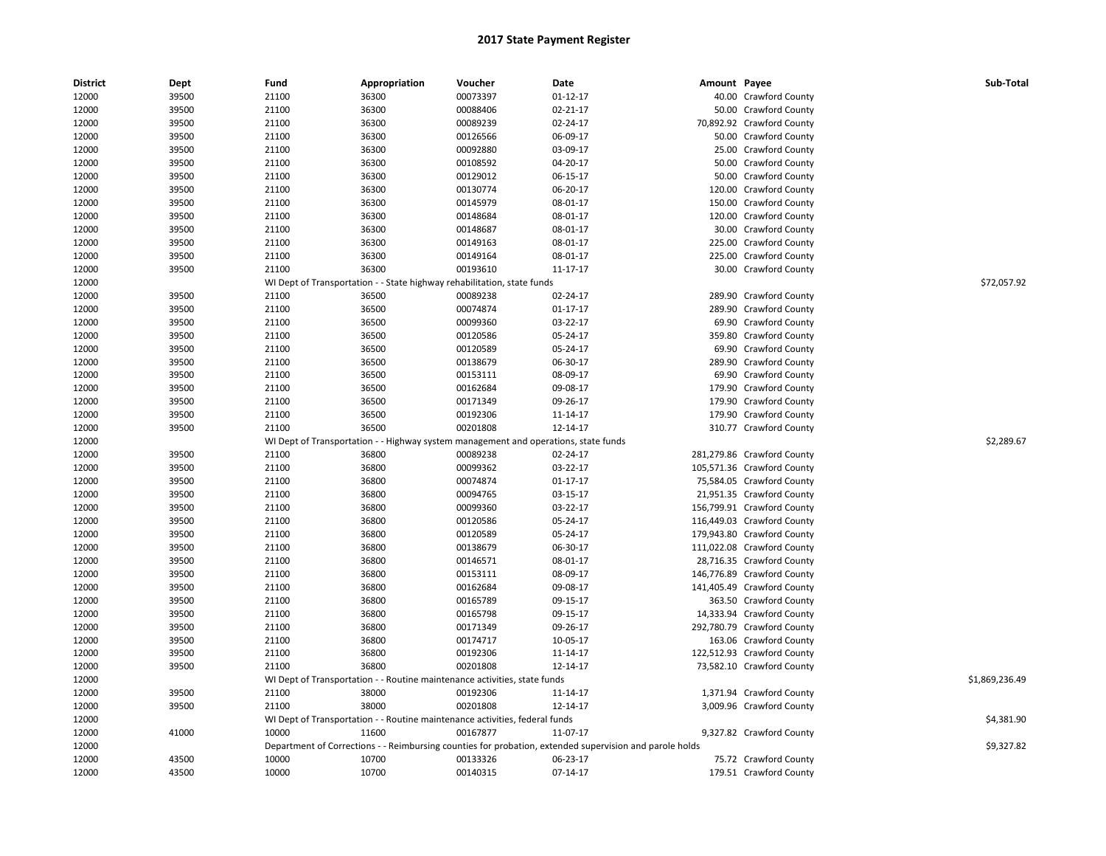| <b>District</b> | Dept  | Fund  | Appropriation                                                                       | Voucher  | Date                                                                                                    | Amount Payee |                            | Sub-Total      |
|-----------------|-------|-------|-------------------------------------------------------------------------------------|----------|---------------------------------------------------------------------------------------------------------|--------------|----------------------------|----------------|
| 12000           | 39500 | 21100 | 36300                                                                               | 00073397 | 01-12-17                                                                                                |              | 40.00 Crawford County      |                |
| 12000           | 39500 | 21100 | 36300                                                                               | 00088406 | 02-21-17                                                                                                |              | 50.00 Crawford County      |                |
| 12000           | 39500 | 21100 | 36300                                                                               | 00089239 | 02-24-17                                                                                                |              | 70,892.92 Crawford County  |                |
| 12000           | 39500 | 21100 | 36300                                                                               | 00126566 | 06-09-17                                                                                                |              | 50.00 Crawford County      |                |
| 12000           | 39500 | 21100 | 36300                                                                               | 00092880 | 03-09-17                                                                                                |              | 25.00 Crawford County      |                |
| 12000           | 39500 | 21100 | 36300                                                                               | 00108592 | 04-20-17                                                                                                |              | 50.00 Crawford County      |                |
| 12000           | 39500 | 21100 | 36300                                                                               | 00129012 | 06-15-17                                                                                                |              | 50.00 Crawford County      |                |
| 12000           | 39500 | 21100 | 36300                                                                               | 00130774 | 06-20-17                                                                                                |              | 120.00 Crawford County     |                |
| 12000           | 39500 | 21100 | 36300                                                                               | 00145979 | 08-01-17                                                                                                |              | 150.00 Crawford County     |                |
| 12000           | 39500 | 21100 | 36300                                                                               | 00148684 | 08-01-17                                                                                                |              | 120.00 Crawford County     |                |
| 12000           | 39500 | 21100 | 36300                                                                               | 00148687 | 08-01-17                                                                                                |              | 30.00 Crawford County      |                |
| 12000           | 39500 | 21100 | 36300                                                                               | 00149163 | 08-01-17                                                                                                |              | 225.00 Crawford County     |                |
| 12000           | 39500 | 21100 | 36300                                                                               | 00149164 | 08-01-17                                                                                                |              | 225.00 Crawford County     |                |
| 12000           | 39500 | 21100 | 36300                                                                               | 00193610 | 11-17-17                                                                                                |              | 30.00 Crawford County      |                |
| 12000           |       |       | WI Dept of Transportation - - State highway rehabilitation, state funds             |          |                                                                                                         |              |                            | \$72,057.92    |
| 12000           | 39500 | 21100 | 36500                                                                               | 00089238 | 02-24-17                                                                                                |              | 289.90 Crawford County     |                |
| 12000           | 39500 | 21100 | 36500                                                                               | 00074874 | $01 - 17 - 17$                                                                                          |              | 289.90 Crawford County     |                |
| 12000           | 39500 | 21100 | 36500                                                                               | 00099360 | 03-22-17                                                                                                |              | 69.90 Crawford County      |                |
| 12000           | 39500 | 21100 | 36500                                                                               | 00120586 | 05-24-17                                                                                                |              | 359.80 Crawford County     |                |
| 12000           | 39500 | 21100 | 36500                                                                               | 00120589 | 05-24-17                                                                                                |              | 69.90 Crawford County      |                |
| 12000           | 39500 | 21100 | 36500                                                                               | 00138679 | 06-30-17                                                                                                |              | 289.90 Crawford County     |                |
| 12000           | 39500 | 21100 | 36500                                                                               | 00153111 | 08-09-17                                                                                                |              | 69.90 Crawford County      |                |
| 12000           | 39500 | 21100 | 36500                                                                               | 00162684 | 09-08-17                                                                                                |              | 179.90 Crawford County     |                |
| 12000           | 39500 | 21100 | 36500                                                                               | 00171349 | 09-26-17                                                                                                |              | 179.90 Crawford County     |                |
| 12000           | 39500 | 21100 | 36500                                                                               | 00192306 | 11-14-17                                                                                                |              | 179.90 Crawford County     |                |
| 12000           | 39500 | 21100 | 36500                                                                               | 00201808 | 12-14-17                                                                                                |              | 310.77 Crawford County     |                |
| 12000           |       |       | WI Dept of Transportation - - Highway system management and operations, state funds |          |                                                                                                         |              |                            | \$2,289.67     |
| 12000           | 39500 | 21100 | 36800                                                                               | 00089238 | 02-24-17                                                                                                |              | 281,279.86 Crawford County |                |
| 12000           | 39500 | 21100 | 36800                                                                               | 00099362 | 03-22-17                                                                                                |              | 105,571.36 Crawford County |                |
| 12000           | 39500 | 21100 | 36800                                                                               | 00074874 | $01 - 17 - 17$                                                                                          |              | 75,584.05 Crawford County  |                |
| 12000           | 39500 | 21100 | 36800                                                                               | 00094765 | 03-15-17                                                                                                |              | 21,951.35 Crawford County  |                |
| 12000           | 39500 | 21100 | 36800                                                                               | 00099360 | 03-22-17                                                                                                |              | 156,799.91 Crawford County |                |
| 12000           | 39500 | 21100 | 36800                                                                               | 00120586 | 05-24-17                                                                                                |              | 116,449.03 Crawford County |                |
| 12000           | 39500 | 21100 | 36800                                                                               | 00120589 | 05-24-17                                                                                                |              | 179,943.80 Crawford County |                |
| 12000           | 39500 | 21100 | 36800                                                                               | 00138679 | 06-30-17                                                                                                |              | 111,022.08 Crawford County |                |
| 12000           | 39500 | 21100 | 36800                                                                               | 00146571 | 08-01-17                                                                                                |              | 28,716.35 Crawford County  |                |
| 12000           | 39500 | 21100 | 36800                                                                               | 00153111 | 08-09-17                                                                                                |              | 146,776.89 Crawford County |                |
| 12000           | 39500 | 21100 | 36800                                                                               | 00162684 | 09-08-17                                                                                                |              | 141,405.49 Crawford County |                |
| 12000           | 39500 | 21100 | 36800                                                                               | 00165789 | 09-15-17                                                                                                |              | 363.50 Crawford County     |                |
| 12000           | 39500 | 21100 | 36800                                                                               | 00165798 | 09-15-17                                                                                                |              | 14,333.94 Crawford County  |                |
| 12000           | 39500 | 21100 | 36800                                                                               | 00171349 | 09-26-17                                                                                                |              | 292,780.79 Crawford County |                |
| 12000           | 39500 | 21100 | 36800                                                                               | 00174717 | 10-05-17                                                                                                |              | 163.06 Crawford County     |                |
| 12000           | 39500 | 21100 | 36800                                                                               | 00192306 | 11-14-17                                                                                                |              | 122,512.93 Crawford County |                |
| 12000           | 39500 | 21100 | 36800                                                                               | 00201808 | 12-14-17                                                                                                |              | 73,582.10 Crawford County  |                |
| 12000           |       |       | WI Dept of Transportation - - Routine maintenance activities, state funds           |          |                                                                                                         |              |                            | \$1,869,236.49 |
| 12000           | 39500 | 21100 | 38000                                                                               | 00192306 | 11-14-17                                                                                                |              | 1,371.94 Crawford County   |                |
| 12000           | 39500 | 21100 | 38000                                                                               | 00201808 | 12-14-17                                                                                                |              | 3,009.96 Crawford County   |                |
| 12000           |       |       | WI Dept of Transportation - - Routine maintenance activities, federal funds         |          |                                                                                                         |              |                            | \$4,381.90     |
| 12000           | 41000 | 10000 | 11600                                                                               | 00167877 | 11-07-17                                                                                                |              | 9,327.82 Crawford County   |                |
| 12000           |       |       |                                                                                     |          | Department of Corrections - - Reimbursing counties for probation, extended supervision and parole holds |              |                            | \$9,327.82     |
| 12000           | 43500 | 10000 | 10700                                                                               | 00133326 | 06-23-17                                                                                                |              | 75.72 Crawford County      |                |
|                 |       |       |                                                                                     |          |                                                                                                         |              |                            |                |
| 12000           | 43500 | 10000 | 10700                                                                               | 00140315 | 07-14-17                                                                                                |              | 179.51 Crawford County     |                |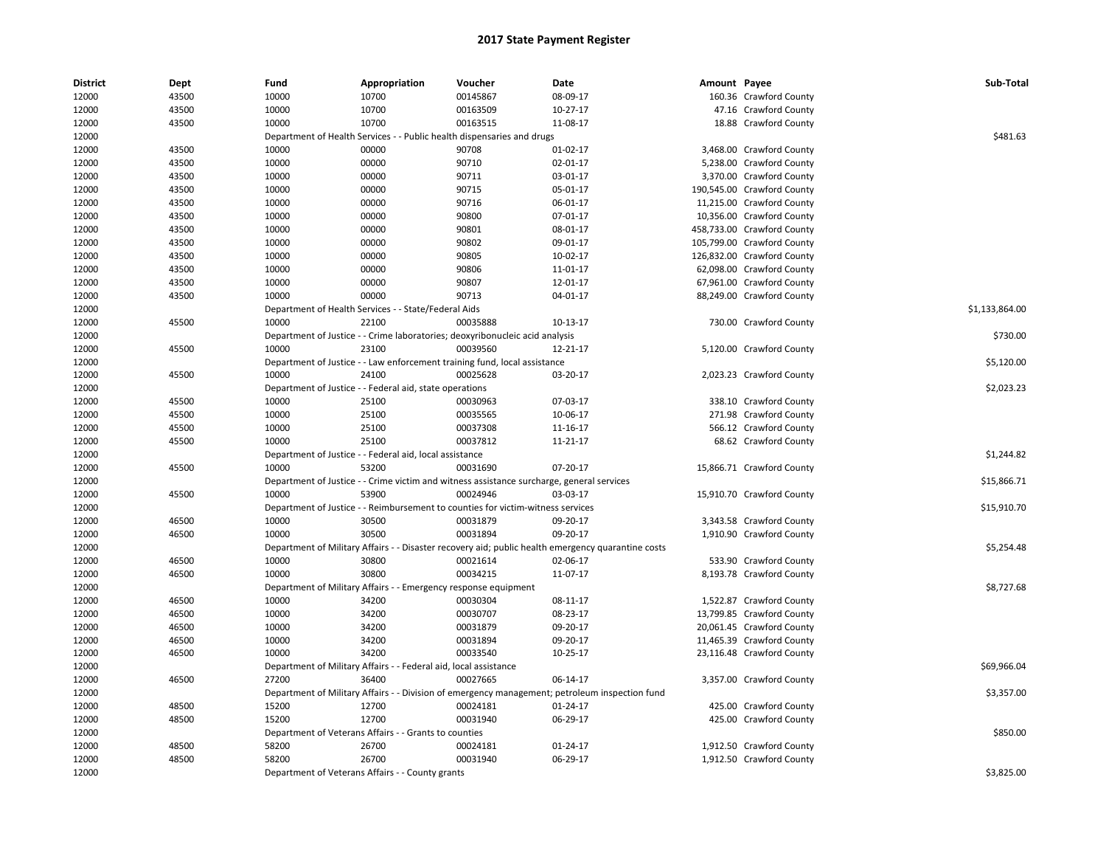| <b>District</b> | Dept  | Fund  | Appropriation                                                                             | Voucher  | Date                                                                                               | Amount Payee |                            | Sub-Total      |
|-----------------|-------|-------|-------------------------------------------------------------------------------------------|----------|----------------------------------------------------------------------------------------------------|--------------|----------------------------|----------------|
| 12000           | 43500 | 10000 | 10700                                                                                     | 00145867 | 08-09-17                                                                                           |              | 160.36 Crawford County     |                |
| 12000           | 43500 | 10000 | 10700                                                                                     | 00163509 | $10-27-17$                                                                                         |              | 47.16 Crawford County      |                |
| 12000           | 43500 | 10000 | 10700                                                                                     | 00163515 | 11-08-17                                                                                           |              | 18.88 Crawford County      |                |
| 12000           |       |       | Department of Health Services - - Public health dispensaries and drugs                    |          |                                                                                                    |              |                            | \$481.63       |
| 12000           | 43500 | 10000 | 00000                                                                                     | 90708    | 01-02-17                                                                                           |              | 3,468.00 Crawford County   |                |
| 12000           | 43500 | 10000 | 00000                                                                                     | 90710    | 02-01-17                                                                                           |              | 5,238.00 Crawford County   |                |
| 12000           | 43500 | 10000 | 00000                                                                                     | 90711    | 03-01-17                                                                                           |              | 3,370.00 Crawford County   |                |
| 12000           | 43500 | 10000 | 00000                                                                                     | 90715    | 05-01-17                                                                                           |              | 190,545.00 Crawford County |                |
| 12000           | 43500 | 10000 | 00000                                                                                     | 90716    | 06-01-17                                                                                           |              | 11,215.00 Crawford County  |                |
| 12000           | 43500 | 10000 | 00000                                                                                     | 90800    | 07-01-17                                                                                           |              | 10,356.00 Crawford County  |                |
| 12000           | 43500 | 10000 | 00000                                                                                     | 90801    | 08-01-17                                                                                           |              | 458,733.00 Crawford County |                |
| 12000           | 43500 | 10000 | 00000                                                                                     | 90802    | 09-01-17                                                                                           |              | 105,799.00 Crawford County |                |
| 12000           | 43500 | 10000 | 00000                                                                                     | 90805    | 10-02-17                                                                                           |              | 126,832.00 Crawford County |                |
| 12000           | 43500 | 10000 | 00000                                                                                     | 90806    | 11-01-17                                                                                           |              | 62,098.00 Crawford County  |                |
| 12000           | 43500 | 10000 | 00000                                                                                     | 90807    | 12-01-17                                                                                           |              | 67,961.00 Crawford County  |                |
| 12000           | 43500 | 10000 | 00000                                                                                     | 90713    | 04-01-17                                                                                           |              | 88,249.00 Crawford County  |                |
| 12000           |       |       | Department of Health Services - - State/Federal Aids                                      |          |                                                                                                    |              |                            | \$1,133,864.00 |
| 12000           | 45500 | 10000 | 22100                                                                                     | 00035888 | 10-13-17                                                                                           |              | 730.00 Crawford County     |                |
| 12000           |       |       | Department of Justice - - Crime laboratories; deoxyribonucleic acid analysis              |          |                                                                                                    |              |                            | \$730.00       |
| 12000           | 45500 | 10000 | 23100                                                                                     | 00039560 | 12-21-17                                                                                           |              | 5,120.00 Crawford County   |                |
| 12000           |       |       | Department of Justice - - Law enforcement training fund, local assistance                 |          |                                                                                                    |              |                            | \$5,120.00     |
| 12000           | 45500 | 10000 | 24100                                                                                     | 00025628 | 03-20-17                                                                                           |              | 2,023.23 Crawford County   |                |
| 12000           |       |       | Department of Justice - - Federal aid, state operations                                   |          |                                                                                                    |              |                            | \$2,023.23     |
| 12000           | 45500 | 10000 | 25100                                                                                     | 00030963 | 07-03-17                                                                                           |              | 338.10 Crawford County     |                |
| 12000           | 45500 | 10000 | 25100                                                                                     | 00035565 | 10-06-17                                                                                           |              | 271.98 Crawford County     |                |
| 12000           | 45500 | 10000 | 25100                                                                                     | 00037308 | 11-16-17                                                                                           |              | 566.12 Crawford County     |                |
| 12000           | 45500 | 10000 | 25100                                                                                     | 00037812 | 11-21-17                                                                                           |              | 68.62 Crawford County      |                |
| 12000           |       |       | Department of Justice - - Federal aid, local assistance                                   |          |                                                                                                    |              |                            | \$1,244.82     |
| 12000           | 45500 | 10000 | 53200                                                                                     | 00031690 | 07-20-17                                                                                           |              | 15,866.71 Crawford County  |                |
| 12000           |       |       | Department of Justice - - Crime victim and witness assistance surcharge, general services |          |                                                                                                    |              |                            | \$15,866.71    |
| 12000           | 45500 | 10000 | 53900                                                                                     | 00024946 | 03-03-17                                                                                           |              | 15,910.70 Crawford County  |                |
| 12000           |       |       | Department of Justice - - Reimbursement to counties for victim-witness services           |          |                                                                                                    |              |                            | \$15,910.70    |
| 12000           | 46500 | 10000 | 30500                                                                                     | 00031879 | 09-20-17                                                                                           |              | 3,343.58 Crawford County   |                |
| 12000           | 46500 | 10000 | 30500                                                                                     | 00031894 | 09-20-17                                                                                           |              | 1,910.90 Crawford County   |                |
| 12000           |       |       |                                                                                           |          | Department of Military Affairs - - Disaster recovery aid; public health emergency quarantine costs |              |                            | \$5,254.48     |
| 12000           | 46500 | 10000 | 30800                                                                                     | 00021614 | 02-06-17                                                                                           |              | 533.90 Crawford County     |                |
| 12000           | 46500 | 10000 | 30800                                                                                     | 00034215 | 11-07-17                                                                                           |              | 8,193.78 Crawford County   |                |
| 12000           |       |       | Department of Military Affairs - - Emergency response equipment                           |          |                                                                                                    |              |                            | \$8,727.68     |
| 12000           | 46500 | 10000 | 34200                                                                                     | 00030304 | 08-11-17                                                                                           |              | 1,522.87 Crawford County   |                |
| 12000           | 46500 | 10000 | 34200                                                                                     | 00030707 | 08-23-17                                                                                           |              | 13,799.85 Crawford County  |                |
|                 |       | 10000 | 34200                                                                                     |          |                                                                                                    |              | 20,061.45 Crawford County  |                |
| 12000           | 46500 |       |                                                                                           | 00031879 | 09-20-17                                                                                           |              |                            |                |
| 12000           | 46500 | 10000 | 34200<br>34200                                                                            | 00031894 | 09-20-17                                                                                           |              | 11,465.39 Crawford County  |                |
| 12000           | 46500 | 10000 |                                                                                           | 00033540 | 10-25-17                                                                                           |              | 23,116.48 Crawford County  |                |
| 12000           |       |       | Department of Military Affairs - - Federal aid, local assistance                          |          |                                                                                                    |              |                            | \$69,966.04    |
| 12000           | 46500 | 27200 | 36400                                                                                     | 00027665 | 06-14-17                                                                                           |              | 3,357.00 Crawford County   |                |
| 12000           |       |       |                                                                                           |          | Department of Military Affairs - - Division of emergency management; petroleum inspection fund     |              |                            | \$3,357.00     |
| 12000           | 48500 | 15200 | 12700                                                                                     | 00024181 | 01-24-17                                                                                           |              | 425.00 Crawford County     |                |
| 12000           | 48500 | 15200 | 12700                                                                                     | 00031940 | 06-29-17                                                                                           |              | 425.00 Crawford County     |                |
| 12000           |       |       | Department of Veterans Affairs - - Grants to counties                                     |          |                                                                                                    |              |                            | \$850.00       |
| 12000           | 48500 | 58200 | 26700                                                                                     | 00024181 | $01 - 24 - 17$                                                                                     |              | 1,912.50 Crawford County   |                |
| 12000           | 48500 | 58200 | 26700                                                                                     | 00031940 | 06-29-17                                                                                           |              | 1,912.50 Crawford County   |                |
| 12000           |       |       | Department of Veterans Affairs - - County grants                                          |          |                                                                                                    |              |                            | \$3,825.00     |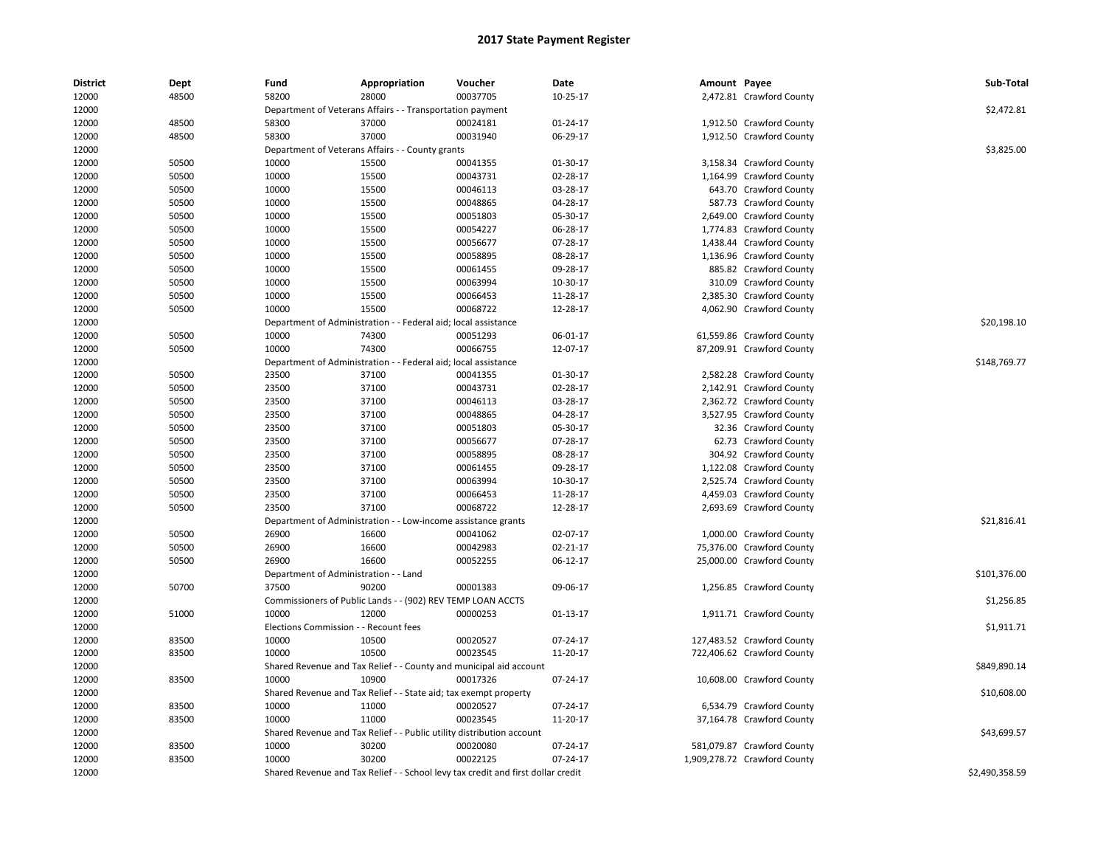| <b>District</b> | Dept  | Fund                                  | Appropriation                                                         | Voucher                                                                          | Date           | Amount Payee |                              | Sub-Total      |
|-----------------|-------|---------------------------------------|-----------------------------------------------------------------------|----------------------------------------------------------------------------------|----------------|--------------|------------------------------|----------------|
| 12000           | 48500 | 58200                                 | 28000                                                                 | 00037705                                                                         | 10-25-17       |              | 2,472.81 Crawford County     |                |
| 12000           |       |                                       | Department of Veterans Affairs - - Transportation payment             |                                                                                  |                |              |                              | \$2,472.81     |
| 12000           | 48500 | 58300                                 | 37000                                                                 | 00024181                                                                         | $01 - 24 - 17$ |              | 1,912.50 Crawford County     |                |
| 12000           | 48500 | 58300                                 | 37000                                                                 | 00031940                                                                         | 06-29-17       |              | 1,912.50 Crawford County     |                |
| 12000           |       |                                       | Department of Veterans Affairs - - County grants                      |                                                                                  |                |              |                              | \$3,825.00     |
| 12000           | 50500 | 10000                                 | 15500                                                                 | 00041355                                                                         | 01-30-17       |              | 3,158.34 Crawford County     |                |
| 12000           | 50500 | 10000                                 | 15500                                                                 | 00043731                                                                         | 02-28-17       |              | 1,164.99 Crawford County     |                |
| 12000           | 50500 | 10000                                 | 15500                                                                 | 00046113                                                                         | 03-28-17       |              | 643.70 Crawford County       |                |
| 12000           | 50500 | 10000                                 | 15500                                                                 | 00048865                                                                         | 04-28-17       |              | 587.73 Crawford County       |                |
| 12000           | 50500 | 10000                                 | 15500                                                                 | 00051803                                                                         | 05-30-17       |              | 2,649.00 Crawford County     |                |
| 12000           | 50500 | 10000                                 | 15500                                                                 | 00054227                                                                         | 06-28-17       |              | 1,774.83 Crawford County     |                |
| 12000           | 50500 | 10000                                 | 15500                                                                 | 00056677                                                                         | 07-28-17       |              | 1,438.44 Crawford County     |                |
| 12000           | 50500 | 10000                                 | 15500                                                                 | 00058895                                                                         | 08-28-17       |              | 1,136.96 Crawford County     |                |
| 12000           | 50500 | 10000                                 | 15500                                                                 | 00061455                                                                         | 09-28-17       |              | 885.82 Crawford County       |                |
| 12000           | 50500 | 10000                                 | 15500                                                                 | 00063994                                                                         | 10-30-17       |              | 310.09 Crawford County       |                |
| 12000           | 50500 | 10000                                 | 15500                                                                 | 00066453                                                                         | 11-28-17       |              | 2,385.30 Crawford County     |                |
| 12000           | 50500 | 10000                                 | 15500                                                                 | 00068722                                                                         | 12-28-17       |              | 4,062.90 Crawford County     |                |
| 12000           |       | Department of Administration          |                                                                       | - - Federal aid; local assistance                                                |                |              |                              | \$20,198.10    |
| 12000           | 50500 | 10000                                 | 74300                                                                 | 00051293                                                                         | 06-01-17       |              | 61,559.86 Crawford County    |                |
| 12000           | 50500 | 10000                                 | 74300                                                                 | 00066755                                                                         | 12-07-17       |              | 87,209.91 Crawford County    |                |
| 12000           |       |                                       | Department of Administration - - Federal aid; local assistance        |                                                                                  |                |              |                              | \$148,769.77   |
| 12000           | 50500 | 23500                                 | 37100                                                                 | 00041355                                                                         | 01-30-17       |              | 2,582.28 Crawford County     |                |
| 12000           | 50500 | 23500                                 | 37100                                                                 | 00043731                                                                         | 02-28-17       |              | 2,142.91 Crawford County     |                |
| 12000           | 50500 | 23500                                 | 37100                                                                 | 00046113                                                                         | 03-28-17       |              | 2,362.72 Crawford County     |                |
| 12000           | 50500 | 23500                                 | 37100                                                                 | 00048865                                                                         | 04-28-17       |              | 3,527.95 Crawford County     |                |
| 12000           | 50500 | 23500                                 | 37100                                                                 | 00051803                                                                         | 05-30-17       |              | 32.36 Crawford County        |                |
| 12000           | 50500 | 23500                                 | 37100                                                                 | 00056677                                                                         | 07-28-17       |              | 62.73 Crawford County        |                |
| 12000           | 50500 | 23500                                 | 37100                                                                 | 00058895                                                                         | 08-28-17       |              | 304.92 Crawford County       |                |
| 12000           | 50500 | 23500                                 | 37100                                                                 | 00061455                                                                         | 09-28-17       |              | 1,122.08 Crawford County     |                |
| 12000           | 50500 | 23500                                 | 37100                                                                 | 00063994                                                                         | 10-30-17       |              | 2,525.74 Crawford County     |                |
| 12000           | 50500 | 23500                                 | 37100                                                                 | 00066453                                                                         | 11-28-17       |              | 4,459.03 Crawford County     |                |
| 12000           | 50500 | 23500                                 | 37100                                                                 | 00068722                                                                         | 12-28-17       |              | 2,693.69 Crawford County     |                |
| 12000           |       |                                       | Department of Administration - - Low-income assistance grants         |                                                                                  |                |              |                              | \$21,816.41    |
| 12000           | 50500 | 26900                                 | 16600                                                                 | 00041062                                                                         | 02-07-17       |              | 1,000.00 Crawford County     |                |
| 12000           | 50500 | 26900                                 | 16600                                                                 | 00042983                                                                         | 02-21-17       |              | 75,376.00 Crawford County    |                |
| 12000           | 50500 | 26900                                 | 16600                                                                 | 00052255                                                                         | 06-12-17       |              | 25,000.00 Crawford County    |                |
| 12000           |       | Department of Administration - - Land |                                                                       |                                                                                  |                |              |                              | \$101,376.00   |
| 12000           | 50700 | 37500                                 | 90200                                                                 | 00001383                                                                         | 09-06-17       |              | 1,256.85 Crawford County     |                |
| 12000           |       |                                       | Commissioners of Public Lands - - (902) REV TEMP LOAN ACCTS           |                                                                                  |                |              |                              | \$1,256.85     |
| 12000           | 51000 | 10000                                 | 12000                                                                 | 00000253                                                                         | 01-13-17       |              | 1,911.71 Crawford County     |                |
| 12000           |       | Elections Commission - - Recount fees |                                                                       |                                                                                  |                |              |                              | \$1,911.71     |
| 12000           | 83500 | 10000                                 | 10500                                                                 | 00020527                                                                         | 07-24-17       |              | 127,483.52 Crawford County   |                |
| 12000           | 83500 | 10000                                 | 10500                                                                 | 00023545                                                                         | 11-20-17       |              | 722,406.62 Crawford County   |                |
| 12000           |       |                                       | Shared Revenue and Tax Relief - - County and municipal aid account    |                                                                                  |                |              |                              | \$849,890.14   |
| 12000           | 83500 | 10000                                 | 10900                                                                 | 00017326                                                                         | 07-24-17       |              | 10,608.00 Crawford County    |                |
| 12000           |       |                                       | Shared Revenue and Tax Relief - - State aid; tax exempt property      |                                                                                  |                |              |                              | \$10,608.00    |
| 12000           | 83500 | 10000                                 | 11000                                                                 | 00020527                                                                         | 07-24-17       |              | 6,534.79 Crawford County     |                |
| 12000           | 83500 | 10000                                 | 11000                                                                 | 00023545                                                                         | 11-20-17       |              | 37,164.78 Crawford County    |                |
| 12000           |       |                                       | Shared Revenue and Tax Relief - - Public utility distribution account |                                                                                  |                |              |                              | \$43,699.57    |
| 12000           | 83500 | 10000                                 | 30200                                                                 | 00020080                                                                         | 07-24-17       |              | 581,079.87 Crawford County   |                |
| 12000           | 83500 | 10000                                 | 30200                                                                 | 00022125                                                                         | 07-24-17       |              | 1,909,278.72 Crawford County |                |
| 12000           |       |                                       |                                                                       | Shared Revenue and Tax Relief - - School levy tax credit and first dollar credit |                |              |                              | \$2,490,358.59 |
|                 |       |                                       |                                                                       |                                                                                  |                |              |                              |                |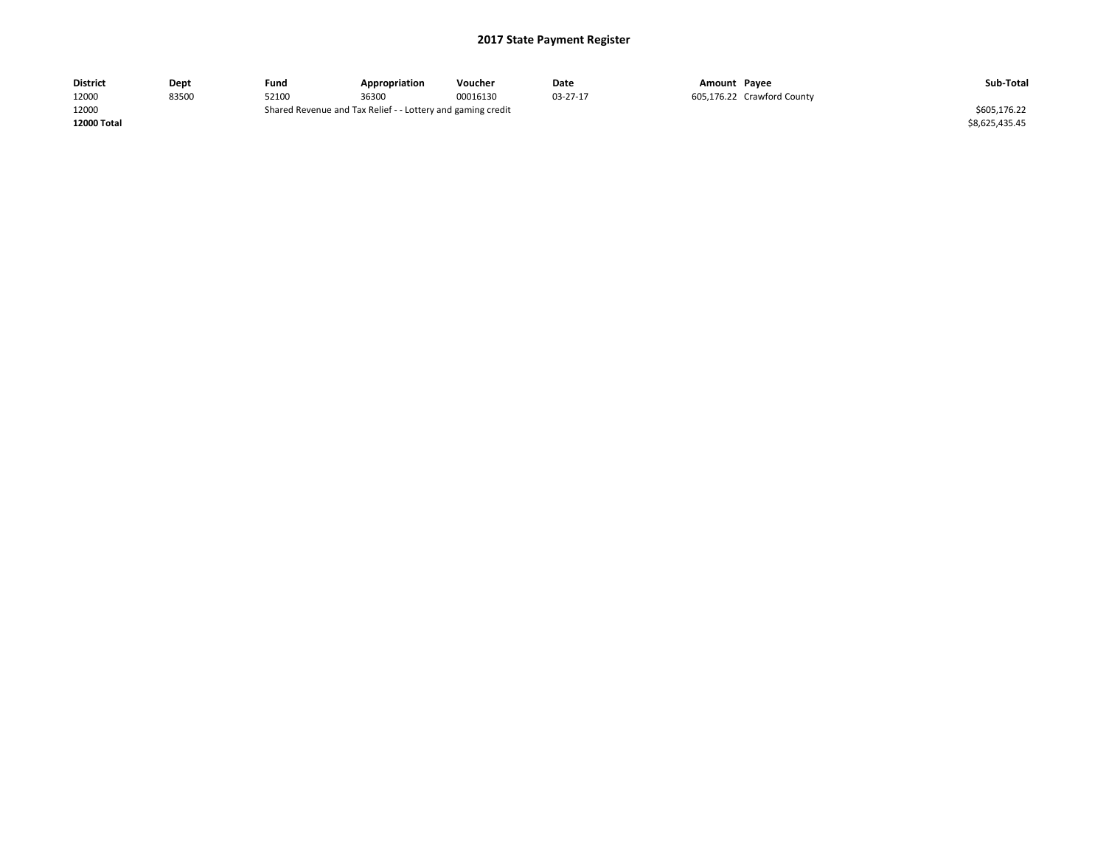| <b>District</b> | Dept  | Fund  | Appropriation                                               | Voucher  | Date     | Amount Payee |                            | Sub-Total      |
|-----------------|-------|-------|-------------------------------------------------------------|----------|----------|--------------|----------------------------|----------------|
| 12000           | 83500 | 52100 | 36300                                                       | 00016130 | 03-27-17 |              | 605,176.22 Crawford County |                |
| 12000           |       |       | Shared Revenue and Tax Relief - - Lottery and gaming credit |          |          |              |                            | \$605,176.22   |
| 12000 Total     |       |       |                                                             |          |          |              |                            | \$8,625,435.45 |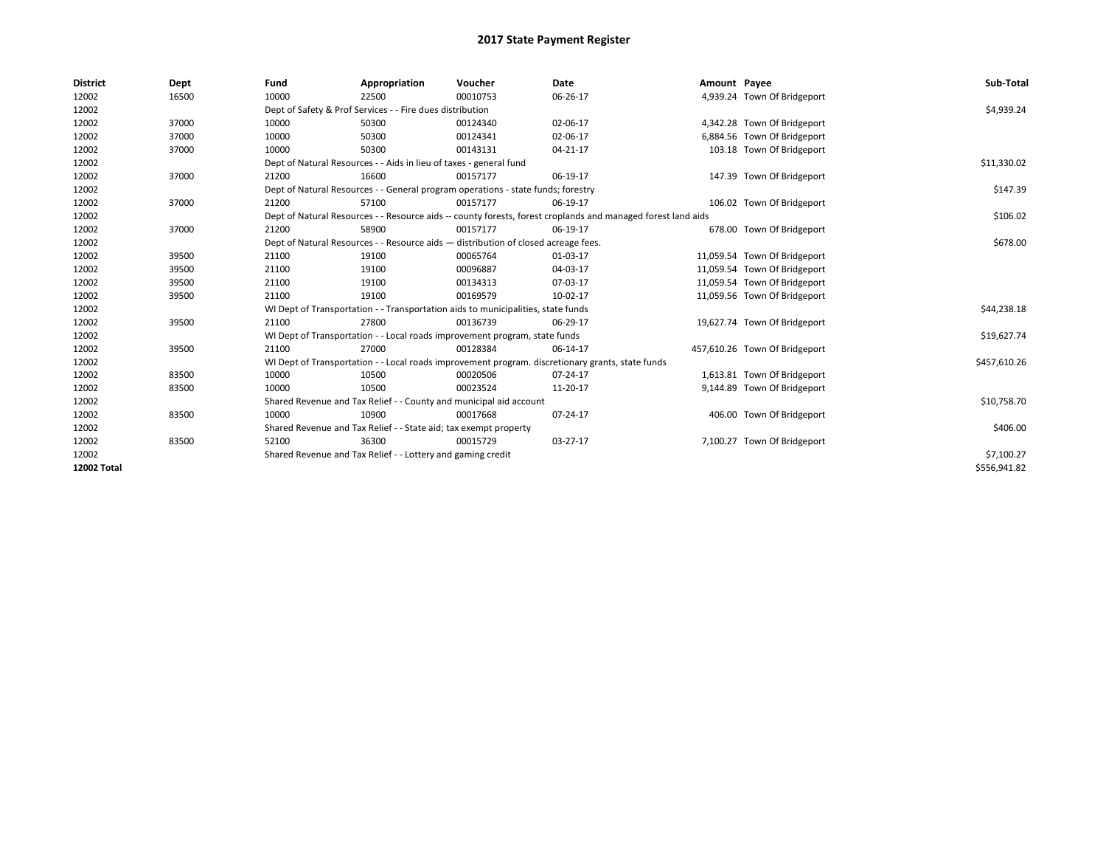| <b>District</b>    | Dept  | Fund  | Appropriation                                                                                                | Voucher  | Date     | Amount Payee |                               | Sub-Total    |
|--------------------|-------|-------|--------------------------------------------------------------------------------------------------------------|----------|----------|--------------|-------------------------------|--------------|
| 12002              | 16500 | 10000 | 22500                                                                                                        | 00010753 | 06-26-17 |              | 4,939.24 Town Of Bridgeport   |              |
| 12002              |       |       | Dept of Safety & Prof Services - - Fire dues distribution                                                    |          |          |              |                               | \$4,939.24   |
| 12002              | 37000 | 10000 | 50300                                                                                                        | 00124340 | 02-06-17 |              | 4,342.28 Town Of Bridgeport   |              |
| 12002              | 37000 | 10000 | 50300                                                                                                        | 00124341 | 02-06-17 |              | 6,884.56 Town Of Bridgeport   |              |
| 12002              | 37000 | 10000 | 50300                                                                                                        | 00143131 | 04-21-17 |              | 103.18 Town Of Bridgeport     |              |
| 12002              |       |       | Dept of Natural Resources - - Aids in lieu of taxes - general fund                                           |          |          |              |                               | \$11,330.02  |
| 12002              | 37000 | 21200 | 16600                                                                                                        | 00157177 | 06-19-17 |              | 147.39 Town Of Bridgeport     |              |
| 12002              |       |       | Dept of Natural Resources - - General program operations - state funds; forestry                             |          | \$147.39 |              |                               |              |
| 12002              | 37000 | 21200 | 57100                                                                                                        | 00157177 | 06-19-17 |              | 106.02 Town Of Bridgeport     |              |
| 12002              |       |       | Dept of Natural Resources - - Resource aids -- county forests, forest croplands and managed forest land aids |          | \$106.02 |              |                               |              |
| 12002              | 37000 | 21200 | 58900                                                                                                        | 00157177 | 06-19-17 |              | 678.00 Town Of Bridgeport     |              |
| 12002              |       |       | Dept of Natural Resources - - Resource aids - distribution of closed acreage fees.                           |          |          |              |                               | \$678.00     |
| 12002              | 39500 | 21100 | 19100                                                                                                        | 00065764 | 01-03-17 |              | 11,059.54 Town Of Bridgeport  |              |
| 12002              | 39500 | 21100 | 19100                                                                                                        | 00096887 | 04-03-17 |              | 11,059.54 Town Of Bridgeport  |              |
| 12002              | 39500 | 21100 | 19100                                                                                                        | 00134313 | 07-03-17 |              | 11,059.54 Town Of Bridgeport  |              |
| 12002              | 39500 | 21100 | 19100                                                                                                        | 00169579 | 10-02-17 |              | 11,059.56 Town Of Bridgeport  |              |
| 12002              |       |       | WI Dept of Transportation - - Transportation aids to municipalities, state funds                             |          |          |              |                               | \$44,238.18  |
| 12002              | 39500 | 21100 | 27800                                                                                                        | 00136739 | 06-29-17 |              | 19,627.74 Town Of Bridgeport  |              |
| 12002              |       |       | WI Dept of Transportation - - Local roads improvement program, state funds                                   |          |          |              |                               | \$19,627.74  |
| 12002              | 39500 | 21100 | 27000                                                                                                        | 00128384 | 06-14-17 |              | 457,610.26 Town Of Bridgeport |              |
| 12002              |       |       | WI Dept of Transportation - - Local roads improvement program. discretionary grants, state funds             |          |          |              |                               | \$457,610.26 |
| 12002              | 83500 | 10000 | 10500                                                                                                        | 00020506 | 07-24-17 |              | 1,613.81 Town Of Bridgeport   |              |
| 12002              | 83500 | 10000 | 10500                                                                                                        | 00023524 | 11-20-17 |              | 9,144.89 Town Of Bridgeport   |              |
| 12002              |       |       | Shared Revenue and Tax Relief - - County and municipal aid account                                           |          |          |              |                               | \$10,758.70  |
| 12002              | 83500 | 10000 | 10900                                                                                                        | 00017668 | 07-24-17 |              | 406.00 Town Of Bridgeport     |              |
| 12002              |       |       | Shared Revenue and Tax Relief - - State aid; tax exempt property                                             |          |          |              |                               | \$406.00     |
| 12002              | 83500 | 52100 | 36300                                                                                                        | 00015729 | 03-27-17 |              | 7,100.27 Town Of Bridgeport   |              |
| 12002              |       |       | Shared Revenue and Tax Relief - - Lottery and gaming credit                                                  |          |          |              |                               | \$7,100.27   |
| <b>12002 Total</b> |       |       |                                                                                                              |          |          |              |                               | \$556,941.82 |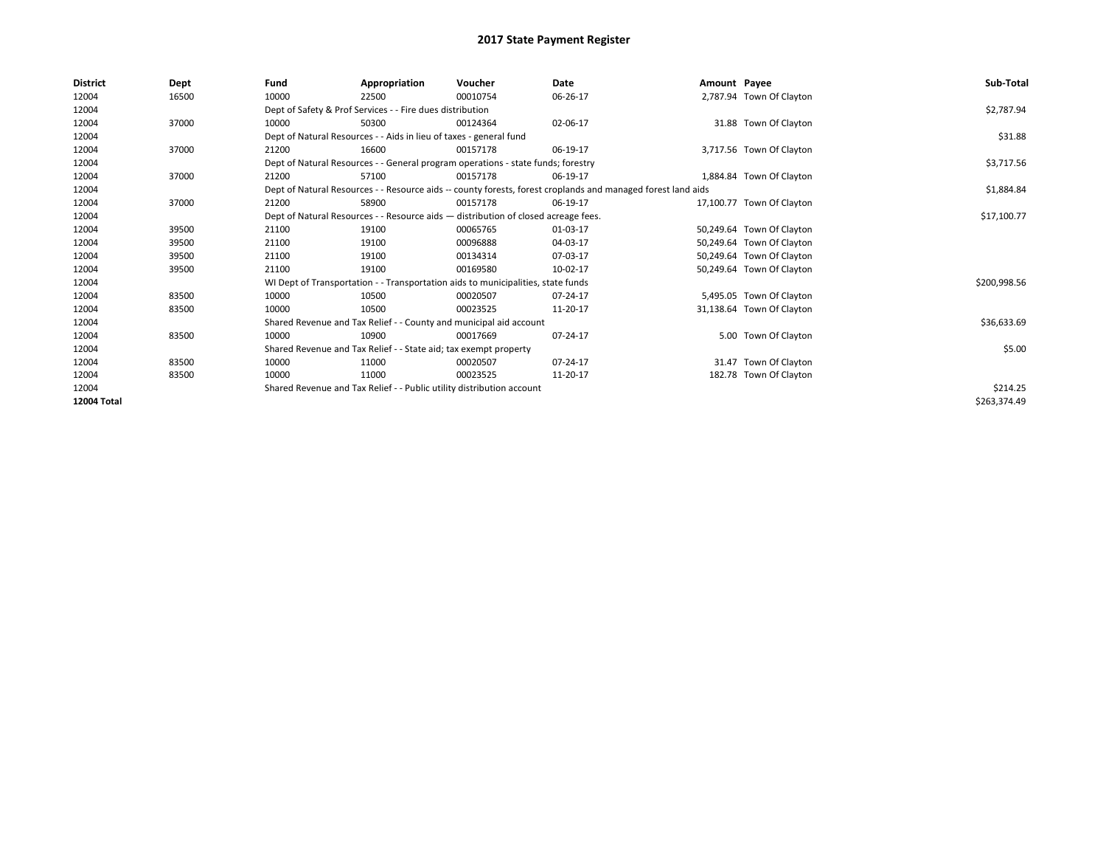| <b>District</b> | Dept  | Fund                                                                               | Appropriation                                                                                                | Voucher     | Date     | Amount Payee |                           | Sub-Total    |  |  |  |
|-----------------|-------|------------------------------------------------------------------------------------|--------------------------------------------------------------------------------------------------------------|-------------|----------|--------------|---------------------------|--------------|--|--|--|
| 12004           | 16500 | 10000                                                                              | 22500                                                                                                        | 00010754    | 06-26-17 |              | 2,787.94 Town Of Clayton  |              |  |  |  |
| 12004           |       |                                                                                    | Dept of Safety & Prof Services - - Fire dues distribution                                                    |             |          |              |                           | \$2,787.94   |  |  |  |
| 12004           | 37000 | 10000                                                                              | 50300                                                                                                        | 00124364    | 02-06-17 |              | 31.88 Town Of Clayton     |              |  |  |  |
| 12004           |       |                                                                                    | Dept of Natural Resources - - Aids in lieu of taxes - general fund                                           |             |          |              |                           | \$31.88      |  |  |  |
| 12004           | 37000 | 21200                                                                              | 16600                                                                                                        | 00157178    | 06-19-17 |              | 3,717.56 Town Of Clayton  |              |  |  |  |
| 12004           |       |                                                                                    | Dept of Natural Resources - - General program operations - state funds; forestry                             |             |          |              |                           | \$3,717.56   |  |  |  |
| 12004           | 37000 | 21200                                                                              | 57100                                                                                                        | 00157178    | 06-19-17 |              | 1,884.84 Town Of Clayton  |              |  |  |  |
| 12004           |       |                                                                                    | Dept of Natural Resources - - Resource aids -- county forests, forest croplands and managed forest land aids |             |          |              |                           |              |  |  |  |
| 12004           | 37000 | 21200                                                                              | 58900                                                                                                        | 00157178    | 06-19-17 |              | 17,100.77 Town Of Clayton |              |  |  |  |
| 12004           |       | Dept of Natural Resources - - Resource aids - distribution of closed acreage fees. |                                                                                                              | \$17,100.77 |          |              |                           |              |  |  |  |
| 12004           | 39500 | 21100                                                                              | 19100                                                                                                        | 00065765    | 01-03-17 |              | 50,249.64 Town Of Clayton |              |  |  |  |
| 12004           | 39500 | 21100                                                                              | 19100                                                                                                        | 00096888    | 04-03-17 |              | 50,249.64 Town Of Clayton |              |  |  |  |
| 12004           | 39500 | 21100                                                                              | 19100                                                                                                        | 00134314    | 07-03-17 |              | 50,249.64 Town Of Clayton |              |  |  |  |
| 12004           | 39500 | 21100                                                                              | 19100                                                                                                        | 00169580    | 10-02-17 |              | 50,249.64 Town Of Clayton |              |  |  |  |
| 12004           |       |                                                                                    | WI Dept of Transportation - - Transportation aids to municipalities, state funds                             |             |          |              |                           | \$200,998.56 |  |  |  |
| 12004           | 83500 | 10000                                                                              | 10500                                                                                                        | 00020507    | 07-24-17 |              | 5,495.05 Town Of Clayton  |              |  |  |  |
| 12004           | 83500 | 10000                                                                              | 10500                                                                                                        | 00023525    | 11-20-17 |              | 31,138.64 Town Of Clayton |              |  |  |  |
| 12004           |       |                                                                                    | Shared Revenue and Tax Relief - - County and municipal aid account                                           |             |          |              |                           | \$36,633.69  |  |  |  |
| 12004           | 83500 | 10000                                                                              | 10900                                                                                                        | 00017669    | 07-24-17 |              | 5.00 Town Of Clayton      |              |  |  |  |
| 12004           |       |                                                                                    | Shared Revenue and Tax Relief - - State aid; tax exempt property                                             |             |          |              |                           | \$5.00       |  |  |  |
| 12004           | 83500 | 10000                                                                              | 11000                                                                                                        | 00020507    | 07-24-17 |              | 31.47 Town Of Clayton     |              |  |  |  |
| 12004           | 83500 | 10000                                                                              | 11000                                                                                                        | 00023525    | 11-20-17 |              | 182.78 Town Of Clayton    |              |  |  |  |
| 12004           |       | Shared Revenue and Tax Relief - - Public utility distribution account              |                                                                                                              | \$214.25    |          |              |                           |              |  |  |  |
| 12004 Total     |       |                                                                                    |                                                                                                              |             |          |              |                           | \$263,374.49 |  |  |  |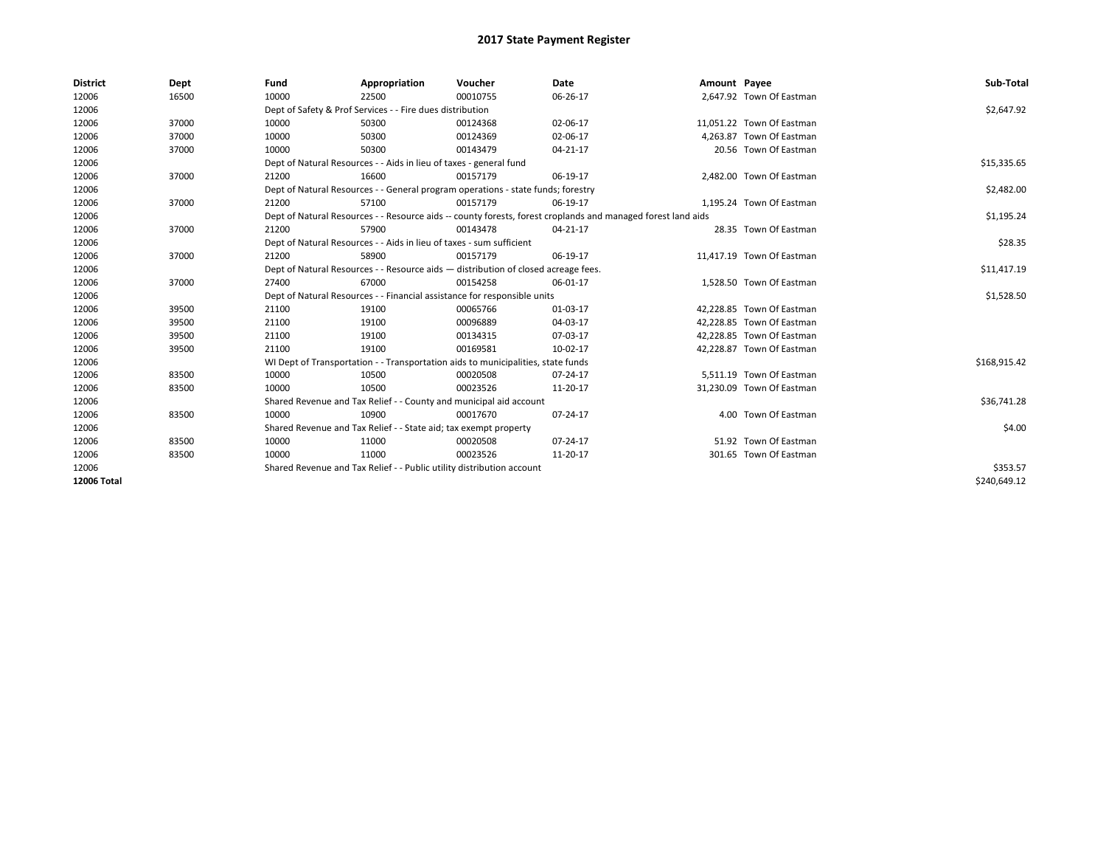| <b>District</b> | Dept  | Fund  | Appropriation                                                                      | Voucher  | Date                                                                                                         | Amount Payee |                           | Sub-Total    |  |  |
|-----------------|-------|-------|------------------------------------------------------------------------------------|----------|--------------------------------------------------------------------------------------------------------------|--------------|---------------------------|--------------|--|--|
| 12006           | 16500 | 10000 | 22500                                                                              | 00010755 | 06-26-17                                                                                                     |              | 2,647.92 Town Of Eastman  |              |  |  |
| 12006           |       |       | Dept of Safety & Prof Services - - Fire dues distribution                          |          |                                                                                                              |              |                           | \$2,647.92   |  |  |
| 12006           | 37000 | 10000 | 50300                                                                              | 00124368 | 02-06-17                                                                                                     |              | 11,051.22 Town Of Eastman |              |  |  |
| 12006           | 37000 | 10000 | 50300                                                                              | 00124369 | 02-06-17                                                                                                     |              | 4.263.87 Town Of Eastman  |              |  |  |
| 12006           | 37000 | 10000 | 50300                                                                              | 00143479 | $04 - 21 - 17$                                                                                               |              | 20.56 Town Of Eastman     |              |  |  |
| 12006           |       |       | Dept of Natural Resources - - Aids in lieu of taxes - general fund                 |          | \$15,335.65                                                                                                  |              |                           |              |  |  |
| 12006           | 37000 | 21200 | 16600                                                                              | 00157179 | 06-19-17                                                                                                     |              | 2,482.00 Town Of Eastman  |              |  |  |
| 12006           |       |       | Dept of Natural Resources - - General program operations - state funds; forestry   |          | \$2,482.00                                                                                                   |              |                           |              |  |  |
| 12006           | 37000 | 21200 | 57100                                                                              | 00157179 | 06-19-17                                                                                                     |              | 1,195.24 Town Of Eastman  |              |  |  |
| 12006           |       |       |                                                                                    |          | Dept of Natural Resources - - Resource aids -- county forests, forest croplands and managed forest land aids |              |                           | \$1,195.24   |  |  |
| 12006           | 37000 | 21200 | 57900                                                                              | 00143478 | 04-21-17                                                                                                     |              | 28.35 Town Of Eastman     |              |  |  |
| 12006           |       |       | Dept of Natural Resources - - Aids in lieu of taxes - sum sufficient               |          |                                                                                                              |              |                           |              |  |  |
| 12006           | 37000 | 21200 | 58900                                                                              | 00157179 | 06-19-17                                                                                                     |              | 11,417.19 Town Of Eastman |              |  |  |
| 12006           |       |       | Dept of Natural Resources - - Resource aids - distribution of closed acreage fees. |          | \$11,417.19                                                                                                  |              |                           |              |  |  |
| 12006           | 37000 | 27400 | 67000                                                                              | 00154258 | 06-01-17                                                                                                     |              | 1.528.50 Town Of Eastman  |              |  |  |
| 12006           |       |       | Dept of Natural Resources - - Financial assistance for responsible units           |          |                                                                                                              |              |                           | \$1,528.50   |  |  |
| 12006           | 39500 | 21100 | 19100                                                                              | 00065766 | 01-03-17                                                                                                     |              | 42,228.85 Town Of Eastman |              |  |  |
| 12006           | 39500 | 21100 | 19100                                                                              | 00096889 | 04-03-17                                                                                                     |              | 42.228.85 Town Of Eastman |              |  |  |
| 12006           | 39500 | 21100 | 19100                                                                              | 00134315 | 07-03-17                                                                                                     |              | 42,228.85 Town Of Eastman |              |  |  |
| 12006           | 39500 | 21100 | 19100                                                                              | 00169581 | 10-02-17                                                                                                     |              | 42.228.87 Town Of Eastman |              |  |  |
| 12006           |       |       | WI Dept of Transportation - - Transportation aids to municipalities, state funds   |          |                                                                                                              |              |                           | \$168,915.42 |  |  |
| 12006           | 83500 | 10000 | 10500                                                                              | 00020508 | 07-24-17                                                                                                     |              | 5,511.19 Town Of Eastman  |              |  |  |
| 12006           | 83500 | 10000 | 10500                                                                              | 00023526 | 11-20-17                                                                                                     |              | 31,230.09 Town Of Eastman |              |  |  |
| 12006           |       |       | Shared Revenue and Tax Relief - - County and municipal aid account                 |          |                                                                                                              |              |                           | \$36,741.28  |  |  |
| 12006           | 83500 | 10000 | 10900                                                                              | 00017670 | 07-24-17                                                                                                     |              | 4.00 Town Of Eastman      |              |  |  |
| 12006           |       |       | Shared Revenue and Tax Relief - - State aid; tax exempt property                   |          |                                                                                                              |              |                           |              |  |  |
| 12006           | 83500 | 10000 | 11000                                                                              | 00020508 | 07-24-17                                                                                                     |              | 51.92 Town Of Eastman     |              |  |  |
| 12006           | 83500 | 10000 | 11000                                                                              | 00023526 | 11-20-17                                                                                                     |              | 301.65 Town Of Eastman    |              |  |  |
| 12006           |       |       | Shared Revenue and Tax Relief - - Public utility distribution account              |          |                                                                                                              |              |                           | \$353.57     |  |  |
| 12006 Total     |       |       |                                                                                    |          |                                                                                                              |              |                           | \$240,649.12 |  |  |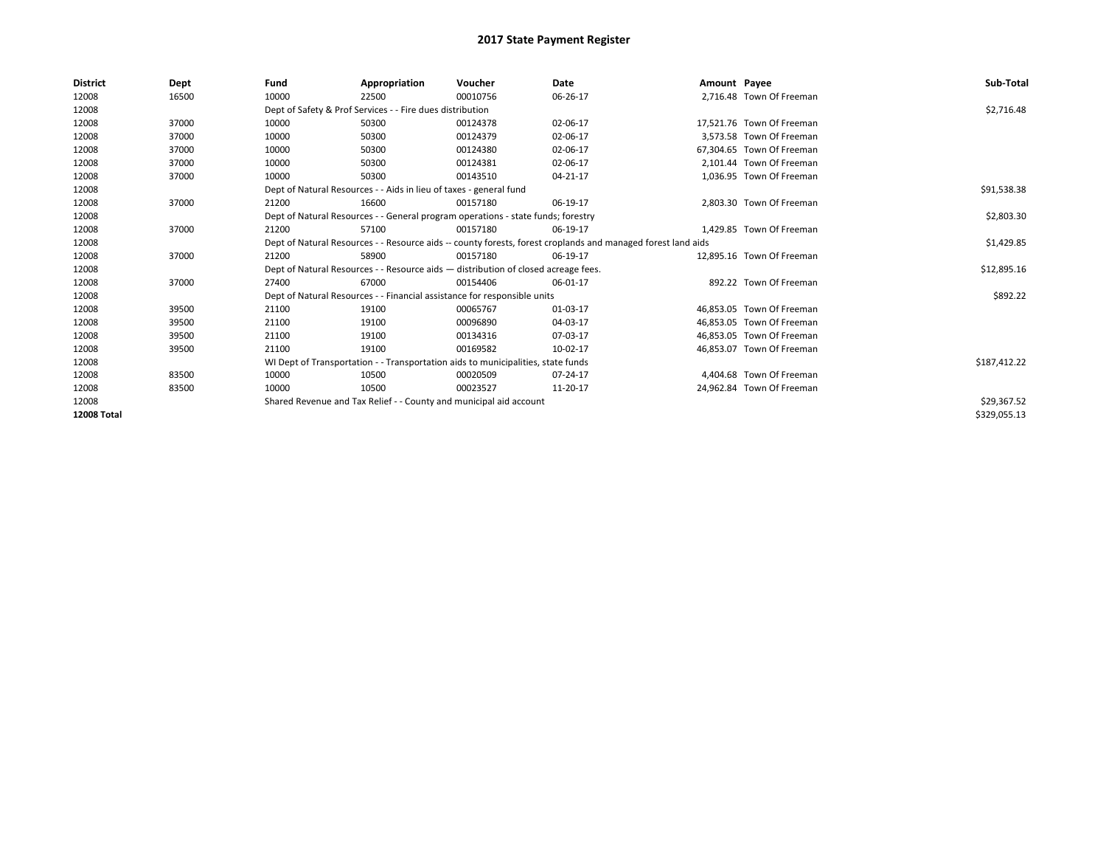| District           | Dept  | Fund  | Appropriation                                                                                                | Voucher  | Date        | Amount Payee |                           | Sub-Total    |  |  |  |
|--------------------|-------|-------|--------------------------------------------------------------------------------------------------------------|----------|-------------|--------------|---------------------------|--------------|--|--|--|
| 12008              | 16500 | 10000 | 22500                                                                                                        | 00010756 | 06-26-17    |              | 2,716.48 Town Of Freeman  |              |  |  |  |
| 12008              |       |       | Dept of Safety & Prof Services - - Fire dues distribution                                                    |          |             |              |                           | \$2,716.48   |  |  |  |
| 12008              | 37000 | 10000 | 50300                                                                                                        | 00124378 | 02-06-17    |              | 17,521.76 Town Of Freeman |              |  |  |  |
| 12008              | 37000 | 10000 | 50300                                                                                                        | 00124379 | 02-06-17    |              | 3.573.58 Town Of Freeman  |              |  |  |  |
| 12008              | 37000 | 10000 | 50300                                                                                                        | 00124380 | 02-06-17    |              | 67.304.65 Town Of Freeman |              |  |  |  |
| 12008              | 37000 | 10000 | 50300                                                                                                        | 00124381 | 02-06-17    |              | 2,101.44 Town Of Freeman  |              |  |  |  |
| 12008              | 37000 | 10000 | 50300                                                                                                        | 00143510 | 04-21-17    |              | 1,036.95 Town Of Freeman  |              |  |  |  |
| 12008              |       |       | Dept of Natural Resources - - Aids in lieu of taxes - general fund                                           |          | \$91,538.38 |              |                           |              |  |  |  |
| 12008              | 37000 | 21200 | 16600                                                                                                        | 00157180 | 06-19-17    |              | 2.803.30 Town Of Freeman  |              |  |  |  |
| 12008              |       |       | Dept of Natural Resources - - General program operations - state funds; forestry                             |          | \$2,803.30  |              |                           |              |  |  |  |
| 12008              | 37000 | 21200 | 57100                                                                                                        | 00157180 | 06-19-17    |              | 1,429.85 Town Of Freeman  |              |  |  |  |
| 12008              |       |       | Dept of Natural Resources - - Resource aids -- county forests, forest croplands and managed forest land aids |          |             |              |                           |              |  |  |  |
| 12008              | 37000 | 21200 | 58900                                                                                                        | 00157180 | 06-19-17    |              | 12.895.16 Town Of Freeman |              |  |  |  |
| 12008              |       |       | Dept of Natural Resources - - Resource aids - distribution of closed acreage fees.                           |          |             |              |                           | \$12,895.16  |  |  |  |
| 12008              | 37000 | 27400 | 67000                                                                                                        | 00154406 | 06-01-17    |              | 892.22 Town Of Freeman    |              |  |  |  |
| 12008              |       |       | Dept of Natural Resources - - Financial assistance for responsible units                                     |          |             |              |                           | \$892.22     |  |  |  |
| 12008              | 39500 | 21100 | 19100                                                                                                        | 00065767 | 01-03-17    |              | 46.853.05 Town Of Freeman |              |  |  |  |
| 12008              | 39500 | 21100 | 19100                                                                                                        | 00096890 | 04-03-17    |              | 46.853.05 Town Of Freeman |              |  |  |  |
| 12008              | 39500 | 21100 | 19100                                                                                                        | 00134316 | 07-03-17    |              | 46,853.05 Town Of Freeman |              |  |  |  |
| 12008              | 39500 | 21100 | 19100                                                                                                        | 00169582 | 10-02-17    |              | 46.853.07 Town Of Freeman |              |  |  |  |
| 12008              |       |       | WI Dept of Transportation - - Transportation aids to municipalities, state funds                             |          |             |              |                           | \$187,412.22 |  |  |  |
| 12008              | 83500 | 10000 | 10500                                                                                                        | 00020509 | 07-24-17    |              | 4,404.68 Town Of Freeman  |              |  |  |  |
| 12008              | 83500 | 10000 | 10500                                                                                                        | 00023527 | 11-20-17    |              | 24,962.84 Town Of Freeman |              |  |  |  |
| 12008              |       |       | Shared Revenue and Tax Relief - - County and municipal aid account                                           |          |             |              |                           | \$29,367.52  |  |  |  |
| <b>12008 Total</b> |       |       |                                                                                                              |          |             |              |                           | \$329,055.13 |  |  |  |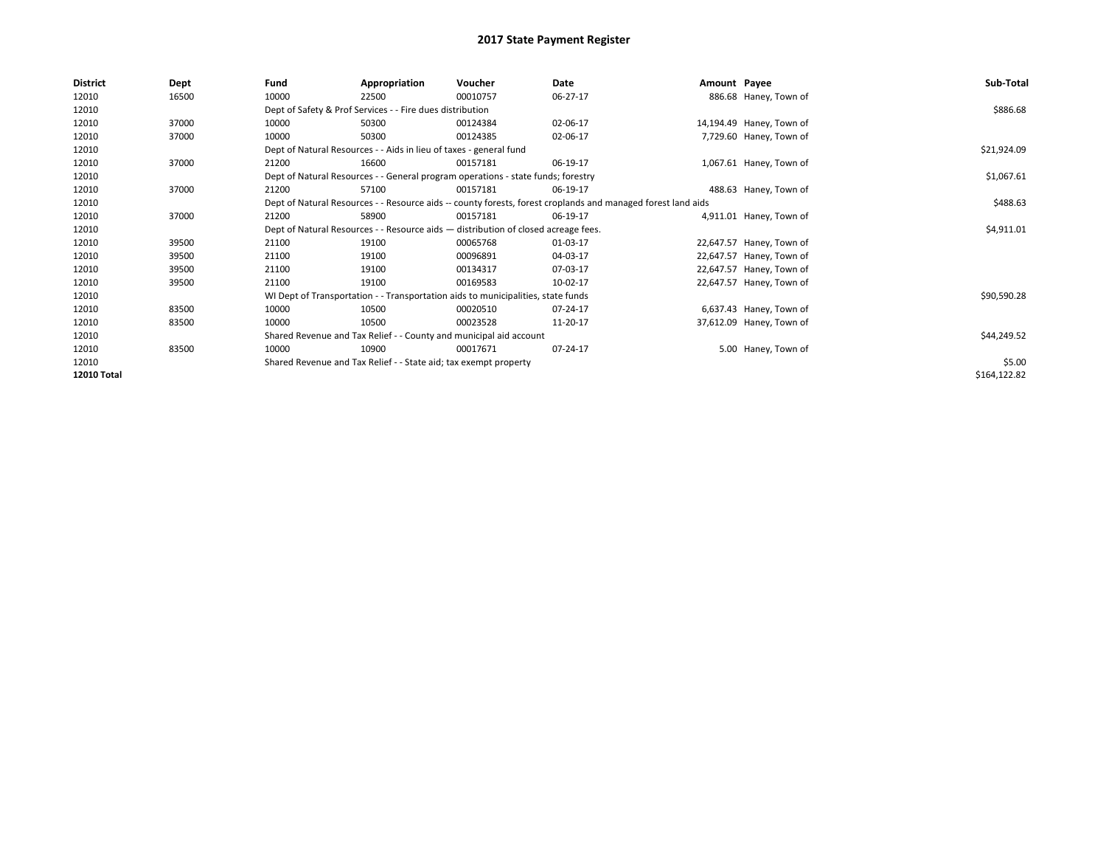| <b>District</b> | Dept  | Fund  | Appropriation                                                                                                | Voucher  | Date     | Amount Payee |                          | Sub-Total    |  |  |  |
|-----------------|-------|-------|--------------------------------------------------------------------------------------------------------------|----------|----------|--------------|--------------------------|--------------|--|--|--|
| 12010           | 16500 | 10000 | 22500                                                                                                        | 00010757 | 06-27-17 |              | 886.68 Haney, Town of    |              |  |  |  |
| 12010           |       |       | Dept of Safety & Prof Services - - Fire dues distribution                                                    |          |          |              |                          | \$886.68     |  |  |  |
| 12010           | 37000 | 10000 | 50300                                                                                                        | 00124384 | 02-06-17 |              | 14,194.49 Haney, Town of |              |  |  |  |
| 12010           | 37000 | 10000 | 50300                                                                                                        | 00124385 | 02-06-17 |              | 7,729.60 Haney, Town of  |              |  |  |  |
| 12010           |       |       | Dept of Natural Resources - - Aids in lieu of taxes - general fund                                           |          |          |              |                          | \$21,924.09  |  |  |  |
| 12010           | 37000 | 21200 | 16600                                                                                                        | 00157181 | 06-19-17 |              | 1,067.61 Haney, Town of  |              |  |  |  |
| 12010           |       |       | Dept of Natural Resources - - General program operations - state funds; forestry                             |          |          |              |                          |              |  |  |  |
| 12010           | 37000 | 21200 | 57100                                                                                                        | 00157181 | 06-19-17 |              | 488.63 Haney, Town of    |              |  |  |  |
| 12010           |       |       | Dept of Natural Resources - - Resource aids -- county forests, forest croplands and managed forest land aids |          |          |              |                          |              |  |  |  |
| 12010           | 37000 | 21200 | 58900                                                                                                        | 00157181 | 06-19-17 |              | 4,911.01 Haney, Town of  |              |  |  |  |
| 12010           |       |       | Dept of Natural Resources - - Resource aids - distribution of closed acreage fees.                           |          |          |              |                          |              |  |  |  |
| 12010           | 39500 | 21100 | 19100                                                                                                        | 00065768 | 01-03-17 |              | 22,647.57 Haney, Town of |              |  |  |  |
| 12010           | 39500 | 21100 | 19100                                                                                                        | 00096891 | 04-03-17 |              | 22,647.57 Haney, Town of |              |  |  |  |
| 12010           | 39500 | 21100 | 19100                                                                                                        | 00134317 | 07-03-17 |              | 22,647.57 Haney, Town of |              |  |  |  |
| 12010           | 39500 | 21100 | 19100                                                                                                        | 00169583 | 10-02-17 |              | 22,647.57 Haney, Town of |              |  |  |  |
| 12010           |       |       | WI Dept of Transportation - - Transportation aids to municipalities, state funds                             |          |          |              |                          | \$90,590.28  |  |  |  |
| 12010           | 83500 | 10000 | 10500                                                                                                        | 00020510 | 07-24-17 |              | 6,637.43 Haney, Town of  |              |  |  |  |
| 12010           | 83500 | 10000 | 10500                                                                                                        | 00023528 | 11-20-17 |              | 37,612.09 Haney, Town of |              |  |  |  |
| 12010           |       |       | Shared Revenue and Tax Relief - - County and municipal aid account                                           |          |          |              |                          | \$44,249.52  |  |  |  |
| 12010           | 83500 | 10000 | 10900                                                                                                        | 00017671 | 07-24-17 |              | 5.00 Haney, Town of      |              |  |  |  |
| 12010           |       |       | Shared Revenue and Tax Relief - - State aid; tax exempt property                                             |          |          |              |                          | \$5.00       |  |  |  |
| 12010 Total     |       |       |                                                                                                              |          |          |              |                          | \$164,122.82 |  |  |  |
|                 |       |       |                                                                                                              |          |          |              |                          |              |  |  |  |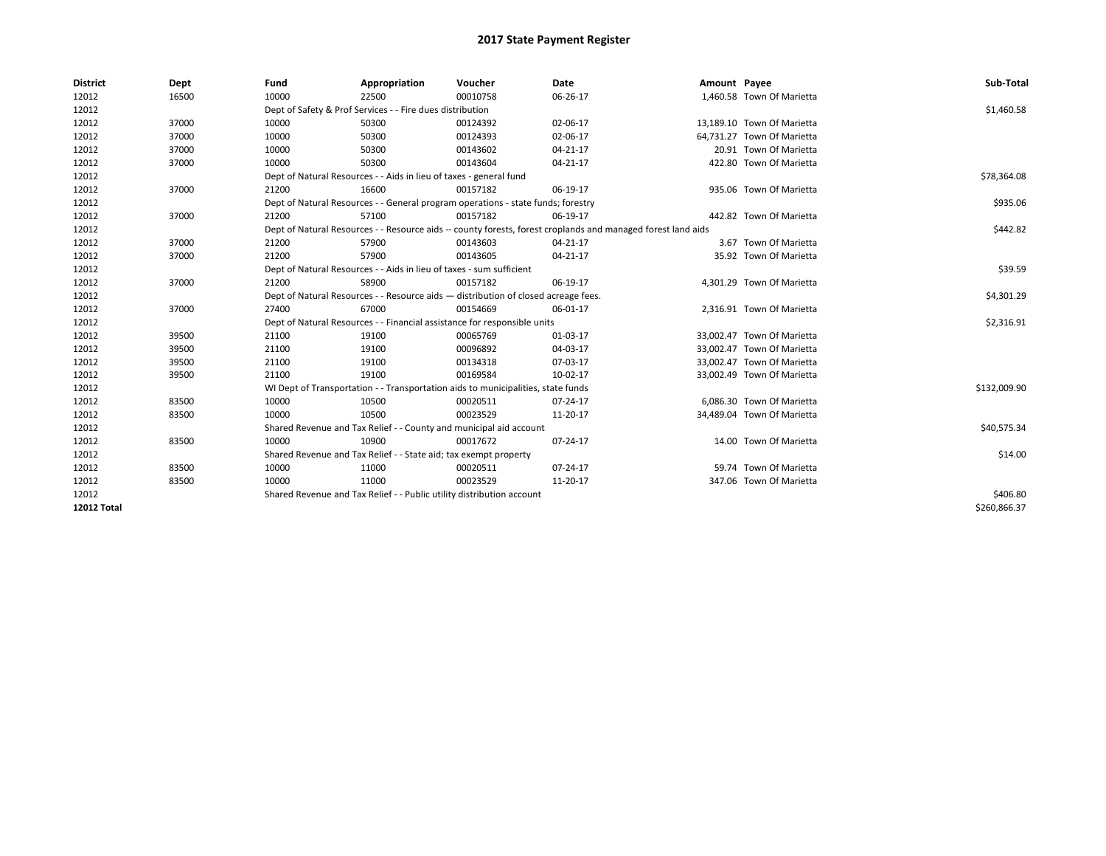| <b>District</b>    | Dept  | Fund                                                                  | Appropriation                                                                                                | Voucher  | Date           | Amount Payee |                            | Sub-Total    |  |  |  |
|--------------------|-------|-----------------------------------------------------------------------|--------------------------------------------------------------------------------------------------------------|----------|----------------|--------------|----------------------------|--------------|--|--|--|
| 12012              | 16500 | 10000                                                                 | 22500                                                                                                        | 00010758 | 06-26-17       |              | 1,460.58 Town Of Marietta  |              |  |  |  |
| 12012              |       |                                                                       | Dept of Safety & Prof Services - - Fire dues distribution                                                    |          |                |              |                            | \$1,460.58   |  |  |  |
| 12012              | 37000 | 10000                                                                 | 50300                                                                                                        | 00124392 | 02-06-17       |              | 13,189.10 Town Of Marietta |              |  |  |  |
| 12012              | 37000 | 10000                                                                 | 50300                                                                                                        | 00124393 | 02-06-17       |              | 64,731.27 Town Of Marietta |              |  |  |  |
| 12012              | 37000 | 10000                                                                 | 50300                                                                                                        | 00143602 | $04 - 21 - 17$ |              | 20.91 Town Of Marietta     |              |  |  |  |
| 12012              | 37000 | 10000                                                                 | 50300                                                                                                        | 00143604 | $04 - 21 - 17$ |              | 422.80 Town Of Marietta    |              |  |  |  |
| 12012              |       |                                                                       | Dept of Natural Resources - - Aids in lieu of taxes - general fund                                           |          |                |              |                            | \$78,364.08  |  |  |  |
| 12012              | 37000 | 21200                                                                 | 16600                                                                                                        | 00157182 | 06-19-17       |              | 935.06 Town Of Marietta    |              |  |  |  |
| 12012              |       |                                                                       | Dept of Natural Resources - - General program operations - state funds; forestry                             |          |                |              |                            | \$935.06     |  |  |  |
| 12012              | 37000 | 21200                                                                 | 57100                                                                                                        | 00157182 | 06-19-17       |              | 442.82 Town Of Marietta    |              |  |  |  |
| 12012              |       |                                                                       | Dept of Natural Resources - - Resource aids -- county forests, forest croplands and managed forest land aids |          |                |              |                            |              |  |  |  |
| 12012              | 37000 | 21200                                                                 | 57900                                                                                                        | 00143603 | $04 - 21 - 17$ |              | 3.67 Town Of Marietta      |              |  |  |  |
| 12012              | 37000 | 21200                                                                 | 57900                                                                                                        | 00143605 | 04-21-17       |              | 35.92 Town Of Marietta     |              |  |  |  |
| 12012              |       |                                                                       | Dept of Natural Resources - - Aids in lieu of taxes - sum sufficient                                         |          |                |              |                            |              |  |  |  |
| 12012              | 37000 | 21200                                                                 | 58900                                                                                                        | 00157182 | 06-19-17       |              | 4,301.29 Town Of Marietta  |              |  |  |  |
| 12012              |       |                                                                       | Dept of Natural Resources - - Resource aids - distribution of closed acreage fees.                           |          |                |              |                            |              |  |  |  |
| 12012              | 37000 | 27400                                                                 | 67000                                                                                                        | 00154669 | 06-01-17       |              | 2,316.91 Town Of Marietta  |              |  |  |  |
| 12012              |       |                                                                       | Dept of Natural Resources - - Financial assistance for responsible units                                     |          |                |              |                            | \$2,316.91   |  |  |  |
| 12012              | 39500 | 21100                                                                 | 19100                                                                                                        | 00065769 | 01-03-17       |              | 33,002.47 Town Of Marietta |              |  |  |  |
| 12012              | 39500 | 21100                                                                 | 19100                                                                                                        | 00096892 | 04-03-17       |              | 33,002.47 Town Of Marietta |              |  |  |  |
| 12012              | 39500 | 21100                                                                 | 19100                                                                                                        | 00134318 | 07-03-17       |              | 33,002.47 Town Of Marietta |              |  |  |  |
| 12012              | 39500 | 21100                                                                 | 19100                                                                                                        | 00169584 | 10-02-17       |              | 33,002.49 Town Of Marietta |              |  |  |  |
| 12012              |       |                                                                       | WI Dept of Transportation - - Transportation aids to municipalities, state funds                             |          |                |              |                            | \$132,009.90 |  |  |  |
| 12012              | 83500 | 10000                                                                 | 10500                                                                                                        | 00020511 | 07-24-17       |              | 6.086.30 Town Of Marietta  |              |  |  |  |
| 12012              | 83500 | 10000                                                                 | 10500                                                                                                        | 00023529 | 11-20-17       |              | 34,489.04 Town Of Marietta |              |  |  |  |
| 12012              |       |                                                                       | Shared Revenue and Tax Relief - - County and municipal aid account                                           |          |                |              |                            | \$40,575.34  |  |  |  |
| 12012              | 83500 | 10000                                                                 | 10900                                                                                                        | 00017672 | 07-24-17       |              | 14.00 Town Of Marietta     |              |  |  |  |
| 12012              |       |                                                                       | Shared Revenue and Tax Relief - - State aid; tax exempt property                                             |          |                |              |                            |              |  |  |  |
| 12012              | 83500 | 10000                                                                 | 11000                                                                                                        | 00020511 | 07-24-17       |              | 59.74 Town Of Marietta     |              |  |  |  |
| 12012              | 83500 | 10000                                                                 | 11000                                                                                                        | 00023529 | 11-20-17       |              | 347.06 Town Of Marietta    |              |  |  |  |
| 12012              |       | Shared Revenue and Tax Relief - - Public utility distribution account |                                                                                                              | \$406.80 |                |              |                            |              |  |  |  |
| <b>12012 Total</b> |       |                                                                       |                                                                                                              |          |                |              |                            | \$260,866.37 |  |  |  |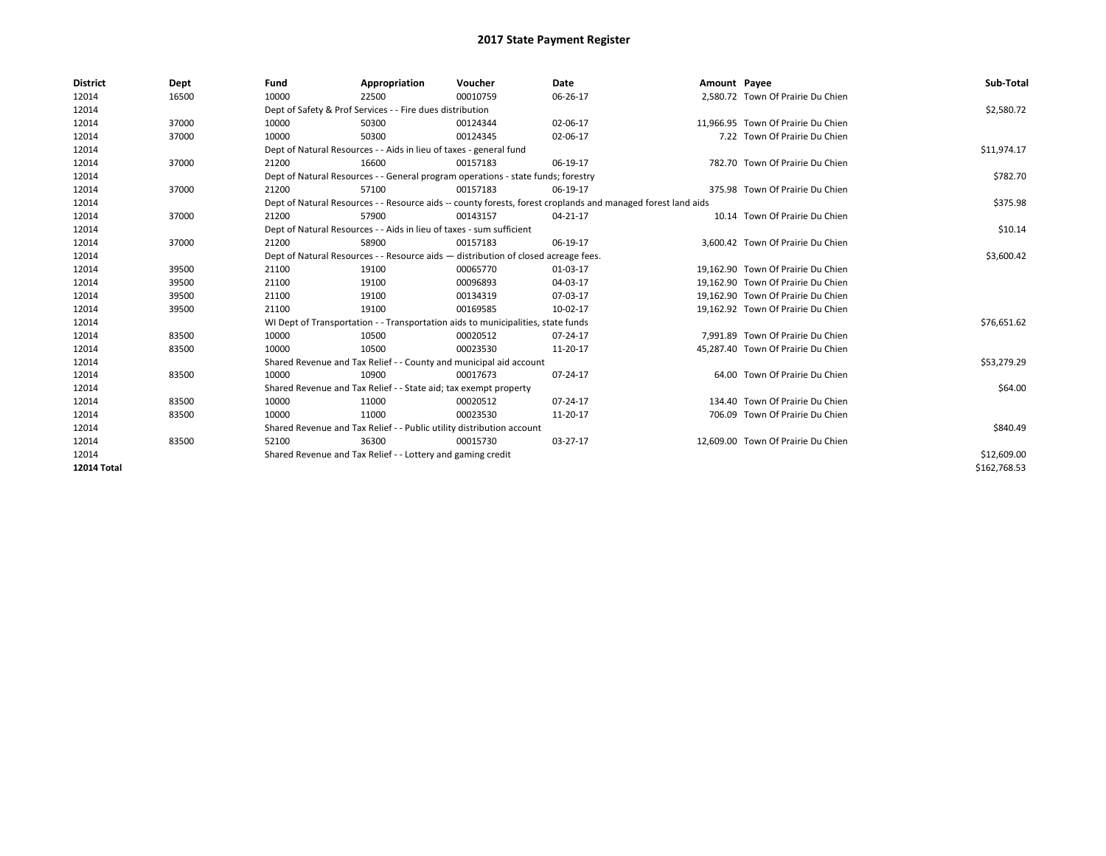| <b>District</b>    | Dept  | Fund                                                                               | Appropriation                                                                                                | Voucher     | Date           | Amount Payee |                                    | Sub-Total    |  |  |
|--------------------|-------|------------------------------------------------------------------------------------|--------------------------------------------------------------------------------------------------------------|-------------|----------------|--------------|------------------------------------|--------------|--|--|
| 12014              | 16500 | 10000                                                                              | 22500                                                                                                        | 00010759    | 06-26-17       |              | 2,580.72 Town Of Prairie Du Chien  |              |  |  |
| 12014              |       |                                                                                    | Dept of Safety & Prof Services - - Fire dues distribution                                                    |             |                |              |                                    | \$2,580.72   |  |  |
| 12014              | 37000 | 10000                                                                              | 50300                                                                                                        | 00124344    | 02-06-17       |              | 11,966.95 Town Of Prairie Du Chien |              |  |  |
| 12014              | 37000 | 10000                                                                              | 50300                                                                                                        | 00124345    | 02-06-17       |              | 7.22 Town Of Prairie Du Chien      |              |  |  |
| 12014              |       | Dept of Natural Resources - - Aids in lieu of taxes - general fund                 |                                                                                                              | \$11,974.17 |                |              |                                    |              |  |  |
| 12014              | 37000 | 21200                                                                              | 16600                                                                                                        | 00157183    | 06-19-17       |              | 782.70 Town Of Prairie Du Chien    |              |  |  |
| 12014              |       | Dept of Natural Resources - - General program operations - state funds; forestry   |                                                                                                              | \$782.70    |                |              |                                    |              |  |  |
| 12014              | 37000 | 21200                                                                              | 57100                                                                                                        | 00157183    | 06-19-17       |              | 375.98 Town Of Prairie Du Chien    |              |  |  |
| 12014              |       |                                                                                    | Dept of Natural Resources - - Resource aids -- county forests, forest croplands and managed forest land aids |             |                |              |                                    |              |  |  |
| 12014              | 37000 | 21200                                                                              | 57900                                                                                                        | 00143157    | $04 - 21 - 17$ |              | 10.14 Town Of Prairie Du Chien     |              |  |  |
| 12014              |       | Dept of Natural Resources - - Aids in lieu of taxes - sum sufficient               |                                                                                                              | \$10.14     |                |              |                                    |              |  |  |
| 12014              | 37000 | 21200                                                                              | 58900                                                                                                        | 00157183    | 06-19-17       |              | 3,600.42 Town Of Prairie Du Chien  |              |  |  |
| 12014              |       | Dept of Natural Resources - - Resource aids - distribution of closed acreage fees. |                                                                                                              | \$3,600.42  |                |              |                                    |              |  |  |
| 12014              | 39500 | 21100                                                                              | 19100                                                                                                        | 00065770    | 01-03-17       |              | 19,162.90 Town Of Prairie Du Chien |              |  |  |
| 12014              | 39500 | 21100                                                                              | 19100                                                                                                        | 00096893    | 04-03-17       |              | 19.162.90 Town Of Prairie Du Chien |              |  |  |
| 12014              | 39500 | 21100                                                                              | 19100                                                                                                        | 00134319    | 07-03-17       |              | 19.162.90 Town Of Prairie Du Chien |              |  |  |
| 12014              | 39500 | 21100                                                                              | 19100                                                                                                        | 00169585    | 10-02-17       |              | 19,162.92 Town Of Prairie Du Chien |              |  |  |
| 12014              |       |                                                                                    | WI Dept of Transportation - - Transportation aids to municipalities, state funds                             |             |                |              |                                    | \$76,651.62  |  |  |
| 12014              | 83500 | 10000                                                                              | 10500                                                                                                        | 00020512    | 07-24-17       |              | 7.991.89 Town Of Prairie Du Chien  |              |  |  |
| 12014              | 83500 | 10000                                                                              | 10500                                                                                                        | 00023530    | 11-20-17       |              | 45,287.40 Town Of Prairie Du Chien |              |  |  |
| 12014              |       |                                                                                    | Shared Revenue and Tax Relief - - County and municipal aid account                                           |             |                |              |                                    | \$53,279.29  |  |  |
| 12014              | 83500 | 10000                                                                              | 10900                                                                                                        | 00017673    | 07-24-17       |              | 64.00 Town Of Prairie Du Chien     |              |  |  |
| 12014              |       |                                                                                    | Shared Revenue and Tax Relief - - State aid; tax exempt property                                             |             |                |              |                                    | \$64.00      |  |  |
| 12014              | 83500 | 10000                                                                              | 11000                                                                                                        | 00020512    | 07-24-17       |              | 134.40 Town Of Prairie Du Chien    |              |  |  |
| 12014              | 83500 | 10000                                                                              | 11000                                                                                                        | 00023530    | 11-20-17       |              | 706.09 Town Of Prairie Du Chien    |              |  |  |
| 12014              |       |                                                                                    | Shared Revenue and Tax Relief - - Public utility distribution account                                        |             |                |              |                                    | \$840.49     |  |  |
| 12014              | 83500 | 52100                                                                              | 36300                                                                                                        | 00015730    | 03-27-17       |              | 12.609.00 Town Of Prairie Du Chien |              |  |  |
| 12014              |       |                                                                                    | Shared Revenue and Tax Relief - - Lottery and gaming credit                                                  |             |                |              |                                    | \$12,609.00  |  |  |
| <b>12014 Total</b> |       |                                                                                    |                                                                                                              |             |                |              |                                    | \$162,768.53 |  |  |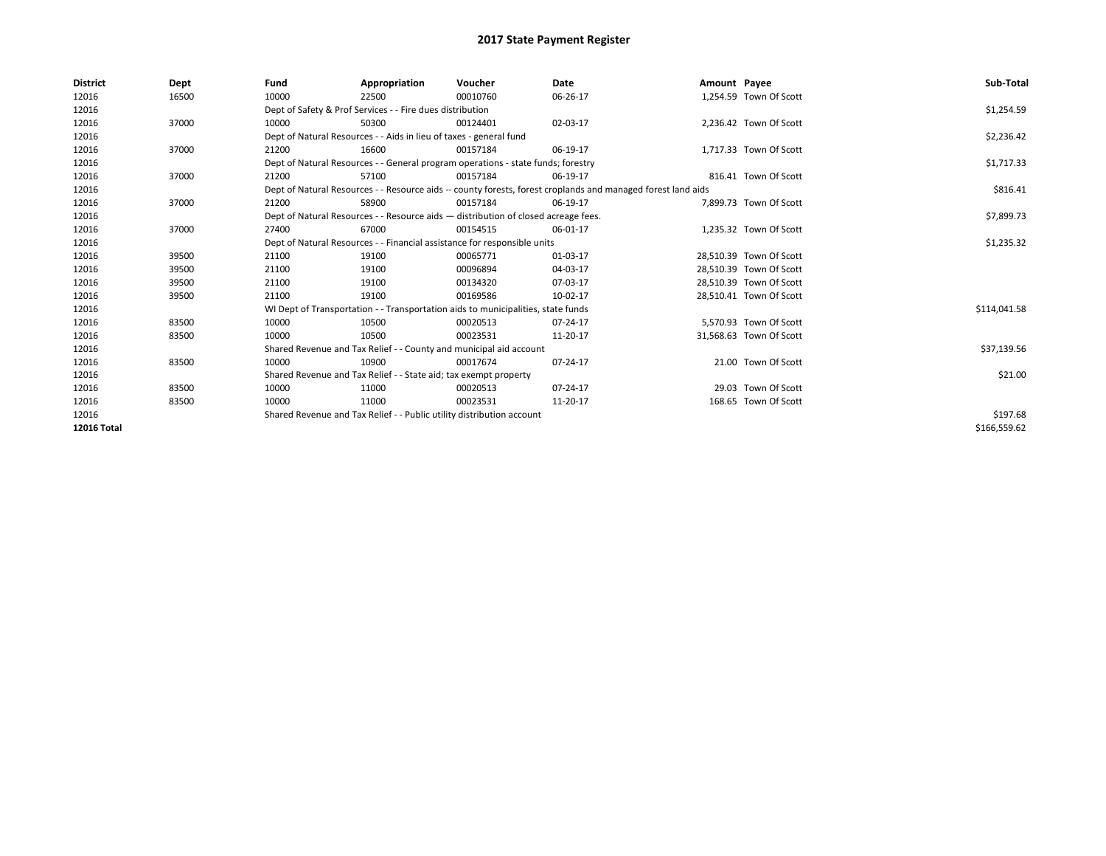| <b>District</b> | Dept  | Fund  | Appropriation                                                                      | Voucher  | Date                                                                                                         | Amount Payee |                         | Sub-Total    |
|-----------------|-------|-------|------------------------------------------------------------------------------------|----------|--------------------------------------------------------------------------------------------------------------|--------------|-------------------------|--------------|
| 12016           | 16500 | 10000 | 22500                                                                              | 00010760 | 06-26-17                                                                                                     |              | 1,254.59 Town Of Scott  |              |
| 12016           |       |       | Dept of Safety & Prof Services - - Fire dues distribution                          |          |                                                                                                              |              |                         | \$1,254.59   |
| 12016           | 37000 | 10000 | 50300                                                                              | 00124401 | 02-03-17                                                                                                     |              | 2,236.42 Town Of Scott  |              |
| 12016           |       |       | Dept of Natural Resources - - Aids in lieu of taxes - general fund                 |          |                                                                                                              |              |                         | \$2,236.42   |
| 12016           | 37000 | 21200 | 16600                                                                              | 00157184 | 06-19-17                                                                                                     |              | 1,717.33 Town Of Scott  |              |
| 12016           |       |       | Dept of Natural Resources - - General program operations - state funds; forestry   |          |                                                                                                              |              |                         | \$1,717.33   |
| 12016           | 37000 | 21200 | 57100                                                                              | 00157184 | 06-19-17                                                                                                     |              | 816.41 Town Of Scott    |              |
| 12016           |       |       |                                                                                    |          | Dept of Natural Resources - - Resource aids -- county forests, forest croplands and managed forest land aids |              |                         | \$816.41     |
| 12016           | 37000 | 21200 | 58900                                                                              | 00157184 | 06-19-17                                                                                                     |              | 7,899.73 Town Of Scott  |              |
| 12016           |       |       | Dept of Natural Resources - - Resource aids - distribution of closed acreage fees. |          |                                                                                                              |              |                         | \$7,899.73   |
| 12016           | 37000 | 27400 | 67000                                                                              | 00154515 | 06-01-17                                                                                                     |              | 1,235.32 Town Of Scott  |              |
| 12016           |       |       | Dept of Natural Resources - - Financial assistance for responsible units           |          | \$1,235.32                                                                                                   |              |                         |              |
| 12016           | 39500 | 21100 | 19100                                                                              | 00065771 | 01-03-17                                                                                                     |              | 28,510.39 Town Of Scott |              |
| 12016           | 39500 | 21100 | 19100                                                                              | 00096894 | 04-03-17                                                                                                     |              | 28,510.39 Town Of Scott |              |
| 12016           | 39500 | 21100 | 19100                                                                              | 00134320 | 07-03-17                                                                                                     |              | 28,510.39 Town Of Scott |              |
| 12016           | 39500 | 21100 | 19100                                                                              | 00169586 | 10-02-17                                                                                                     |              | 28,510.41 Town Of Scott |              |
| 12016           |       |       | WI Dept of Transportation - - Transportation aids to municipalities, state funds   |          |                                                                                                              |              |                         | \$114,041.58 |
| 12016           | 83500 | 10000 | 10500                                                                              | 00020513 | 07-24-17                                                                                                     |              | 5.570.93 Town Of Scott  |              |
| 12016           | 83500 | 10000 | 10500                                                                              | 00023531 | 11-20-17                                                                                                     |              | 31,568.63 Town Of Scott |              |
| 12016           |       |       | Shared Revenue and Tax Relief - - County and municipal aid account                 |          |                                                                                                              |              |                         | \$37,139.56  |
| 12016           | 83500 | 10000 | 10900                                                                              | 00017674 | 07-24-17                                                                                                     |              | 21.00 Town Of Scott     |              |
| 12016           |       |       | Shared Revenue and Tax Relief - - State aid; tax exempt property                   |          |                                                                                                              |              |                         | \$21.00      |
| 12016           | 83500 | 10000 | 11000                                                                              | 00020513 | 07-24-17                                                                                                     |              | 29.03 Town Of Scott     |              |
| 12016           | 83500 | 10000 | 11000                                                                              | 00023531 | 11-20-17                                                                                                     |              | 168.65 Town Of Scott    |              |
| 12016           |       |       | Shared Revenue and Tax Relief - - Public utility distribution account              |          | \$197.68                                                                                                     |              |                         |              |
| 12016 Total     |       |       |                                                                                    |          |                                                                                                              |              |                         | \$166,559.62 |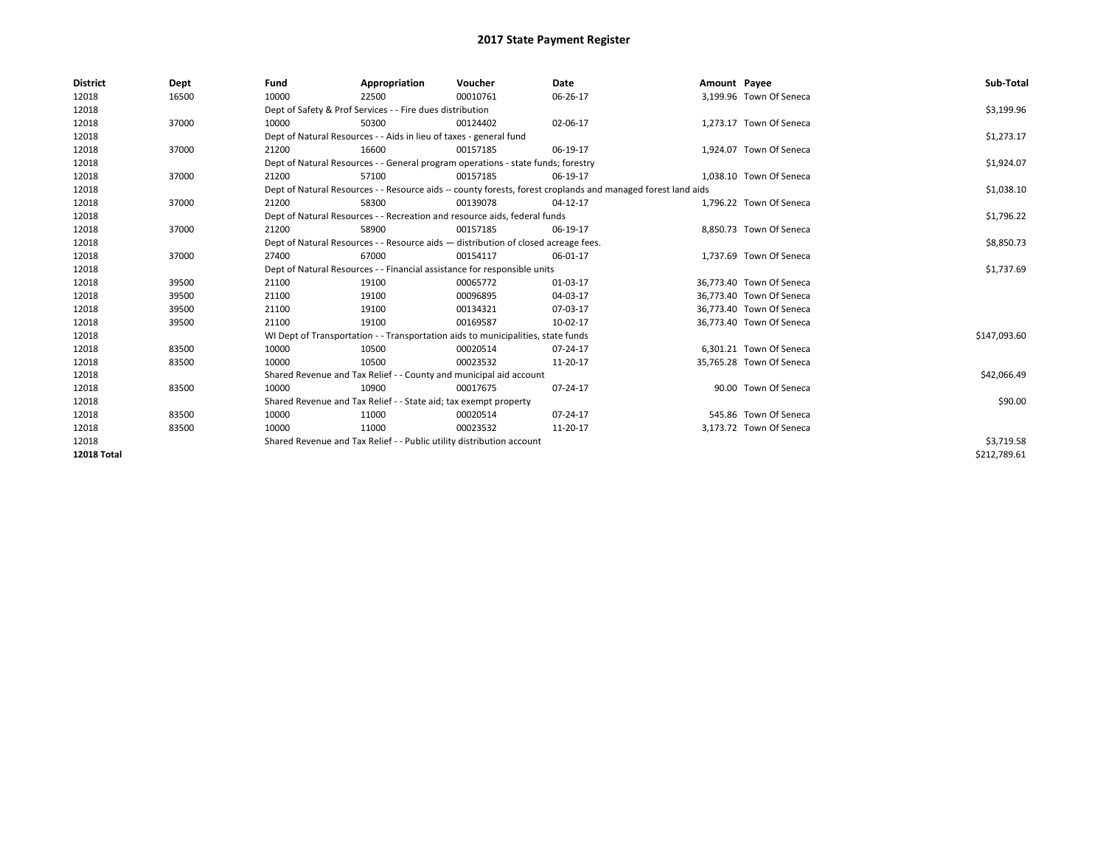| <b>District</b>    | Dept  | Fund  | Appropriation                                                         | Voucher                                                                            | Date                                                                                                         | Amount Payee |                          | Sub-Total    |  |  |
|--------------------|-------|-------|-----------------------------------------------------------------------|------------------------------------------------------------------------------------|--------------------------------------------------------------------------------------------------------------|--------------|--------------------------|--------------|--|--|
| 12018              | 16500 | 10000 | 22500                                                                 | 00010761                                                                           | 06-26-17                                                                                                     |              | 3,199.96 Town Of Seneca  |              |  |  |
| 12018              |       |       | Dept of Safety & Prof Services - - Fire dues distribution             |                                                                                    |                                                                                                              |              |                          | \$3,199.96   |  |  |
| 12018              | 37000 | 10000 | 50300                                                                 | 00124402                                                                           | 02-06-17                                                                                                     |              | 1,273.17 Town Of Seneca  |              |  |  |
| 12018              |       |       | Dept of Natural Resources - - Aids in lieu of taxes - general fund    |                                                                                    |                                                                                                              |              |                          | \$1,273.17   |  |  |
| 12018              | 37000 | 21200 | 16600                                                                 | 00157185                                                                           | 06-19-17                                                                                                     |              | 1,924.07 Town Of Seneca  |              |  |  |
| 12018              |       |       |                                                                       | Dept of Natural Resources - - General program operations - state funds; forestry   |                                                                                                              |              |                          | \$1,924.07   |  |  |
| 12018              | 37000 | 21200 | 57100                                                                 | 00157185                                                                           | 06-19-17                                                                                                     |              | 1,038.10 Town Of Seneca  |              |  |  |
| 12018              |       |       |                                                                       |                                                                                    | Dept of Natural Resources - - Resource aids -- county forests, forest croplands and managed forest land aids |              |                          | \$1,038.10   |  |  |
| 12018              | 37000 | 21200 | 58300                                                                 | 00139078                                                                           | 04-12-17                                                                                                     |              | 1,796.22 Town Of Seneca  |              |  |  |
| 12018              |       |       |                                                                       | Dept of Natural Resources - - Recreation and resource aids, federal funds          |                                                                                                              |              |                          | \$1,796.22   |  |  |
| 12018              | 37000 | 21200 | 58900                                                                 | 00157185                                                                           | 06-19-17                                                                                                     |              | 8.850.73 Town Of Seneca  |              |  |  |
| 12018              |       |       |                                                                       | Dept of Natural Resources - - Resource aids - distribution of closed acreage fees. |                                                                                                              |              |                          | \$8,850.73   |  |  |
| 12018              | 37000 | 27400 | 67000                                                                 | 00154117                                                                           | 06-01-17                                                                                                     |              | 1,737.69 Town Of Seneca  |              |  |  |
| 12018              |       |       |                                                                       | Dept of Natural Resources - - Financial assistance for responsible units           |                                                                                                              |              |                          | \$1,737.69   |  |  |
| 12018              | 39500 | 21100 | 19100                                                                 | 00065772                                                                           | 01-03-17                                                                                                     |              | 36,773.40 Town Of Seneca |              |  |  |
| 12018              | 39500 | 21100 | 19100                                                                 | 00096895                                                                           | 04-03-17                                                                                                     |              | 36.773.40 Town Of Seneca |              |  |  |
| 12018              | 39500 | 21100 | 19100                                                                 | 00134321                                                                           | 07-03-17                                                                                                     |              | 36,773.40 Town Of Seneca |              |  |  |
| 12018              | 39500 | 21100 | 19100                                                                 | 00169587                                                                           | 10-02-17                                                                                                     |              | 36,773.40 Town Of Seneca |              |  |  |
| 12018              |       |       |                                                                       | WI Dept of Transportation - - Transportation aids to municipalities, state funds   |                                                                                                              |              |                          | \$147,093.60 |  |  |
| 12018              | 83500 | 10000 | 10500                                                                 | 00020514                                                                           | 07-24-17                                                                                                     |              | 6,301.21 Town Of Seneca  |              |  |  |
| 12018              | 83500 | 10000 | 10500                                                                 | 00023532                                                                           | 11-20-17                                                                                                     |              | 35,765.28 Town Of Seneca |              |  |  |
| 12018              |       |       |                                                                       | Shared Revenue and Tax Relief - - County and municipal aid account                 |                                                                                                              |              |                          | \$42,066.49  |  |  |
| 12018              | 83500 | 10000 | 10900                                                                 | 00017675                                                                           | 07-24-17                                                                                                     |              | 90.00 Town Of Seneca     |              |  |  |
| 12018              |       |       | Shared Revenue and Tax Relief - - State aid; tax exempt property      |                                                                                    |                                                                                                              |              |                          | \$90.00      |  |  |
| 12018              | 83500 | 10000 | 11000                                                                 | 00020514                                                                           | 07-24-17                                                                                                     |              | 545.86 Town Of Seneca    |              |  |  |
| 12018              | 83500 | 10000 | 11000                                                                 | 00023532                                                                           | 11-20-17                                                                                                     |              | 3,173.72 Town Of Seneca  |              |  |  |
| 12018              |       |       | Shared Revenue and Tax Relief - - Public utility distribution account |                                                                                    |                                                                                                              |              |                          |              |  |  |
| <b>12018 Total</b> |       |       |                                                                       |                                                                                    |                                                                                                              |              |                          | \$212.789.61 |  |  |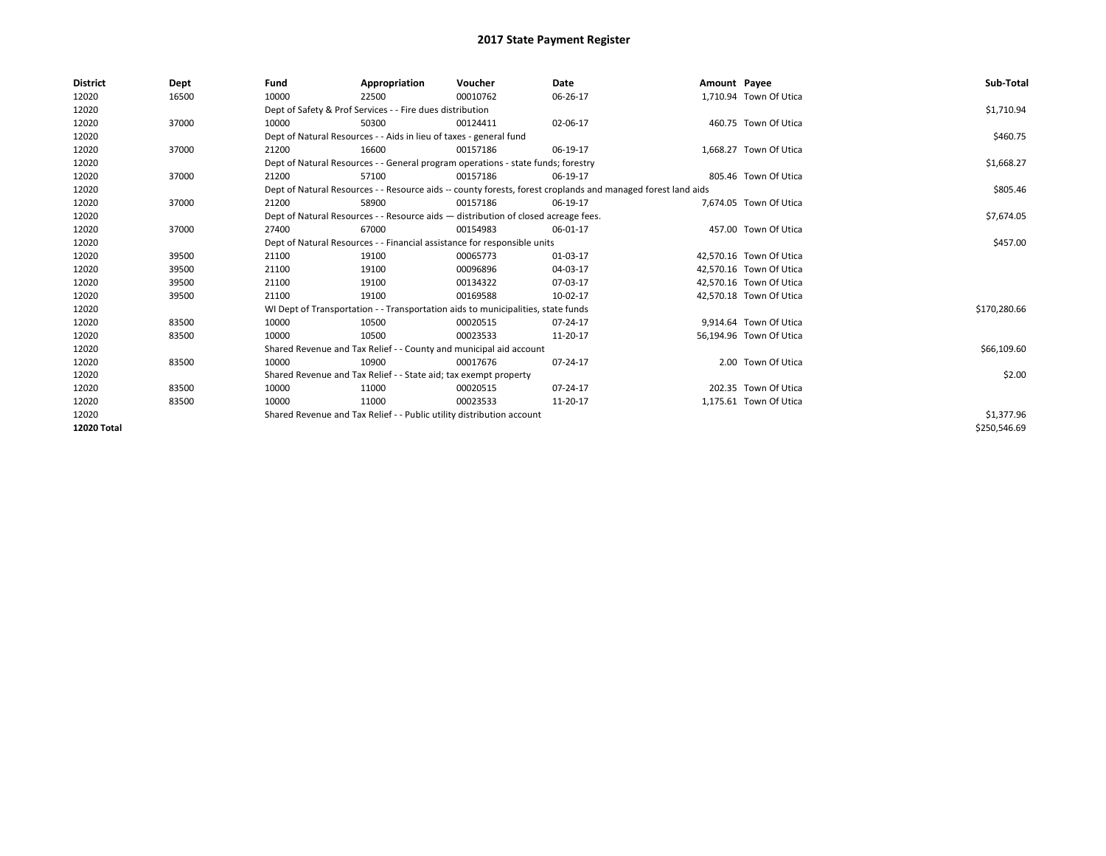| <b>District</b> | Dept  | Fund  | Appropriation                                                                      | Voucher  | Date                                                                                                         | Amount Payee |                         | Sub-Total    |
|-----------------|-------|-------|------------------------------------------------------------------------------------|----------|--------------------------------------------------------------------------------------------------------------|--------------|-------------------------|--------------|
| 12020           | 16500 | 10000 | 22500                                                                              | 00010762 | 06-26-17                                                                                                     |              | 1,710.94 Town Of Utica  |              |
| 12020           |       |       | Dept of Safety & Prof Services - - Fire dues distribution                          |          |                                                                                                              |              |                         | \$1,710.94   |
| 12020           | 37000 | 10000 | 50300                                                                              | 00124411 | 02-06-17                                                                                                     |              | 460.75 Town Of Utica    |              |
| 12020           |       |       | Dept of Natural Resources - - Aids in lieu of taxes - general fund                 |          |                                                                                                              |              |                         | \$460.75     |
| 12020           | 37000 | 21200 | 16600                                                                              | 00157186 | 06-19-17                                                                                                     |              | 1,668.27 Town Of Utica  |              |
| 12020           |       |       | Dept of Natural Resources - - General program operations - state funds; forestry   |          |                                                                                                              |              |                         | \$1,668.27   |
| 12020           | 37000 | 21200 | 57100                                                                              | 00157186 | 06-19-17                                                                                                     |              | 805.46 Town Of Utica    |              |
| 12020           |       |       |                                                                                    |          | Dept of Natural Resources - - Resource aids -- county forests, forest croplands and managed forest land aids |              |                         | \$805.46     |
| 12020           | 37000 | 21200 | 58900                                                                              | 00157186 | 06-19-17                                                                                                     |              | 7,674.05 Town Of Utica  |              |
| 12020           |       |       | Dept of Natural Resources - - Resource aids - distribution of closed acreage fees. |          |                                                                                                              |              |                         | \$7,674.05   |
| 12020           | 37000 | 27400 | 67000                                                                              | 00154983 | 06-01-17                                                                                                     |              | 457.00 Town Of Utica    |              |
| 12020           |       |       | Dept of Natural Resources - - Financial assistance for responsible units           |          | \$457.00                                                                                                     |              |                         |              |
| 12020           | 39500 | 21100 | 19100                                                                              | 00065773 | 01-03-17                                                                                                     |              | 42,570.16 Town Of Utica |              |
| 12020           | 39500 | 21100 | 19100                                                                              | 00096896 | 04-03-17                                                                                                     |              | 42,570.16 Town Of Utica |              |
| 12020           | 39500 | 21100 | 19100                                                                              | 00134322 | 07-03-17                                                                                                     |              | 42,570.16 Town Of Utica |              |
| 12020           | 39500 | 21100 | 19100                                                                              | 00169588 | 10-02-17                                                                                                     |              | 42,570.18 Town Of Utica |              |
| 12020           |       |       | WI Dept of Transportation - - Transportation aids to municipalities, state funds   |          |                                                                                                              |              |                         | \$170,280.66 |
| 12020           | 83500 | 10000 | 10500                                                                              | 00020515 | 07-24-17                                                                                                     |              | 9,914.64 Town Of Utica  |              |
| 12020           | 83500 | 10000 | 10500                                                                              | 00023533 | 11-20-17                                                                                                     |              | 56,194.96 Town Of Utica |              |
| 12020           |       |       | Shared Revenue and Tax Relief - - County and municipal aid account                 |          |                                                                                                              |              |                         | \$66,109.60  |
| 12020           | 83500 | 10000 | 10900                                                                              | 00017676 | 07-24-17                                                                                                     |              | 2.00 Town Of Utica      |              |
| 12020           |       |       | Shared Revenue and Tax Relief - - State aid; tax exempt property                   |          |                                                                                                              |              |                         | \$2.00       |
| 12020           | 83500 | 10000 | 11000                                                                              | 00020515 | 07-24-17                                                                                                     |              | 202.35 Town Of Utica    |              |
| 12020           | 83500 | 10000 | 11000                                                                              | 00023533 | 11-20-17                                                                                                     |              | 1,175.61 Town Of Utica  |              |
| 12020           |       |       | Shared Revenue and Tax Relief - - Public utility distribution account              |          |                                                                                                              |              |                         | \$1,377.96   |
| 12020 Total     |       |       |                                                                                    |          |                                                                                                              |              |                         | \$250,546.69 |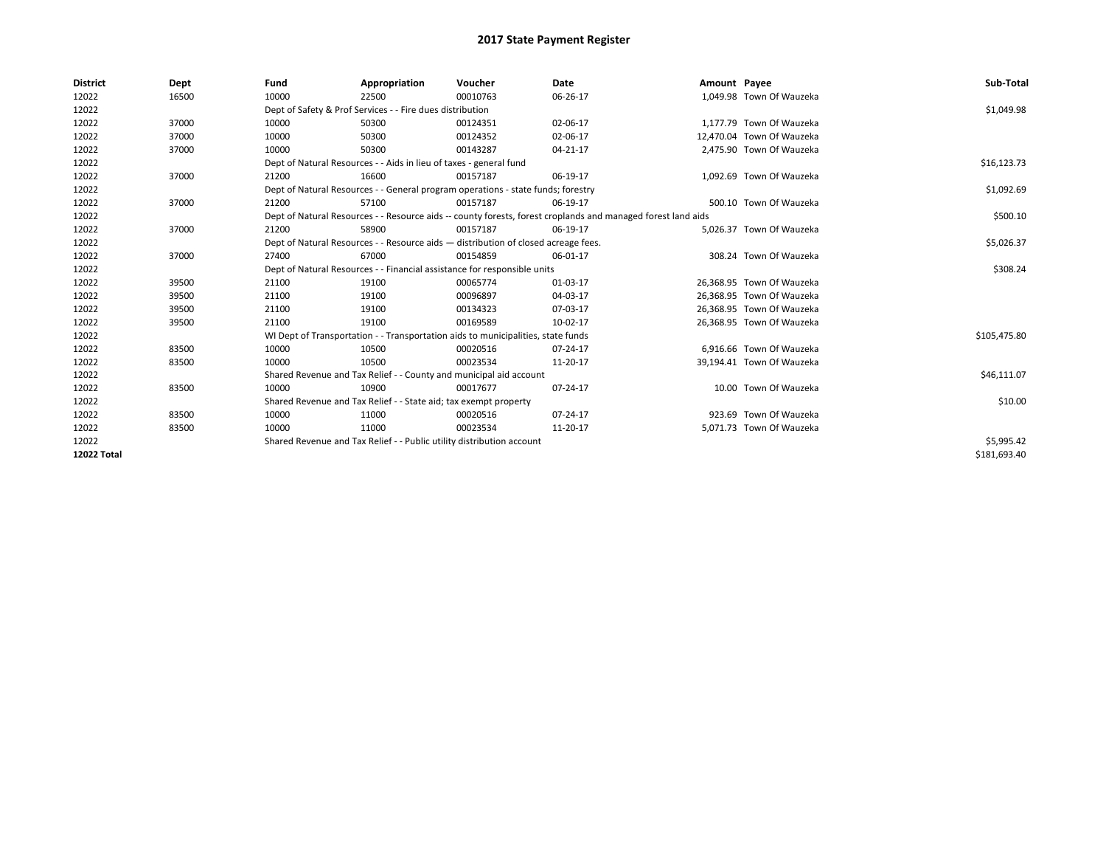| <b>District</b>    | Dept  | Fund  | Appropriation                                                                                                | Voucher  | Date     | Amount Payee |                           | Sub-Total    |  |  |
|--------------------|-------|-------|--------------------------------------------------------------------------------------------------------------|----------|----------|--------------|---------------------------|--------------|--|--|
| 12022              | 16500 | 10000 | 22500                                                                                                        | 00010763 | 06-26-17 |              | 1,049.98 Town Of Wauzeka  |              |  |  |
| 12022              |       |       | Dept of Safety & Prof Services - - Fire dues distribution                                                    |          |          |              |                           | \$1,049.98   |  |  |
| 12022              | 37000 | 10000 | 50300                                                                                                        | 00124351 | 02-06-17 |              | 1.177.79 Town Of Wauzeka  |              |  |  |
| 12022              | 37000 | 10000 | 50300                                                                                                        | 00124352 | 02-06-17 |              | 12.470.04 Town Of Wauzeka |              |  |  |
| 12022              | 37000 | 10000 | 50300                                                                                                        | 00143287 | 04-21-17 |              | 2,475.90 Town Of Wauzeka  |              |  |  |
| 12022              |       |       | Dept of Natural Resources - - Aids in lieu of taxes - general fund                                           |          |          |              |                           | \$16,123.73  |  |  |
| 12022              | 37000 | 21200 | 16600                                                                                                        | 00157187 | 06-19-17 |              | 1.092.69 Town Of Wauzeka  |              |  |  |
| 12022              |       |       | Dept of Natural Resources - - General program operations - state funds; forestry                             |          |          |              |                           | \$1,092.69   |  |  |
| 12022              | 37000 | 21200 | 57100                                                                                                        | 00157187 | 06-19-17 |              | 500.10 Town Of Wauzeka    |              |  |  |
| 12022              |       |       | Dept of Natural Resources - - Resource aids -- county forests, forest croplands and managed forest land aids |          | \$500.10 |              |                           |              |  |  |
| 12022              | 37000 | 21200 | 58900                                                                                                        | 00157187 | 06-19-17 |              | 5.026.37 Town Of Wauzeka  |              |  |  |
| 12022              |       |       | Dept of Natural Resources - - Resource aids - distribution of closed acreage fees.                           |          |          |              |                           | \$5,026.37   |  |  |
| 12022              | 37000 | 27400 | 67000                                                                                                        | 00154859 | 06-01-17 |              | 308.24 Town Of Wauzeka    |              |  |  |
| 12022              |       |       | Dept of Natural Resources - - Financial assistance for responsible units                                     |          |          |              |                           | \$308.24     |  |  |
| 12022              | 39500 | 21100 | 19100                                                                                                        | 00065774 | 01-03-17 |              | 26,368.95 Town Of Wauzeka |              |  |  |
| 12022              | 39500 | 21100 | 19100                                                                                                        | 00096897 | 04-03-17 |              | 26.368.95 Town Of Wauzeka |              |  |  |
| 12022              | 39500 | 21100 | 19100                                                                                                        | 00134323 | 07-03-17 |              | 26.368.95 Town Of Wauzeka |              |  |  |
| 12022              | 39500 | 21100 | 19100                                                                                                        | 00169589 | 10-02-17 |              | 26.368.95 Town Of Wauzeka |              |  |  |
| 12022              |       |       | WI Dept of Transportation - - Transportation aids to municipalities, state funds                             |          |          |              |                           | \$105,475.80 |  |  |
| 12022              | 83500 | 10000 | 10500                                                                                                        | 00020516 | 07-24-17 |              | 6.916.66 Town Of Wauzeka  |              |  |  |
| 12022              | 83500 | 10000 | 10500                                                                                                        | 00023534 | 11-20-17 |              | 39,194.41 Town Of Wauzeka |              |  |  |
| 12022              |       |       | Shared Revenue and Tax Relief - - County and municipal aid account                                           |          |          |              |                           | \$46,111.07  |  |  |
| 12022              | 83500 | 10000 | 10900                                                                                                        | 00017677 | 07-24-17 |              | 10.00 Town Of Wauzeka     |              |  |  |
| 12022              |       |       | Shared Revenue and Tax Relief - - State aid; tax exempt property                                             |          |          |              |                           | \$10.00      |  |  |
| 12022              | 83500 | 10000 | 11000                                                                                                        | 00020516 | 07-24-17 |              | 923.69 Town Of Wauzeka    |              |  |  |
| 12022              | 83500 | 10000 | 11000                                                                                                        | 00023534 | 11-20-17 |              | 5,071.73 Town Of Wauzeka  |              |  |  |
| 12022              |       |       | Shared Revenue and Tax Relief - - Public utility distribution account                                        |          |          |              |                           |              |  |  |
| <b>12022 Total</b> |       |       |                                                                                                              |          |          |              |                           | \$181.693.40 |  |  |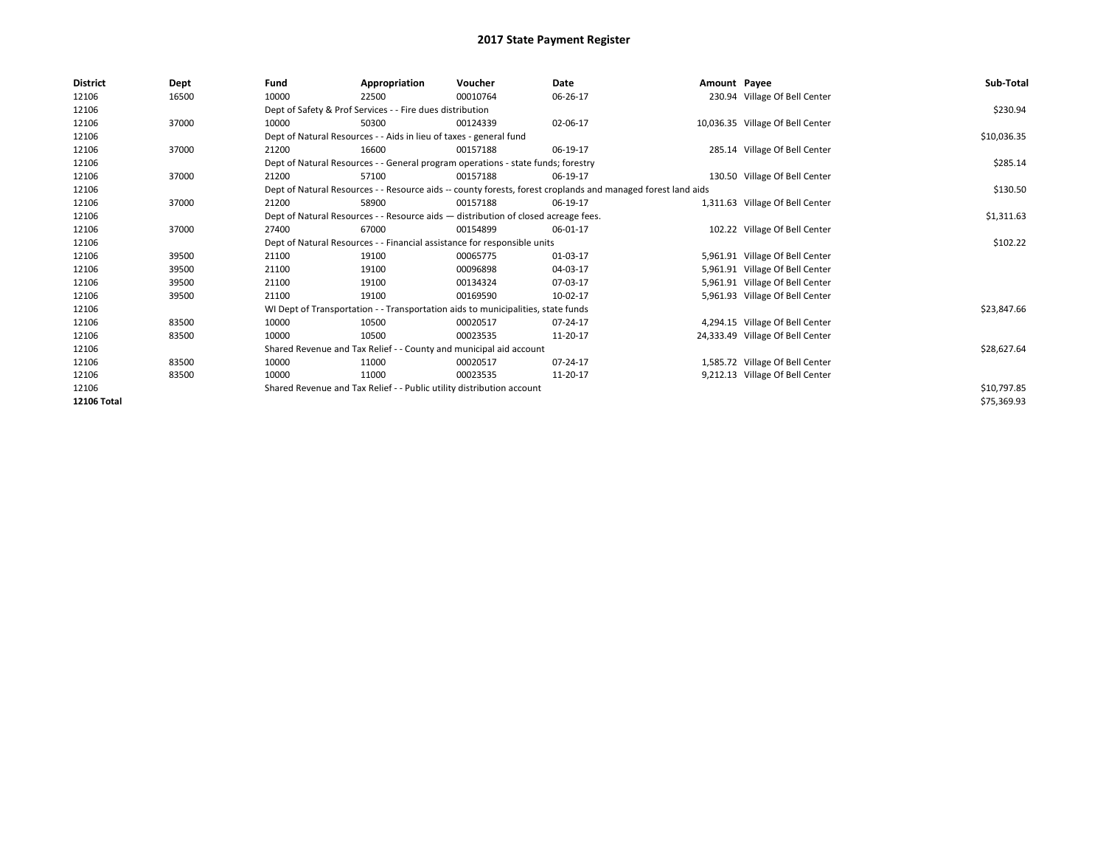| <b>District</b>    | Dept  | Fund  | Appropriation                                                         | Voucher                                                                            | Date                                                                                                         | Amount Payee |                                  | Sub-Total   |
|--------------------|-------|-------|-----------------------------------------------------------------------|------------------------------------------------------------------------------------|--------------------------------------------------------------------------------------------------------------|--------------|----------------------------------|-------------|
| 12106              | 16500 | 10000 | 22500                                                                 | 00010764                                                                           | 06-26-17                                                                                                     |              | 230.94 Village Of Bell Center    |             |
| 12106              |       |       | Dept of Safety & Prof Services - - Fire dues distribution             |                                                                                    |                                                                                                              |              |                                  | \$230.94    |
| 12106              | 37000 | 10000 | 50300                                                                 | 00124339                                                                           | 02-06-17                                                                                                     |              | 10,036.35 Village Of Bell Center |             |
| 12106              |       |       | Dept of Natural Resources - - Aids in lieu of taxes - general fund    |                                                                                    |                                                                                                              |              |                                  | \$10,036.35 |
| 12106              | 37000 | 21200 | 16600                                                                 | 00157188                                                                           | 06-19-17                                                                                                     |              | 285.14 Village Of Bell Center    |             |
| 12106              |       |       |                                                                       | Dept of Natural Resources - - General program operations - state funds; forestry   |                                                                                                              |              |                                  | \$285.14    |
| 12106              | 37000 | 21200 | 57100                                                                 | 00157188                                                                           | 06-19-17                                                                                                     |              | 130.50 Village Of Bell Center    |             |
| 12106              |       |       |                                                                       |                                                                                    | Dept of Natural Resources - - Resource aids -- county forests, forest croplands and managed forest land aids |              |                                  | \$130.50    |
| 12106              | 37000 | 21200 | 58900                                                                 | 00157188                                                                           | 06-19-17                                                                                                     |              | 1,311.63 Village Of Bell Center  |             |
| 12106              |       |       |                                                                       | Dept of Natural Resources - - Resource aids - distribution of closed acreage fees. |                                                                                                              |              |                                  | \$1,311.63  |
| 12106              | 37000 | 27400 | 67000                                                                 | 00154899                                                                           | 06-01-17                                                                                                     |              | 102.22 Village Of Bell Center    |             |
| 12106              |       |       |                                                                       | Dept of Natural Resources - - Financial assistance for responsible units           |                                                                                                              |              |                                  | \$102.22    |
| 12106              | 39500 | 21100 | 19100                                                                 | 00065775                                                                           | 01-03-17                                                                                                     |              | 5,961.91 Village Of Bell Center  |             |
| 12106              | 39500 | 21100 | 19100                                                                 | 00096898                                                                           | 04-03-17                                                                                                     |              | 5,961.91 Village Of Bell Center  |             |
| 12106              | 39500 | 21100 | 19100                                                                 | 00134324                                                                           | 07-03-17                                                                                                     |              | 5,961.91 Village Of Bell Center  |             |
| 12106              | 39500 | 21100 | 19100                                                                 | 00169590                                                                           | 10-02-17                                                                                                     |              | 5,961.93 Village Of Bell Center  |             |
| 12106              |       |       |                                                                       | WI Dept of Transportation - - Transportation aids to municipalities, state funds   |                                                                                                              |              |                                  | \$23,847.66 |
| 12106              | 83500 | 10000 | 10500                                                                 | 00020517                                                                           | 07-24-17                                                                                                     |              | 4,294.15 Village Of Bell Center  |             |
| 12106              | 83500 | 10000 | 10500                                                                 | 00023535                                                                           | 11-20-17                                                                                                     |              | 24,333.49 Village Of Bell Center |             |
| 12106              |       |       | Shared Revenue and Tax Relief - - County and municipal aid account    |                                                                                    |                                                                                                              |              |                                  | \$28,627.64 |
| 12106              | 83500 | 10000 | 11000                                                                 | 00020517                                                                           | $07 - 24 - 17$                                                                                               |              | 1,585.72 Village Of Bell Center  |             |
| 12106              | 83500 | 10000 | 11000                                                                 | 00023535                                                                           | 11-20-17                                                                                                     |              | 9,212.13 Village Of Bell Center  |             |
| 12106              |       |       | Shared Revenue and Tax Relief - - Public utility distribution account |                                                                                    |                                                                                                              |              |                                  | \$10,797.85 |
| <b>12106 Total</b> |       |       |                                                                       |                                                                                    |                                                                                                              |              |                                  | \$75,369.93 |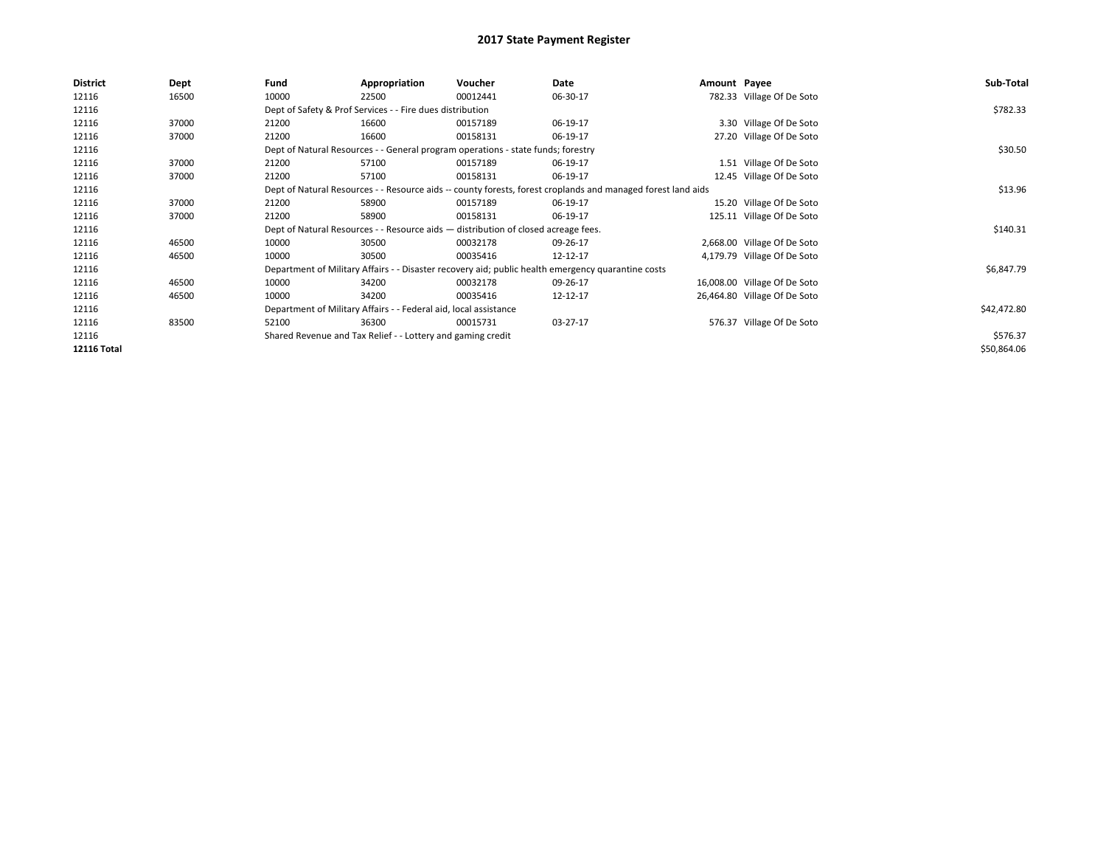| <b>District</b>    | Dept  | Fund  | Appropriation                                                                                                | Voucher  | Date     | Amount Payee |                              | Sub-Total   |
|--------------------|-------|-------|--------------------------------------------------------------------------------------------------------------|----------|----------|--------------|------------------------------|-------------|
| 12116              | 16500 | 10000 | 22500                                                                                                        | 00012441 | 06-30-17 |              | 782.33 Village Of De Soto    |             |
| 12116              |       |       | Dept of Safety & Prof Services - - Fire dues distribution                                                    |          |          |              |                              | \$782.33    |
| 12116              | 37000 | 21200 | 16600                                                                                                        | 00157189 | 06-19-17 |              | 3.30 Village Of De Soto      |             |
| 12116              | 37000 | 21200 | 16600                                                                                                        | 00158131 | 06-19-17 |              | 27.20 Village Of De Soto     |             |
| 12116              |       |       | Dept of Natural Resources - - General program operations - state funds; forestry                             |          |          |              |                              | \$30.50     |
| 12116              | 37000 | 21200 | 57100                                                                                                        | 00157189 | 06-19-17 |              | 1.51 Village Of De Soto      |             |
| 12116              | 37000 | 21200 | 57100                                                                                                        | 00158131 | 06-19-17 |              | 12.45 Village Of De Soto     |             |
| 12116              |       |       | Dept of Natural Resources - - Resource aids -- county forests, forest croplands and managed forest land aids |          |          |              |                              | \$13.96     |
| 12116              | 37000 | 21200 | 58900                                                                                                        | 00157189 | 06-19-17 |              | 15.20 Village Of De Soto     |             |
| 12116              | 37000 | 21200 | 58900                                                                                                        | 00158131 | 06-19-17 |              | 125.11 Village Of De Soto    |             |
| 12116              |       |       | Dept of Natural Resources - - Resource aids - distribution of closed acreage fees.                           |          |          |              |                              | \$140.31    |
| 12116              | 46500 | 10000 | 30500                                                                                                        | 00032178 | 09-26-17 |              | 2,668.00 Village Of De Soto  |             |
| 12116              | 46500 | 10000 | 30500                                                                                                        | 00035416 | 12-12-17 |              | 4,179.79 Village Of De Soto  |             |
| 12116              |       |       | Department of Military Affairs - - Disaster recovery aid; public health emergency quarantine costs           |          |          |              |                              | \$6,847.79  |
| 12116              | 46500 | 10000 | 34200                                                                                                        | 00032178 | 09-26-17 |              | 16,008.00 Village Of De Soto |             |
| 12116              | 46500 | 10000 | 34200                                                                                                        | 00035416 | 12-12-17 |              | 26,464.80 Village Of De Soto |             |
| 12116              |       |       | Department of Military Affairs - - Federal aid, local assistance                                             |          |          |              |                              | \$42,472.80 |
| 12116              | 83500 | 52100 | 36300                                                                                                        | 00015731 | 03-27-17 |              | 576.37 Village Of De Soto    |             |
| 12116              |       |       | Shared Revenue and Tax Relief - - Lottery and gaming credit                                                  |          |          |              |                              | \$576.37    |
| <b>12116 Total</b> |       |       |                                                                                                              |          |          |              |                              | \$50,864.06 |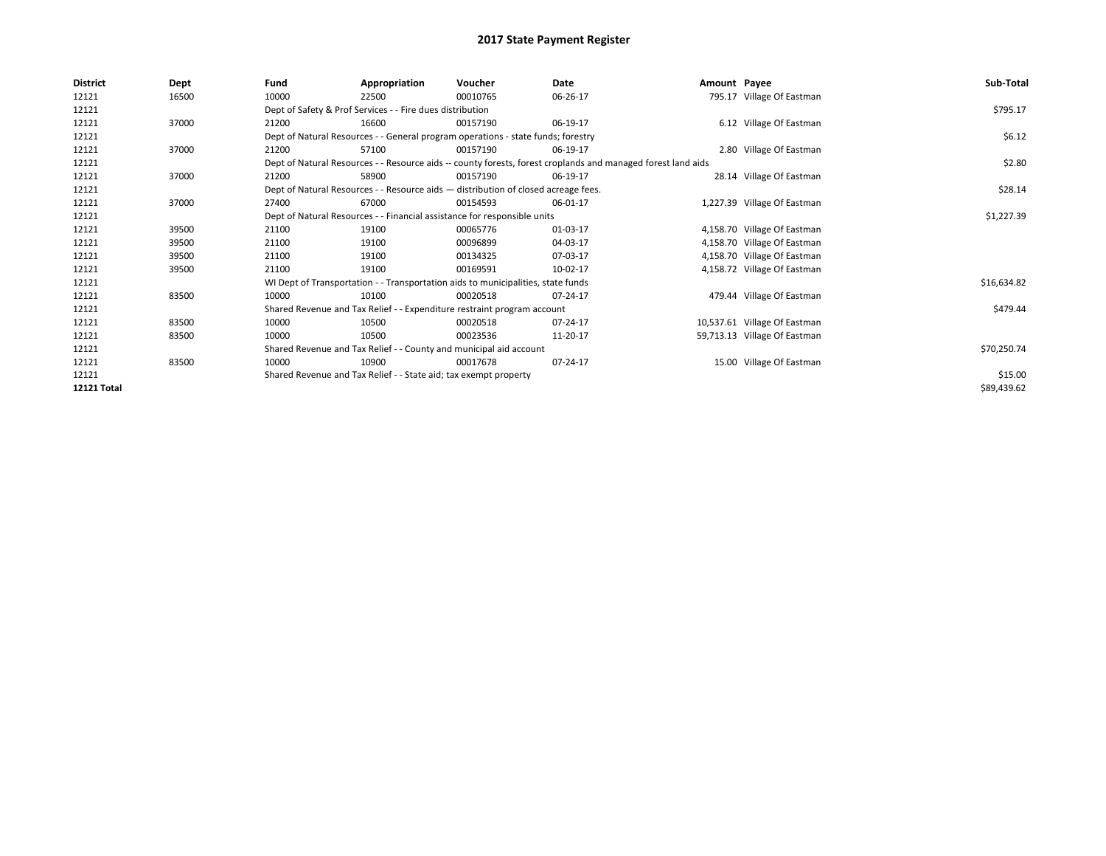| <b>District</b>    | Dept  | Fund                                                                     | Appropriation                                                                      | Voucher    | Date                                                                                                         | Amount Payee |                              | Sub-Total   |
|--------------------|-------|--------------------------------------------------------------------------|------------------------------------------------------------------------------------|------------|--------------------------------------------------------------------------------------------------------------|--------------|------------------------------|-------------|
| 12121              | 16500 | 10000                                                                    | 22500                                                                              | 00010765   | 06-26-17                                                                                                     |              | 795.17 Village Of Eastman    |             |
| 12121              |       |                                                                          | Dept of Safety & Prof Services - - Fire dues distribution                          |            |                                                                                                              |              |                              | \$795.17    |
| 12121              | 37000 | 21200                                                                    | 16600                                                                              | 00157190   | 06-19-17                                                                                                     |              | 6.12 Village Of Eastman      |             |
| 12121              |       |                                                                          | Dept of Natural Resources - - General program operations - state funds; forestry   |            |                                                                                                              |              |                              | \$6.12      |
| 12121              | 37000 | 21200                                                                    | 57100                                                                              | 00157190   | 06-19-17                                                                                                     |              | 2.80 Village Of Eastman      |             |
| 12121              |       |                                                                          |                                                                                    |            | Dept of Natural Resources - - Resource aids -- county forests, forest croplands and managed forest land aids |              |                              | \$2.80      |
| 12121              | 37000 | 21200                                                                    | 58900                                                                              | 00157190   | 06-19-17                                                                                                     |              | 28.14 Village Of Eastman     |             |
| 12121              |       |                                                                          | Dept of Natural Resources - - Resource aids - distribution of closed acreage fees. |            |                                                                                                              |              |                              | \$28.14     |
| 12121              | 37000 | 27400                                                                    | 67000                                                                              | 00154593   | 06-01-17                                                                                                     |              | 1,227.39 Village Of Eastman  |             |
| 12121              |       | Dept of Natural Resources - - Financial assistance for responsible units |                                                                                    | \$1,227.39 |                                                                                                              |              |                              |             |
| 12121              | 39500 | 21100                                                                    | 19100                                                                              | 00065776   | 01-03-17                                                                                                     |              | 4,158.70 Village Of Eastman  |             |
| 12121              | 39500 | 21100                                                                    | 19100                                                                              | 00096899   | 04-03-17                                                                                                     |              | 4,158.70 Village Of Eastman  |             |
| 12121              | 39500 | 21100                                                                    | 19100                                                                              | 00134325   | 07-03-17                                                                                                     |              | 4,158.70 Village Of Eastman  |             |
| 12121              | 39500 | 21100                                                                    | 19100                                                                              | 00169591   | 10-02-17                                                                                                     |              | 4,158.72 Village Of Eastman  |             |
| 12121              |       |                                                                          | WI Dept of Transportation - - Transportation aids to municipalities, state funds   |            |                                                                                                              |              |                              | \$16,634.82 |
| 12121              | 83500 | 10000                                                                    | 10100                                                                              | 00020518   | 07-24-17                                                                                                     |              | 479.44 Village Of Eastman    |             |
| 12121              |       |                                                                          | Shared Revenue and Tax Relief - - Expenditure restraint program account            |            |                                                                                                              |              |                              | \$479.44    |
| 12121              | 83500 | 10000                                                                    | 10500                                                                              | 00020518   | 07-24-17                                                                                                     |              | 10,537.61 Village Of Eastman |             |
| 12121              | 83500 | 10000                                                                    | 10500                                                                              | 00023536   | 11-20-17                                                                                                     |              | 59,713.13 Village Of Eastman |             |
| 12121              |       |                                                                          | Shared Revenue and Tax Relief - - County and municipal aid account                 |            |                                                                                                              |              |                              | \$70,250.74 |
| 12121              | 83500 | 10000                                                                    | 10900                                                                              | 00017678   | 07-24-17                                                                                                     |              | 15.00 Village Of Eastman     |             |
| 12121              |       |                                                                          | Shared Revenue and Tax Relief - - State aid; tax exempt property                   |            |                                                                                                              |              |                              | \$15.00     |
| <b>12121 Total</b> |       |                                                                          |                                                                                    |            |                                                                                                              |              |                              | \$89,439.62 |
|                    |       |                                                                          |                                                                                    |            |                                                                                                              |              |                              |             |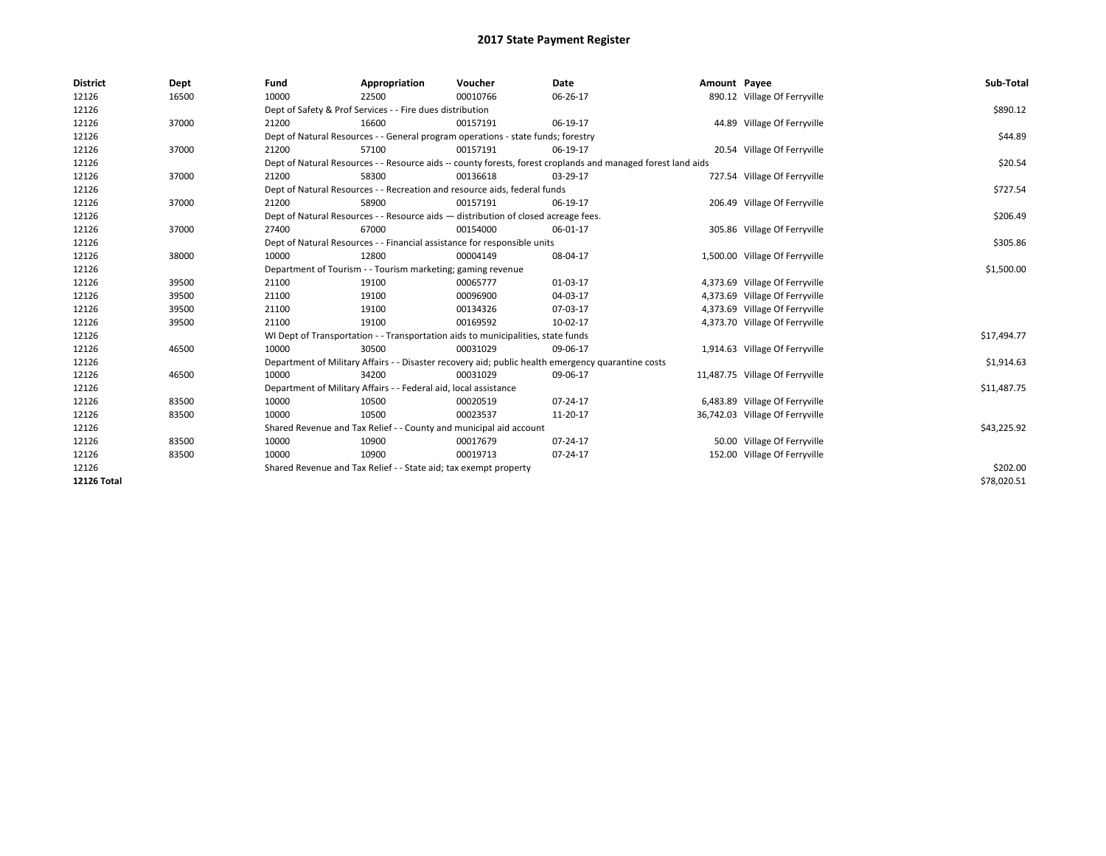| <b>District</b> | Dept  | Fund  | Appropriation                                                                      | Voucher  | Date                                                                                                         | Amount Payee |                                 | Sub-Total   |  |  |
|-----------------|-------|-------|------------------------------------------------------------------------------------|----------|--------------------------------------------------------------------------------------------------------------|--------------|---------------------------------|-------------|--|--|
| 12126           | 16500 | 10000 | 22500                                                                              | 00010766 | 06-26-17                                                                                                     |              | 890.12 Village Of Ferryville    |             |  |  |
| 12126           |       |       | Dept of Safety & Prof Services - - Fire dues distribution                          |          |                                                                                                              |              |                                 | \$890.12    |  |  |
| 12126           | 37000 | 21200 | 16600                                                                              | 00157191 | 06-19-17                                                                                                     |              | 44.89 Village Of Ferryville     |             |  |  |
| 12126           |       |       | Dept of Natural Resources - - General program operations - state funds; forestry   |          |                                                                                                              |              |                                 | \$44.89     |  |  |
| 12126           | 37000 | 21200 | 57100                                                                              | 00157191 | 06-19-17                                                                                                     |              | 20.54 Village Of Ferryville     |             |  |  |
| 12126           |       |       |                                                                                    |          | Dept of Natural Resources - - Resource aids -- county forests, forest croplands and managed forest land aids |              |                                 | \$20.54     |  |  |
| 12126           | 37000 | 21200 | 58300                                                                              | 00136618 | 03-29-17                                                                                                     |              | 727.54 Village Of Ferryville    |             |  |  |
| 12126           |       |       | Dept of Natural Resources - - Recreation and resource aids, federal funds          |          |                                                                                                              |              |                                 | \$727.54    |  |  |
| 12126           | 37000 | 21200 | 58900                                                                              | 00157191 | 06-19-17                                                                                                     |              | 206.49 Village Of Ferryville    |             |  |  |
| 12126           |       |       | Dept of Natural Resources - - Resource aids - distribution of closed acreage fees. |          |                                                                                                              |              |                                 | \$206.49    |  |  |
| 12126           | 37000 | 27400 | 67000                                                                              | 00154000 | 06-01-17                                                                                                     |              | 305.86 Village Of Ferryville    |             |  |  |
| 12126           |       |       | Dept of Natural Resources - - Financial assistance for responsible units           |          |                                                                                                              |              |                                 | \$305.86    |  |  |
| 12126           | 38000 | 10000 | 12800                                                                              | 00004149 | 08-04-17                                                                                                     |              | 1,500.00 Village Of Ferryville  |             |  |  |
| 12126           |       |       | Department of Tourism - - Tourism marketing; gaming revenue                        |          |                                                                                                              |              |                                 |             |  |  |
| 12126           | 39500 | 21100 | 19100                                                                              | 00065777 | 01-03-17                                                                                                     |              | 4,373.69 Village Of Ferryville  |             |  |  |
| 12126           | 39500 | 21100 | 19100                                                                              | 00096900 | 04-03-17                                                                                                     |              | 4,373.69 Village Of Ferryville  |             |  |  |
| 12126           | 39500 | 21100 | 19100                                                                              | 00134326 | 07-03-17                                                                                                     |              | 4,373.69 Village Of Ferryville  |             |  |  |
| 12126           | 39500 | 21100 | 19100                                                                              | 00169592 | 10-02-17                                                                                                     |              | 4,373.70 Village Of Ferryville  |             |  |  |
| 12126           |       |       | WI Dept of Transportation - - Transportation aids to municipalities, state funds   |          |                                                                                                              |              |                                 | \$17,494.77 |  |  |
| 12126           | 46500 | 10000 | 30500                                                                              | 00031029 | 09-06-17                                                                                                     |              | 1,914.63 Village Of Ferryville  |             |  |  |
| 12126           |       |       |                                                                                    |          | Department of Military Affairs - - Disaster recovery aid; public health emergency quarantine costs           |              |                                 | \$1,914.63  |  |  |
| 12126           | 46500 | 10000 | 34200                                                                              | 00031029 | 09-06-17                                                                                                     |              | 11,487.75 Village Of Ferryville |             |  |  |
| 12126           |       |       | Department of Military Affairs - - Federal aid, local assistance                   |          |                                                                                                              |              |                                 | \$11,487.75 |  |  |
| 12126           | 83500 | 10000 | 10500                                                                              | 00020519 | 07-24-17                                                                                                     |              | 6,483.89 Village Of Ferryville  |             |  |  |
| 12126           | 83500 | 10000 | 10500                                                                              | 00023537 | 11-20-17                                                                                                     |              | 36,742.03 Village Of Ferryville |             |  |  |
| 12126           |       |       | Shared Revenue and Tax Relief - - County and municipal aid account                 |          |                                                                                                              |              |                                 | \$43,225.92 |  |  |
| 12126           | 83500 | 10000 | 10900                                                                              | 00017679 | 07-24-17                                                                                                     |              | 50.00 Village Of Ferryville     |             |  |  |
| 12126           | 83500 | 10000 | 10900                                                                              | 00019713 | 07-24-17                                                                                                     |              | 152.00 Village Of Ferryville    |             |  |  |
| 12126           |       |       | Shared Revenue and Tax Relief - - State aid; tax exempt property                   |          |                                                                                                              |              |                                 | \$202.00    |  |  |
| 12126 Total     |       |       |                                                                                    |          |                                                                                                              |              |                                 | \$78,020.51 |  |  |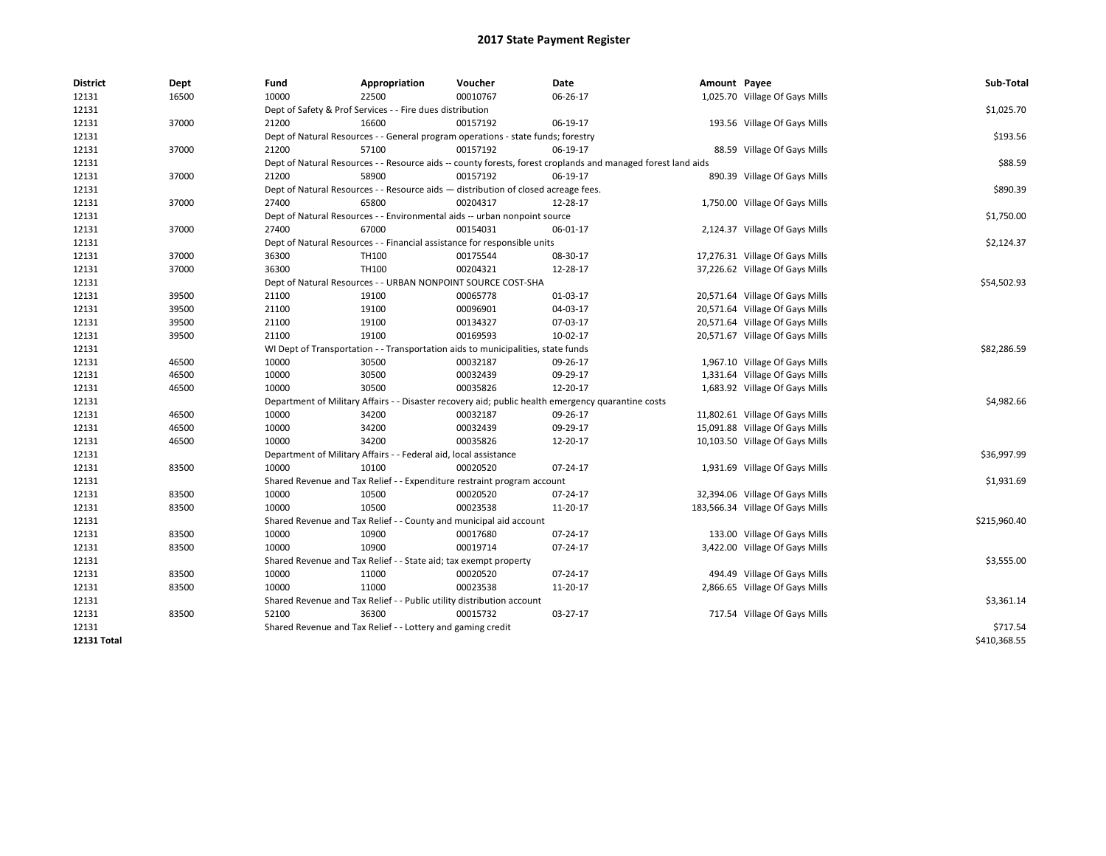| <b>District</b>    | <b>Dept</b> | Fund  | Appropriation                                                                      | Voucher  | Date                                                                                                         | Amount Payee |                                  | Sub-Total    |  |  |  |
|--------------------|-------------|-------|------------------------------------------------------------------------------------|----------|--------------------------------------------------------------------------------------------------------------|--------------|----------------------------------|--------------|--|--|--|
| 12131              | 16500       | 10000 | 22500                                                                              | 00010767 | 06-26-17                                                                                                     |              | 1,025.70 Village Of Gays Mills   |              |  |  |  |
| 12131              |             |       | Dept of Safety & Prof Services - - Fire dues distribution                          |          |                                                                                                              |              |                                  | \$1,025.70   |  |  |  |
| 12131              | 37000       | 21200 | 16600                                                                              | 00157192 | 06-19-17                                                                                                     |              | 193.56 Village Of Gays Mills     |              |  |  |  |
| 12131              |             |       | Dept of Natural Resources - - General program operations - state funds; forestry   |          |                                                                                                              |              |                                  | \$193.56     |  |  |  |
| 12131              | 37000       | 21200 | 57100                                                                              | 00157192 | 06-19-17                                                                                                     |              | 88.59 Village Of Gays Mills      |              |  |  |  |
| 12131              |             |       |                                                                                    |          | Dept of Natural Resources - - Resource aids -- county forests, forest croplands and managed forest land aids |              |                                  | \$88.59      |  |  |  |
| 12131              | 37000       | 21200 | 58900                                                                              | 00157192 | 06-19-17                                                                                                     |              | 890.39 Village Of Gays Mills     |              |  |  |  |
| 12131              |             |       | Dept of Natural Resources - - Resource aids - distribution of closed acreage fees. |          |                                                                                                              |              |                                  | \$890.39     |  |  |  |
| 12131              | 37000       | 27400 | 65800                                                                              | 00204317 | 12-28-17                                                                                                     |              | 1,750.00 Village Of Gays Mills   |              |  |  |  |
| 12131              |             |       | Dept of Natural Resources - - Environmental aids -- urban nonpoint source          |          |                                                                                                              |              |                                  | \$1,750.00   |  |  |  |
| 12131              | 37000       | 27400 | 67000                                                                              | 00154031 | 06-01-17                                                                                                     |              | 2,124.37 Village Of Gays Mills   |              |  |  |  |
| 12131              |             |       | Dept of Natural Resources - - Financial assistance for responsible units           |          |                                                                                                              |              |                                  | \$2,124.37   |  |  |  |
| 12131              | 37000       | 36300 | TH100                                                                              | 00175544 | 08-30-17                                                                                                     |              | 17,276.31 Village Of Gays Mills  |              |  |  |  |
| 12131              | 37000       | 36300 | TH100                                                                              | 00204321 | 12-28-17                                                                                                     |              | 37,226.62 Village Of Gays Mills  |              |  |  |  |
| 12131              |             |       | Dept of Natural Resources - - URBAN NONPOINT SOURCE COST-SHA                       |          |                                                                                                              |              |                                  | \$54,502.93  |  |  |  |
| 12131              | 39500       | 21100 | 19100                                                                              | 00065778 | 01-03-17                                                                                                     |              | 20,571.64 Village Of Gays Mills  |              |  |  |  |
| 12131              | 39500       | 21100 | 19100                                                                              | 00096901 | 04-03-17                                                                                                     |              | 20,571.64 Village Of Gays Mills  |              |  |  |  |
| 12131              | 39500       | 21100 | 19100                                                                              | 00134327 | 07-03-17                                                                                                     |              | 20,571.64 Village Of Gays Mills  |              |  |  |  |
| 12131              | 39500       | 21100 | 19100                                                                              | 00169593 | $10-02-17$                                                                                                   |              | 20,571.67 Village Of Gays Mills  |              |  |  |  |
| 12131              |             |       | WI Dept of Transportation - - Transportation aids to municipalities, state funds   |          |                                                                                                              |              |                                  |              |  |  |  |
| 12131              | 46500       | 10000 | 30500                                                                              | 00032187 | 09-26-17                                                                                                     |              | 1,967.10 Village Of Gays Mills   |              |  |  |  |
| 12131              | 46500       | 10000 | 30500                                                                              | 00032439 | 09-29-17                                                                                                     |              | 1,331.64 Village Of Gays Mills   |              |  |  |  |
| 12131              | 46500       | 10000 | 30500                                                                              | 00035826 | 12-20-17                                                                                                     |              | 1,683.92 Village Of Gays Mills   |              |  |  |  |
| 12131              |             |       |                                                                                    |          | Department of Military Affairs - - Disaster recovery aid; public health emergency quarantine costs           |              |                                  | \$4,982.66   |  |  |  |
| 12131              | 46500       | 10000 | 34200                                                                              | 00032187 | 09-26-17                                                                                                     |              | 11,802.61 Village Of Gays Mills  |              |  |  |  |
| 12131              | 46500       | 10000 | 34200                                                                              | 00032439 | 09-29-17                                                                                                     |              | 15,091.88 Village Of Gays Mills  |              |  |  |  |
| 12131              | 46500       | 10000 | 34200                                                                              | 00035826 | 12-20-17                                                                                                     |              | 10,103.50 Village Of Gays Mills  |              |  |  |  |
| 12131              |             |       | Department of Military Affairs - - Federal aid, local assistance                   |          |                                                                                                              |              |                                  | \$36,997.99  |  |  |  |
| 12131              | 83500       | 10000 | 10100                                                                              | 00020520 | 07-24-17                                                                                                     |              | 1,931.69 Village Of Gays Mills   |              |  |  |  |
| 12131              |             |       | Shared Revenue and Tax Relief - - Expenditure restraint program account            |          |                                                                                                              |              |                                  | \$1,931.69   |  |  |  |
| 12131              | 83500       | 10000 | 10500                                                                              | 00020520 | 07-24-17                                                                                                     |              | 32,394.06 Village Of Gays Mills  |              |  |  |  |
| 12131              | 83500       | 10000 | 10500                                                                              | 00023538 | 11-20-17                                                                                                     |              | 183,566.34 Village Of Gays Mills |              |  |  |  |
| 12131              |             |       | Shared Revenue and Tax Relief - - County and municipal aid account                 |          |                                                                                                              |              |                                  | \$215,960.40 |  |  |  |
| 12131              | 83500       | 10000 | 10900                                                                              | 00017680 | 07-24-17                                                                                                     |              | 133.00 Village Of Gays Mills     |              |  |  |  |
| 12131              | 83500       | 10000 | 10900                                                                              | 00019714 | 07-24-17                                                                                                     |              | 3,422.00 Village Of Gays Mills   |              |  |  |  |
| 12131              |             |       | Shared Revenue and Tax Relief - - State aid; tax exempt property                   |          |                                                                                                              |              |                                  | \$3,555.00   |  |  |  |
| 12131              | 83500       | 10000 | 11000                                                                              | 00020520 | 07-24-17                                                                                                     |              | 494.49 Village Of Gays Mills     |              |  |  |  |
| 12131              | 83500       | 10000 | 11000                                                                              | 00023538 | 11-20-17                                                                                                     |              | 2,866.65 Village Of Gays Mills   |              |  |  |  |
| 12131              |             |       | Shared Revenue and Tax Relief - - Public utility distribution account              |          |                                                                                                              |              |                                  | \$3,361.14   |  |  |  |
| 12131              | 83500       | 52100 | 36300                                                                              | 00015732 | 03-27-17                                                                                                     |              | 717.54 Village Of Gays Mills     |              |  |  |  |
| 12131              |             |       | Shared Revenue and Tax Relief - - Lottery and gaming credit                        |          |                                                                                                              |              |                                  | \$717.54     |  |  |  |
| <b>12131 Total</b> |             |       |                                                                                    |          |                                                                                                              |              |                                  | \$410,368.55 |  |  |  |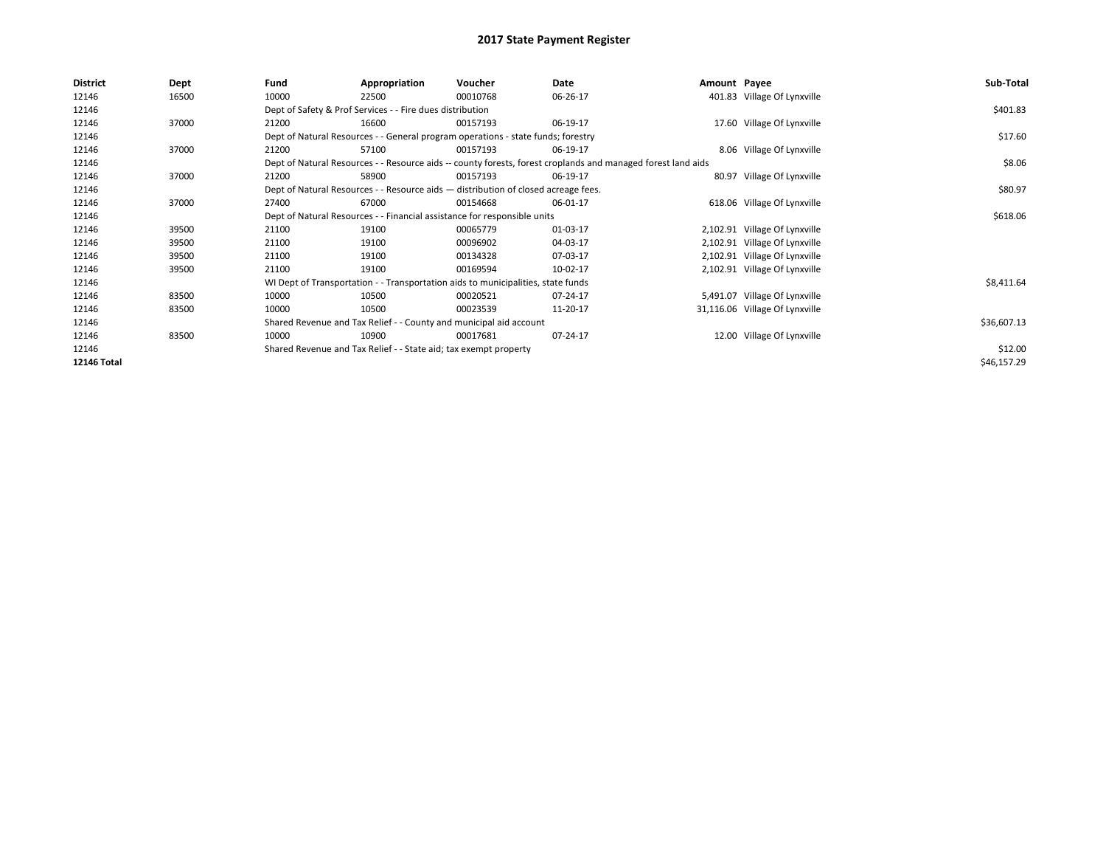| <b>District</b>    | Dept  | Fund                                                                     | Appropriation                                                                      | Voucher  | Date                                                                                                         | Amount Payee |                                | Sub-Total   |
|--------------------|-------|--------------------------------------------------------------------------|------------------------------------------------------------------------------------|----------|--------------------------------------------------------------------------------------------------------------|--------------|--------------------------------|-------------|
| 12146              | 16500 | 10000                                                                    | 22500                                                                              | 00010768 | 06-26-17                                                                                                     |              | 401.83 Village Of Lynxville    |             |
| 12146              |       |                                                                          | Dept of Safety & Prof Services - - Fire dues distribution                          |          |                                                                                                              |              |                                | \$401.83    |
| 12146              | 37000 | 21200                                                                    | 16600                                                                              | 00157193 | 06-19-17                                                                                                     |              | 17.60 Village Of Lynxville     |             |
| 12146              |       |                                                                          | Dept of Natural Resources - - General program operations - state funds; forestry   |          |                                                                                                              |              |                                | \$17.60     |
| 12146              | 37000 | 21200                                                                    | 57100                                                                              | 00157193 | 06-19-17                                                                                                     |              | 8.06 Village Of Lynxville      |             |
| 12146              |       |                                                                          |                                                                                    |          | Dept of Natural Resources - - Resource aids -- county forests, forest croplands and managed forest land aids |              |                                | \$8.06      |
| 12146              | 37000 | 21200                                                                    | 58900                                                                              | 00157193 | 06-19-17                                                                                                     |              | 80.97 Village Of Lynxville     |             |
| 12146              |       |                                                                          | Dept of Natural Resources - - Resource aids - distribution of closed acreage fees. |          |                                                                                                              |              |                                | \$80.97     |
| 12146              | 37000 | 27400                                                                    | 67000                                                                              | 00154668 | 06-01-17                                                                                                     |              | 618.06 Village Of Lynxville    |             |
| 12146              |       | Dept of Natural Resources - - Financial assistance for responsible units |                                                                                    | \$618.06 |                                                                                                              |              |                                |             |
| 12146              | 39500 | 21100                                                                    | 19100                                                                              | 00065779 | 01-03-17                                                                                                     |              | 2,102.91 Village Of Lynxville  |             |
| 12146              | 39500 | 21100                                                                    | 19100                                                                              | 00096902 | 04-03-17                                                                                                     |              | 2,102.91 Village Of Lynxville  |             |
| 12146              | 39500 | 21100                                                                    | 19100                                                                              | 00134328 | 07-03-17                                                                                                     |              | 2,102.91 Village Of Lynxville  |             |
| 12146              | 39500 | 21100                                                                    | 19100                                                                              | 00169594 | 10-02-17                                                                                                     |              | 2,102.91 Village Of Lynxville  |             |
| 12146              |       |                                                                          | WI Dept of Transportation - - Transportation aids to municipalities, state funds   |          |                                                                                                              |              |                                | \$8,411.64  |
| 12146              | 83500 | 10000                                                                    | 10500                                                                              | 00020521 | 07-24-17                                                                                                     |              | 5,491.07 Village Of Lynxville  |             |
| 12146              | 83500 | 10000                                                                    | 10500                                                                              | 00023539 | 11-20-17                                                                                                     |              | 31,116.06 Village Of Lynxville |             |
| 12146              |       |                                                                          | Shared Revenue and Tax Relief - - County and municipal aid account                 |          |                                                                                                              |              |                                | \$36,607.13 |
| 12146              | 83500 | 10000                                                                    | 10900                                                                              | 00017681 | 07-24-17                                                                                                     |              | 12.00 Village Of Lynxville     |             |
| 12146              |       |                                                                          | Shared Revenue and Tax Relief - - State aid; tax exempt property                   |          |                                                                                                              |              |                                | \$12.00     |
| <b>12146 Total</b> |       |                                                                          |                                                                                    |          |                                                                                                              |              |                                | \$46,157.29 |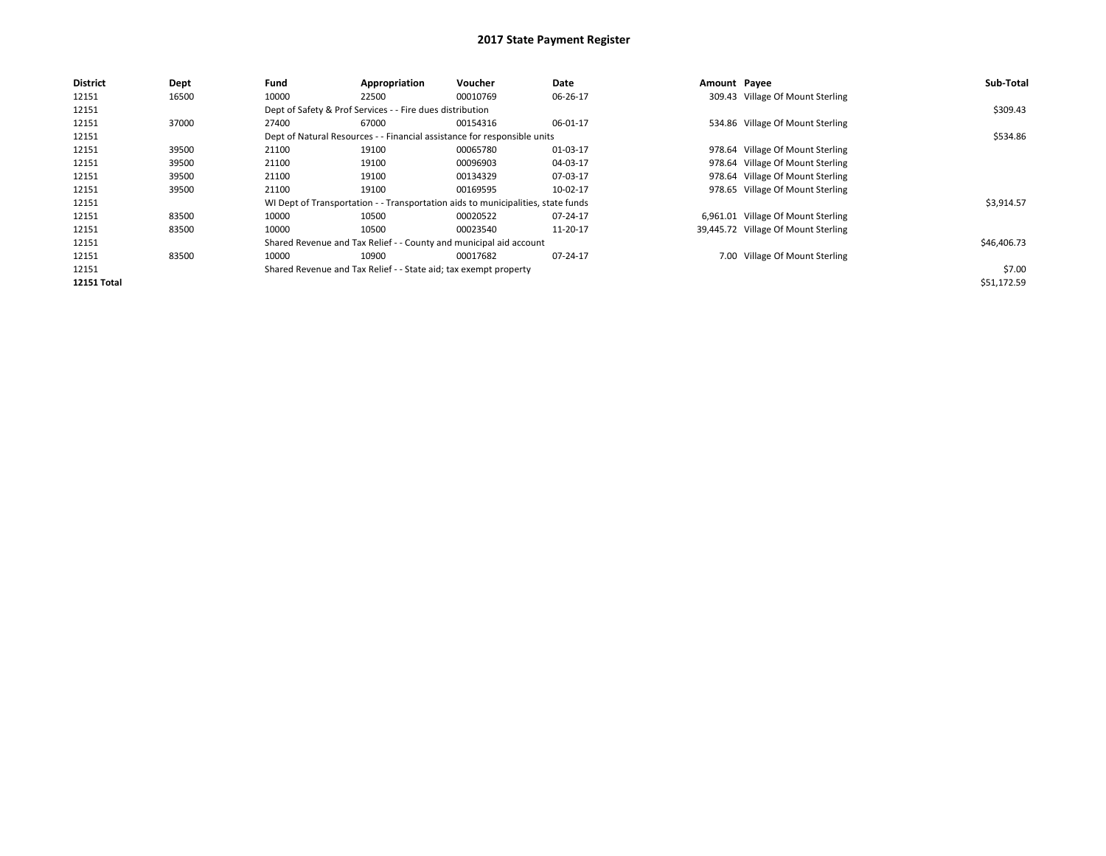| <b>District</b>    | Dept  | Fund  | Appropriation                                                                    | Voucher  | Date     | Amount Payee |                                     | Sub-Total   |
|--------------------|-------|-------|----------------------------------------------------------------------------------|----------|----------|--------------|-------------------------------------|-------------|
| 12151              | 16500 | 10000 | 22500                                                                            | 00010769 | 06-26-17 |              | 309.43 Village Of Mount Sterling    |             |
| 12151              |       |       | Dept of Safety & Prof Services - - Fire dues distribution                        |          |          |              |                                     | \$309.43    |
| 12151              | 37000 | 27400 | 67000                                                                            | 00154316 | 06-01-17 |              | 534.86 Village Of Mount Sterling    |             |
| 12151              |       |       | Dept of Natural Resources - - Financial assistance for responsible units         |          |          |              |                                     | \$534.86    |
| 12151              | 39500 | 21100 | 19100                                                                            | 00065780 | 01-03-17 |              | 978.64 Village Of Mount Sterling    |             |
| 12151              | 39500 | 21100 | 19100                                                                            | 00096903 | 04-03-17 |              | 978.64 Village Of Mount Sterling    |             |
| 12151              | 39500 | 21100 | 19100                                                                            | 00134329 | 07-03-17 |              | 978.64 Village Of Mount Sterling    |             |
| 12151              | 39500 | 21100 | 19100                                                                            | 00169595 | 10-02-17 |              | 978.65 Village Of Mount Sterling    |             |
| 12151              |       |       | WI Dept of Transportation - - Transportation aids to municipalities, state funds |          |          |              |                                     | \$3,914.57  |
| 12151              | 83500 | 10000 | 10500                                                                            | 00020522 | 07-24-17 |              | 6,961.01 Village Of Mount Sterling  |             |
| 12151              | 83500 | 10000 | 10500                                                                            | 00023540 | 11-20-17 |              | 39,445.72 Village Of Mount Sterling |             |
| 12151              |       |       | Shared Revenue and Tax Relief - - County and municipal aid account               |          |          |              |                                     | \$46,406.73 |
| 12151              | 83500 | 10000 | 10900                                                                            | 00017682 | 07-24-17 |              | 7.00 Village Of Mount Sterling      |             |
| 12151              |       |       | Shared Revenue and Tax Relief - - State aid; tax exempt property                 |          |          |              |                                     | \$7.00      |
| <b>12151 Total</b> |       |       |                                                                                  |          |          |              |                                     | \$51,172.59 |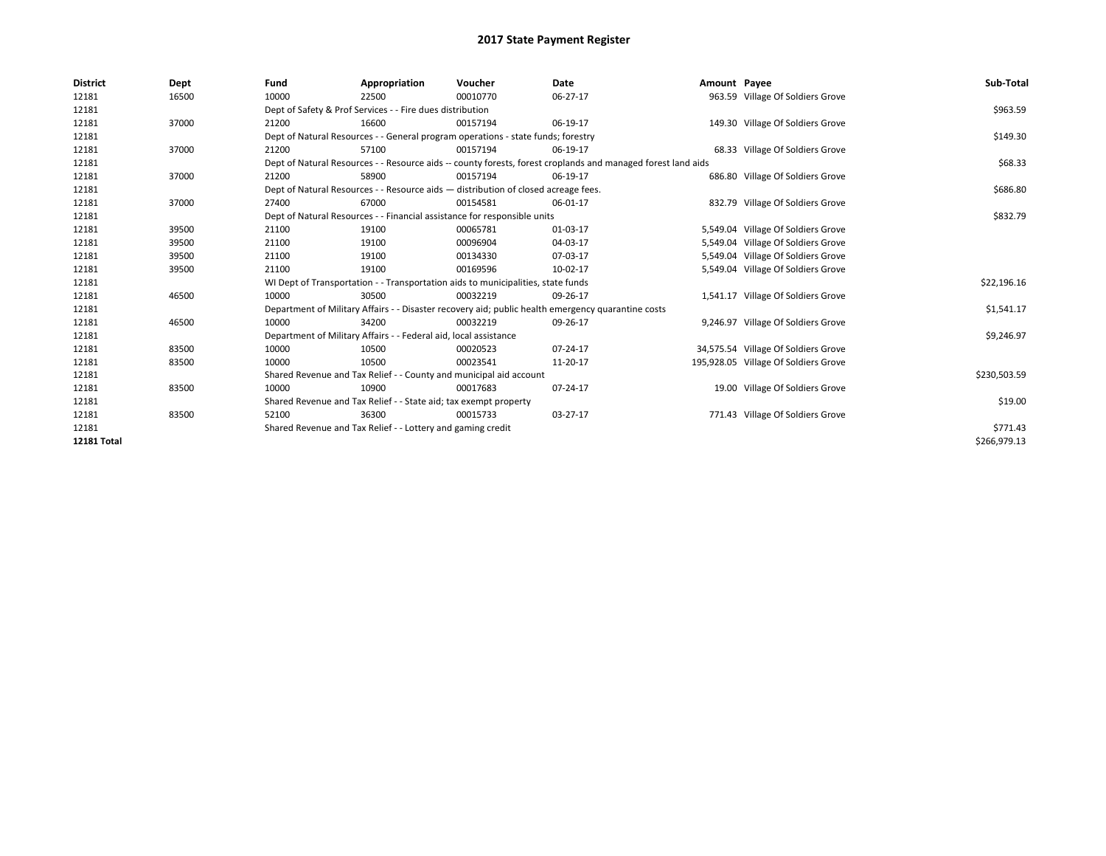| <b>District</b>    | Dept  | Fund  | Appropriation                                                                      | Voucher  | Date                                                                                                         | Amount Payee |                                      | Sub-Total    |
|--------------------|-------|-------|------------------------------------------------------------------------------------|----------|--------------------------------------------------------------------------------------------------------------|--------------|--------------------------------------|--------------|
| 12181              | 16500 | 10000 | 22500                                                                              | 00010770 | 06-27-17                                                                                                     |              | 963.59 Village Of Soldiers Grove     |              |
| 12181              |       |       | Dept of Safety & Prof Services - - Fire dues distribution                          |          |                                                                                                              |              |                                      | \$963.59     |
| 12181              | 37000 | 21200 | 16600                                                                              | 00157194 | 06-19-17                                                                                                     |              | 149.30 Village Of Soldiers Grove     |              |
| 12181              |       |       | Dept of Natural Resources - - General program operations - state funds; forestry   |          |                                                                                                              |              |                                      | \$149.30     |
| 12181              | 37000 | 21200 | 57100                                                                              | 00157194 | 06-19-17                                                                                                     |              | 68.33 Village Of Soldiers Grove      |              |
| 12181              |       |       |                                                                                    |          | Dept of Natural Resources - - Resource aids -- county forests, forest croplands and managed forest land aids |              |                                      | \$68.33      |
| 12181              | 37000 | 21200 | 58900                                                                              | 00157194 | 06-19-17                                                                                                     |              | 686.80 Village Of Soldiers Grove     |              |
| 12181              |       |       | Dept of Natural Resources - - Resource aids - distribution of closed acreage fees. |          |                                                                                                              |              |                                      | \$686.80     |
| 12181              | 37000 | 27400 | 67000                                                                              | 00154581 | 06-01-17                                                                                                     |              | 832.79 Village Of Soldiers Grove     |              |
| 12181              |       |       | Dept of Natural Resources - - Financial assistance for responsible units           |          |                                                                                                              |              |                                      | \$832.79     |
| 12181              | 39500 | 21100 | 19100                                                                              | 00065781 | 01-03-17                                                                                                     |              | 5,549.04 Village Of Soldiers Grove   |              |
| 12181              | 39500 | 21100 | 19100                                                                              | 00096904 | 04-03-17                                                                                                     |              | 5,549.04 Village Of Soldiers Grove   |              |
| 12181              | 39500 | 21100 | 19100                                                                              | 00134330 | 07-03-17                                                                                                     |              | 5,549.04 Village Of Soldiers Grove   |              |
| 12181              | 39500 | 21100 | 19100                                                                              | 00169596 | 10-02-17                                                                                                     |              | 5,549.04 Village Of Soldiers Grove   |              |
| 12181              |       |       | WI Dept of Transportation - - Transportation aids to municipalities, state funds   |          |                                                                                                              |              |                                      | \$22,196.16  |
| 12181              | 46500 | 10000 | 30500                                                                              | 00032219 | 09-26-17                                                                                                     |              | 1,541.17 Village Of Soldiers Grove   |              |
| 12181              |       |       |                                                                                    |          | Department of Military Affairs - - Disaster recovery aid; public health emergency quarantine costs           |              |                                      | \$1,541.17   |
| 12181              | 46500 | 10000 | 34200                                                                              | 00032219 | 09-26-17                                                                                                     |              | 9,246.97 Village Of Soldiers Grove   |              |
| 12181              |       |       | Department of Military Affairs - - Federal aid, local assistance                   |          |                                                                                                              |              |                                      | \$9,246.97   |
| 12181              | 83500 | 10000 | 10500                                                                              | 00020523 | $07 - 24 - 17$                                                                                               |              | 34,575.54 Village Of Soldiers Grove  |              |
| 12181              | 83500 | 10000 | 10500                                                                              | 00023541 | 11-20-17                                                                                                     |              | 195,928.05 Village Of Soldiers Grove |              |
| 12181              |       |       | Shared Revenue and Tax Relief - - County and municipal aid account                 |          |                                                                                                              |              |                                      | \$230,503.59 |
| 12181              | 83500 | 10000 | 10900                                                                              | 00017683 | 07-24-17                                                                                                     |              | 19.00 Village Of Soldiers Grove      |              |
| 12181              |       |       | Shared Revenue and Tax Relief - - State aid; tax exempt property                   |          |                                                                                                              |              |                                      | \$19.00      |
| 12181              | 83500 | 52100 | 36300                                                                              | 00015733 | 03-27-17                                                                                                     |              | 771.43 Village Of Soldiers Grove     |              |
| 12181              |       |       | Shared Revenue and Tax Relief - - Lottery and gaming credit                        |          |                                                                                                              |              |                                      | \$771.43     |
| <b>12181 Total</b> |       |       |                                                                                    |          |                                                                                                              |              |                                      | \$266,979.13 |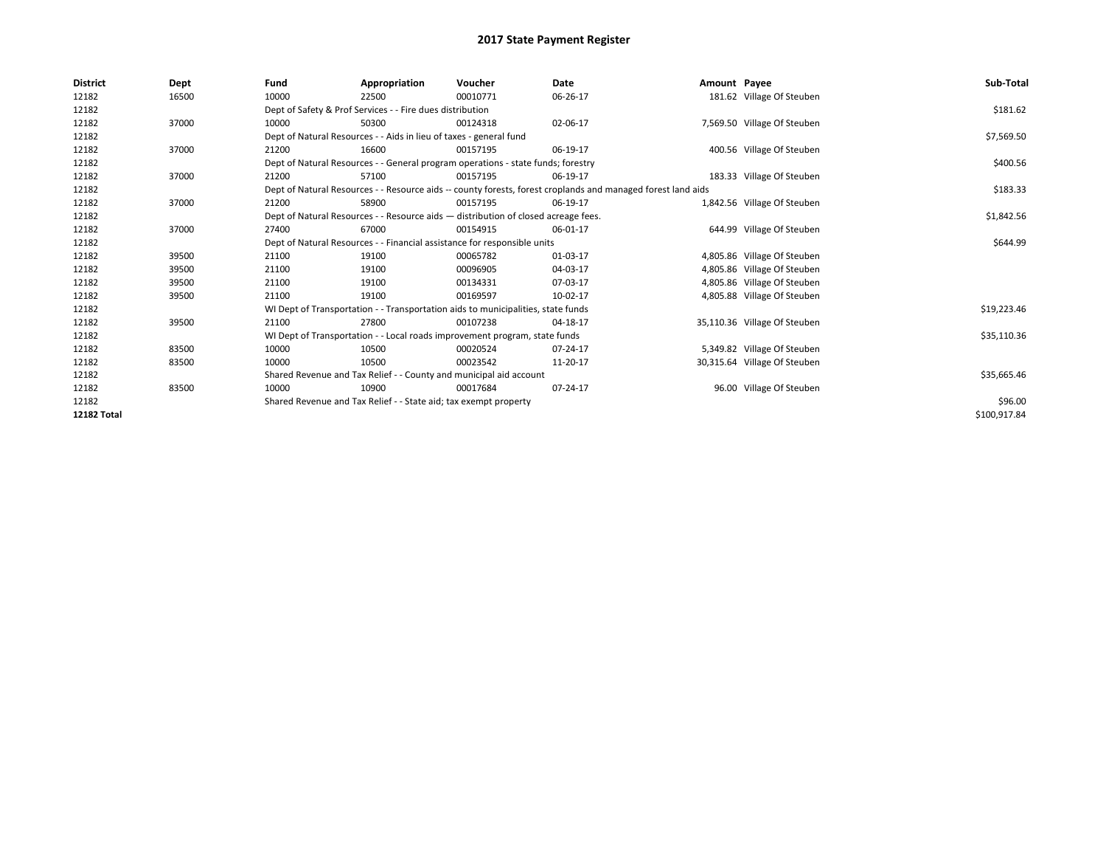| <b>District</b>    | Dept  | Fund                                                                             | Appropriation                                                                      | Voucher     | Date                                                                                                         | Amount Payee |                              | Sub-Total    |
|--------------------|-------|----------------------------------------------------------------------------------|------------------------------------------------------------------------------------|-------------|--------------------------------------------------------------------------------------------------------------|--------------|------------------------------|--------------|
| 12182              | 16500 | 10000                                                                            | 22500                                                                              | 00010771    | 06-26-17                                                                                                     |              | 181.62 Village Of Steuben    |              |
| 12182              |       | Dept of Safety & Prof Services - - Fire dues distribution                        |                                                                                    | \$181.62    |                                                                                                              |              |                              |              |
| 12182              | 37000 | 10000                                                                            | 50300                                                                              | 00124318    | 02-06-17                                                                                                     |              | 7,569.50 Village Of Steuben  |              |
| 12182              |       |                                                                                  | Dept of Natural Resources - - Aids in lieu of taxes - general fund                 |             |                                                                                                              |              |                              | \$7,569.50   |
| 12182              | 37000 | 21200                                                                            | 16600                                                                              | 00157195    | 06-19-17                                                                                                     |              | 400.56 Village Of Steuben    |              |
| 12182              |       |                                                                                  | Dept of Natural Resources - - General program operations - state funds; forestry   |             |                                                                                                              |              |                              | \$400.56     |
| 12182              | 37000 | 21200                                                                            | 57100                                                                              | 00157195    | 06-19-17                                                                                                     |              | 183.33 Village Of Steuben    |              |
| 12182              |       |                                                                                  |                                                                                    |             | Dept of Natural Resources - - Resource aids -- county forests, forest croplands and managed forest land aids |              |                              | \$183.33     |
| 12182              | 37000 | 21200                                                                            | 58900                                                                              | 00157195    | 06-19-17                                                                                                     |              | 1,842.56 Village Of Steuben  |              |
| 12182              |       |                                                                                  | Dept of Natural Resources - - Resource aids - distribution of closed acreage fees. |             |                                                                                                              |              |                              | \$1,842.56   |
| 12182              | 37000 | 27400                                                                            | 67000                                                                              | 00154915    | 06-01-17                                                                                                     |              | 644.99 Village Of Steuben    |              |
| 12182              |       |                                                                                  | Dept of Natural Resources - - Financial assistance for responsible units           |             |                                                                                                              |              |                              | \$644.99     |
| 12182              | 39500 | 21100                                                                            | 19100                                                                              | 00065782    | 01-03-17                                                                                                     |              | 4,805.86 Village Of Steuben  |              |
| 12182              | 39500 | 21100                                                                            | 19100                                                                              | 00096905    | 04-03-17                                                                                                     |              | 4,805.86 Village Of Steuben  |              |
| 12182              | 39500 | 21100                                                                            | 19100                                                                              | 00134331    | 07-03-17                                                                                                     |              | 4,805.86 Village Of Steuben  |              |
| 12182              | 39500 | 21100                                                                            | 19100                                                                              | 00169597    | 10-02-17                                                                                                     |              | 4,805.88 Village Of Steuben  |              |
| 12182              |       | WI Dept of Transportation - - Transportation aids to municipalities, state funds |                                                                                    | \$19,223.46 |                                                                                                              |              |                              |              |
| 12182              | 39500 | 21100                                                                            | 27800                                                                              | 00107238    | 04-18-17                                                                                                     |              | 35,110.36 Village Of Steuben |              |
| 12182              |       | WI Dept of Transportation - - Local roads improvement program, state funds       |                                                                                    | \$35,110.36 |                                                                                                              |              |                              |              |
| 12182              | 83500 | 10000                                                                            | 10500                                                                              | 00020524    | 07-24-17                                                                                                     |              | 5,349.82 Village Of Steuben  |              |
| 12182              | 83500 | 10000                                                                            | 10500                                                                              | 00023542    | 11-20-17                                                                                                     |              | 30,315.64 Village Of Steuben |              |
| 12182              |       | Shared Revenue and Tax Relief - - County and municipal aid account               |                                                                                    | \$35,665.46 |                                                                                                              |              |                              |              |
| 12182              | 83500 | 10000                                                                            | 10900                                                                              | 00017684    | 07-24-17                                                                                                     |              | 96.00 Village Of Steuben     |              |
| 12182              |       |                                                                                  | Shared Revenue and Tax Relief - - State aid; tax exempt property                   |             |                                                                                                              |              |                              | \$96.00      |
| <b>12182 Total</b> |       |                                                                                  |                                                                                    |             |                                                                                                              |              |                              | \$100,917.84 |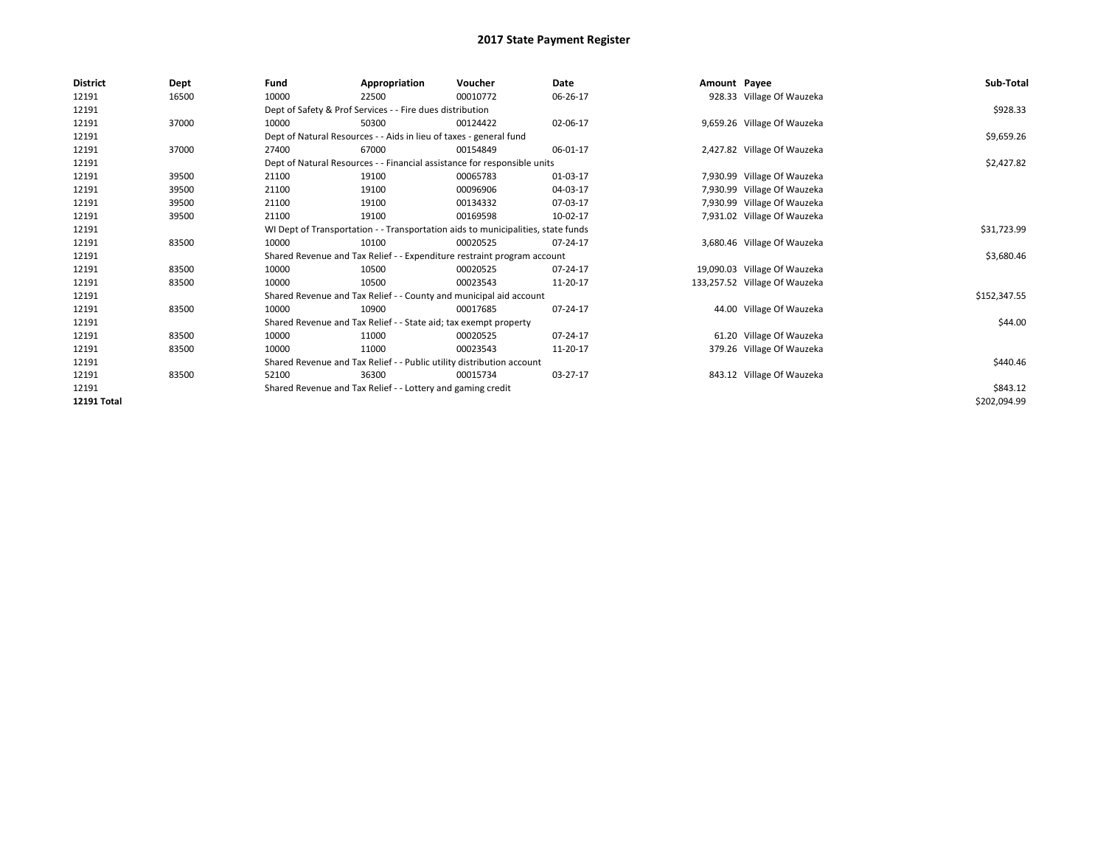| District           | Dept  | Fund                                                                             | Appropriation                                                      | Voucher                                                                  | Date     | Amount Payee |                               | Sub-Total    |
|--------------------|-------|----------------------------------------------------------------------------------|--------------------------------------------------------------------|--------------------------------------------------------------------------|----------|--------------|-------------------------------|--------------|
| 12191              | 16500 | 10000                                                                            | 22500                                                              | 00010772                                                                 | 06-26-17 |              | 928.33 Village Of Wauzeka     |              |
| 12191              |       | Dept of Safety & Prof Services - - Fire dues distribution                        |                                                                    | \$928.33                                                                 |          |              |                               |              |
| 12191              | 37000 | 10000                                                                            | 50300                                                              | 00124422                                                                 | 02-06-17 |              | 9,659.26 Village Of Wauzeka   |              |
| 12191              |       |                                                                                  | Dept of Natural Resources - - Aids in lieu of taxes - general fund |                                                                          |          |              |                               | \$9,659.26   |
| 12191              | 37000 | 27400                                                                            | 67000                                                              | 00154849                                                                 | 06-01-17 |              | 2,427.82 Village Of Wauzeka   |              |
| 12191              |       |                                                                                  |                                                                    | Dept of Natural Resources - - Financial assistance for responsible units |          |              |                               | \$2,427.82   |
| 12191              | 39500 | 21100                                                                            | 19100                                                              | 00065783                                                                 | 01-03-17 |              | 7,930.99 Village Of Wauzeka   |              |
| 12191              | 39500 | 21100                                                                            | 19100                                                              | 00096906                                                                 | 04-03-17 |              | 7,930.99 Village Of Wauzeka   |              |
| 12191              | 39500 | 21100                                                                            | 19100                                                              | 00134332                                                                 | 07-03-17 |              | 7,930.99 Village Of Wauzeka   |              |
| 12191              | 39500 | 21100                                                                            | 19100                                                              | 00169598                                                                 | 10-02-17 |              | 7,931.02 Village Of Wauzeka   |              |
| 12191              |       | WI Dept of Transportation - - Transportation aids to municipalities, state funds |                                                                    | \$31,723.99                                                              |          |              |                               |              |
| 12191              | 83500 | 10000                                                                            | 10100                                                              | 00020525                                                                 | 07-24-17 |              | 3,680.46 Village Of Wauzeka   |              |
| 12191              |       | Shared Revenue and Tax Relief - - Expenditure restraint program account          |                                                                    | \$3,680.46                                                               |          |              |                               |              |
| 12191              | 83500 | 10000                                                                            | 10500                                                              | 00020525                                                                 | 07-24-17 |              | 19,090.03 Village Of Wauzeka  |              |
| 12191              | 83500 | 10000                                                                            | 10500                                                              | 00023543                                                                 | 11-20-17 |              | 133,257.52 Village Of Wauzeka |              |
| 12191              |       | Shared Revenue and Tax Relief - - County and municipal aid account               |                                                                    | \$152,347.55                                                             |          |              |                               |              |
| 12191              | 83500 | 10000                                                                            | 10900                                                              | 00017685                                                                 | 07-24-17 |              | 44.00 Village Of Wauzeka      |              |
| 12191              |       | Shared Revenue and Tax Relief - - State aid; tax exempt property                 |                                                                    | \$44.00                                                                  |          |              |                               |              |
| 12191              | 83500 | 10000                                                                            | 11000                                                              | 00020525                                                                 | 07-24-17 |              | 61.20 Village Of Wauzeka      |              |
| 12191              | 83500 | 10000                                                                            | 11000                                                              | 00023543                                                                 | 11-20-17 |              | 379.26 Village Of Wauzeka     |              |
| 12191              |       | Shared Revenue and Tax Relief - - Public utility distribution account            |                                                                    | \$440.46                                                                 |          |              |                               |              |
| 12191              | 83500 | 52100                                                                            | 36300                                                              | 00015734                                                                 | 03-27-17 |              | 843.12 Village Of Wauzeka     |              |
| 12191              |       | Shared Revenue and Tax Relief - - Lottery and gaming credit                      |                                                                    | \$843.12                                                                 |          |              |                               |              |
| <b>12191 Total</b> |       |                                                                                  |                                                                    |                                                                          |          |              |                               | \$202,094.99 |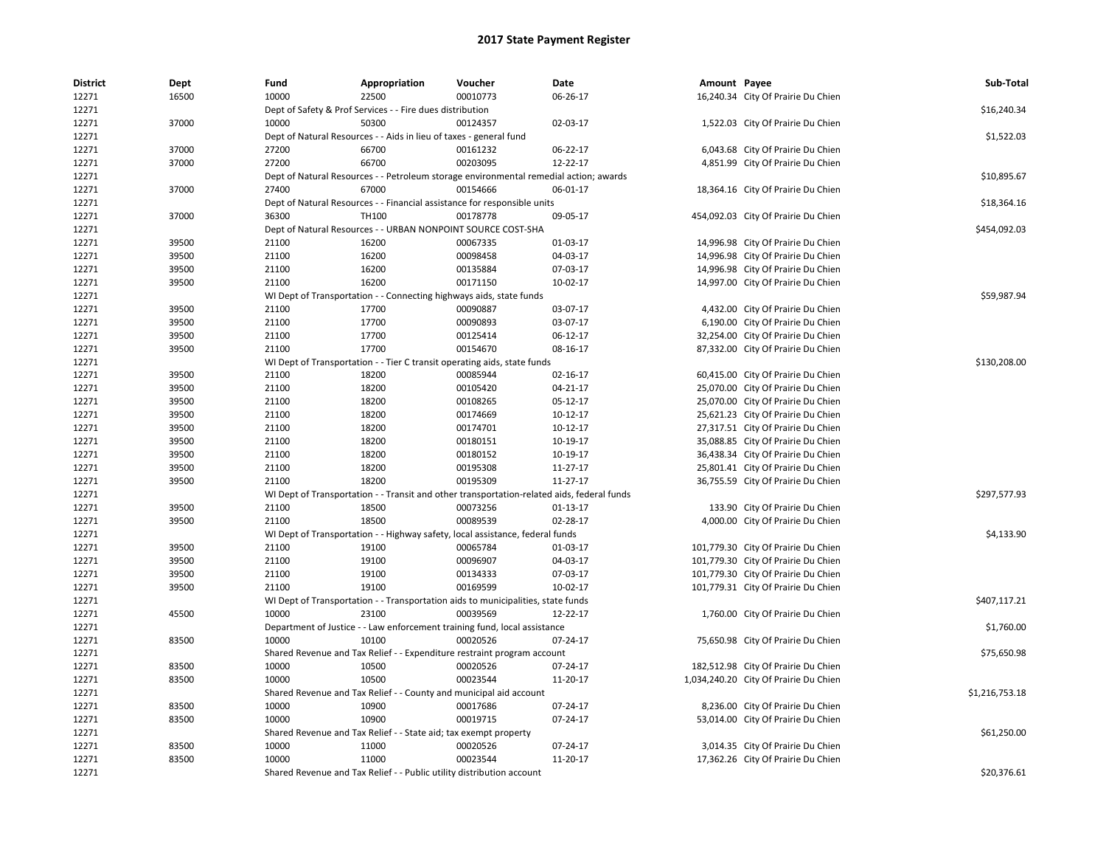| <b>District</b> | Dept  | Fund                                                      | Appropriation                                                                              | Voucher  | Date           | Amount Payee |                                       | Sub-Total      |
|-----------------|-------|-----------------------------------------------------------|--------------------------------------------------------------------------------------------|----------|----------------|--------------|---------------------------------------|----------------|
| 12271           | 16500 | 10000                                                     | 22500                                                                                      | 00010773 | 06-26-17       |              | 16,240.34 City Of Prairie Du Chien    |                |
| 12271           |       | Dept of Safety & Prof Services - - Fire dues distribution | \$16,240.34                                                                                |          |                |              |                                       |                |
| 12271           | 37000 | 10000                                                     | 50300                                                                                      | 00124357 | 02-03-17       |              | 1,522.03 City Of Prairie Du Chien     |                |
| 12271           |       |                                                           | Dept of Natural Resources - - Aids in lieu of taxes - general fund                         |          |                |              |                                       | \$1,522.03     |
| 12271           | 37000 | 27200                                                     | 66700                                                                                      | 00161232 | 06-22-17       |              | 6,043.68 City Of Prairie Du Chien     |                |
| 12271           | 37000 | 27200                                                     | 66700                                                                                      | 00203095 | 12-22-17       |              | 4,851.99 City Of Prairie Du Chien     |                |
| 12271           |       |                                                           | Dept of Natural Resources - - Petroleum storage environmental remedial action; awards      |          |                |              |                                       | \$10,895.67    |
| 12271           | 37000 | 27400                                                     | 67000                                                                                      | 00154666 | 06-01-17       |              | 18,364.16 City Of Prairie Du Chien    |                |
| 12271           |       |                                                           | Dept of Natural Resources - - Financial assistance for responsible units                   |          |                |              |                                       | \$18,364.16    |
| 12271           | 37000 | 36300                                                     | <b>TH100</b>                                                                               | 00178778 | 09-05-17       |              | 454,092.03 City Of Prairie Du Chien   |                |
| 12271           |       |                                                           | Dept of Natural Resources - - URBAN NONPOINT SOURCE COST-SHA                               |          |                |              |                                       | \$454,092.03   |
| 12271           | 39500 | 21100                                                     | 16200                                                                                      | 00067335 | 01-03-17       |              | 14,996.98 City Of Prairie Du Chien    |                |
| 12271           | 39500 | 21100                                                     | 16200                                                                                      | 00098458 | 04-03-17       |              | 14,996.98 City Of Prairie Du Chien    |                |
| 12271           | 39500 | 21100                                                     | 16200                                                                                      | 00135884 | 07-03-17       |              | 14,996.98 City Of Prairie Du Chien    |                |
| 12271           | 39500 | 21100                                                     | 16200                                                                                      | 00171150 | 10-02-17       |              | 14,997.00 City Of Prairie Du Chien    |                |
| 12271           |       |                                                           | WI Dept of Transportation - - Connecting highways aids, state funds                        |          |                |              |                                       | \$59,987.94    |
| 12271           | 39500 | 21100                                                     | 17700                                                                                      | 00090887 | 03-07-17       |              | 4,432.00 City Of Prairie Du Chien     |                |
| 12271           | 39500 | 21100                                                     | 17700                                                                                      | 00090893 | 03-07-17       |              | 6,190.00 City Of Prairie Du Chien     |                |
| 12271           | 39500 | 21100                                                     | 17700                                                                                      | 00125414 | 06-12-17       |              | 32,254.00 City Of Prairie Du Chien    |                |
| 12271           | 39500 | 21100                                                     | 17700                                                                                      | 00154670 | 08-16-17       |              | 87,332.00 City Of Prairie Du Chien    |                |
| 12271           |       |                                                           | WI Dept of Transportation - - Tier C transit operating aids, state funds                   |          |                |              |                                       | \$130,208.00   |
| 12271           | 39500 | 21100                                                     | 18200                                                                                      | 00085944 | 02-16-17       |              | 60,415.00 City Of Prairie Du Chien    |                |
| 12271           | 39500 | 21100                                                     | 18200                                                                                      | 00105420 | $04 - 21 - 17$ |              | 25,070.00 City Of Prairie Du Chien    |                |
| 12271           | 39500 | 21100                                                     | 18200                                                                                      | 00108265 | 05-12-17       |              | 25,070.00 City Of Prairie Du Chien    |                |
| 12271           | 39500 | 21100                                                     | 18200                                                                                      | 00174669 | 10-12-17       |              | 25,621.23 City Of Prairie Du Chien    |                |
| 12271           | 39500 | 21100                                                     | 18200                                                                                      | 00174701 | 10-12-17       |              | 27,317.51 City Of Prairie Du Chien    |                |
| 12271           | 39500 | 21100                                                     | 18200                                                                                      | 00180151 | 10-19-17       |              | 35,088.85 City Of Prairie Du Chien    |                |
| 12271           | 39500 | 21100                                                     | 18200                                                                                      | 00180152 | 10-19-17       |              | 36,438.34 City Of Prairie Du Chien    |                |
| 12271           | 39500 | 21100                                                     | 18200                                                                                      | 00195308 | 11-27-17       |              | 25,801.41 City Of Prairie Du Chien    |                |
| 12271           | 39500 | 21100                                                     | 18200                                                                                      | 00195309 | 11-27-17       |              | 36,755.59 City Of Prairie Du Chien    |                |
| 12271           |       |                                                           | WI Dept of Transportation - - Transit and other transportation-related aids, federal funds |          |                |              |                                       | \$297,577.93   |
| 12271           | 39500 | 21100                                                     | 18500                                                                                      | 00073256 | 01-13-17       |              | 133.90 City Of Prairie Du Chien       |                |
| 12271           | 39500 | 21100                                                     | 18500                                                                                      | 00089539 | 02-28-17       |              | 4,000.00 City Of Prairie Du Chien     |                |
| 12271           |       |                                                           | WI Dept of Transportation - - Highway safety, local assistance, federal funds              |          |                |              |                                       | \$4,133.90     |
| 12271           | 39500 | 21100                                                     | 19100                                                                                      | 00065784 | 01-03-17       |              | 101,779.30 City Of Prairie Du Chien   |                |
| 12271           | 39500 | 21100                                                     | 19100                                                                                      | 00096907 | 04-03-17       |              | 101,779.30 City Of Prairie Du Chien   |                |
| 12271           | 39500 | 21100                                                     | 19100                                                                                      | 00134333 | 07-03-17       |              | 101,779.30 City Of Prairie Du Chien   |                |
| 12271           | 39500 | 21100                                                     | 19100                                                                                      | 00169599 | 10-02-17       |              | 101,779.31 City Of Prairie Du Chien   |                |
| 12271           |       |                                                           | WI Dept of Transportation - - Transportation aids to municipalities, state funds           |          |                |              |                                       | \$407,117.21   |
| 12271           | 45500 | 10000                                                     | 23100                                                                                      | 00039569 | 12-22-17       |              | 1,760.00 City Of Prairie Du Chien     |                |
| 12271           |       |                                                           | Department of Justice - - Law enforcement training fund, local assistance                  |          |                |              |                                       | \$1,760.00     |
| 12271           | 83500 | 10000                                                     | 10100                                                                                      | 00020526 | 07-24-17       |              | 75,650.98 City Of Prairie Du Chien    |                |
| 12271           |       |                                                           | Shared Revenue and Tax Relief - - Expenditure restraint program account                    |          |                |              |                                       | \$75,650.98    |
| 12271           | 83500 | 10000                                                     | 10500                                                                                      | 00020526 | 07-24-17       |              | 182,512.98 City Of Prairie Du Chien   |                |
| 12271           | 83500 | 10000                                                     | 10500                                                                                      | 00023544 | 11-20-17       |              | 1,034,240.20 City Of Prairie Du Chien |                |
| 12271           |       |                                                           | Shared Revenue and Tax Relief - - County and municipal aid account                         |          |                |              |                                       | \$1,216,753.18 |
| 12271           | 83500 | 10000                                                     | 10900                                                                                      | 00017686 | 07-24-17       |              | 8,236.00 City Of Prairie Du Chien     |                |
| 12271           | 83500 | 10000                                                     | 10900                                                                                      | 00019715 | 07-24-17       |              | 53,014.00 City Of Prairie Du Chien    |                |
| 12271           |       |                                                           | Shared Revenue and Tax Relief - - State aid; tax exempt property                           |          |                |              |                                       | \$61,250.00    |
| 12271           | 83500 | 10000                                                     | 11000                                                                                      | 00020526 | 07-24-17       |              | 3,014.35 City Of Prairie Du Chien     |                |
| 12271           | 83500 | 10000                                                     | 11000                                                                                      | 00023544 | 11-20-17       |              | 17,362.26 City Of Prairie Du Chien    |                |
| 12271           |       |                                                           | Shared Revenue and Tax Relief - - Public utility distribution account                      |          |                |              |                                       | \$20,376.61    |
|                 |       |                                                           |                                                                                            |          |                |              |                                       |                |